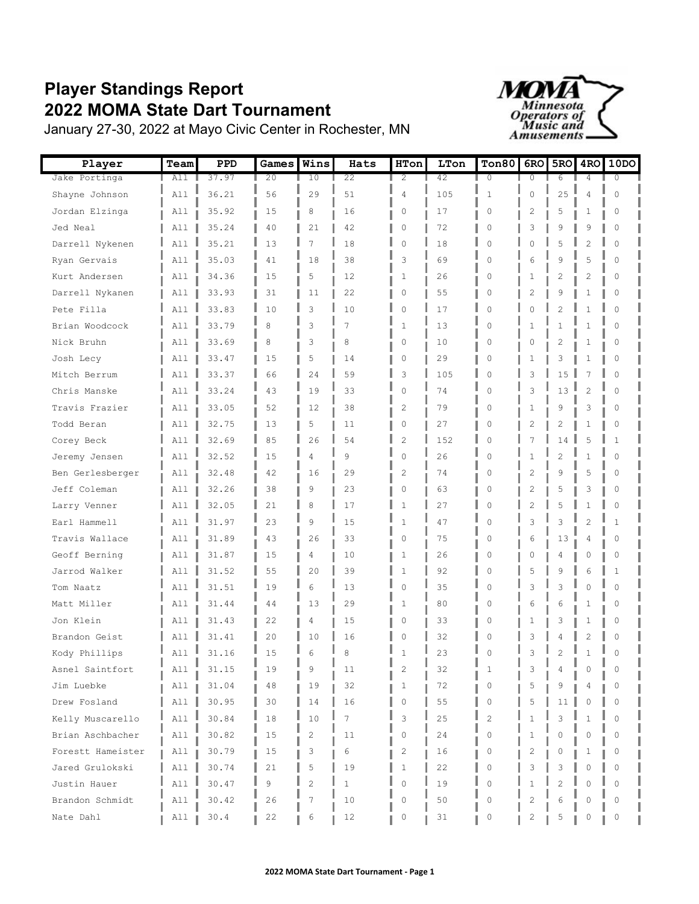## **Player Standings Report 2022 MOMA State Dart Tournament**



January 27-30, 2022 at Mayo Civic Center in Rochester, MN

| Player            | Team | PPD   | Games  | Wins           | Hats           | HTon           | LTon | Ton80          | 6RO            | 5RO            | 4 <sub>RO</sub> | 10D <sub>O</sub> |
|-------------------|------|-------|--------|----------------|----------------|----------------|------|----------------|----------------|----------------|-----------------|------------------|
| Jake Portinga     | All  | 37.97 | 20     | 10             | 22             | $\overline{2}$ | 42   | $\overline{0}$ | 0              | 6              | 4               | $\Omega$         |
| Shayne Johnson    | A11  | 36.21 | 56     | 29             | 51             | 4              | 105  | $\mathbf{1}$   | $\mathbf 0$    | 25             | $\overline{4}$  | $\circ$          |
| Jordan Elzinga    | All  | 35.92 | 15     | 8              | 16             | 0              | 17   | 0              | 2              | 5              | 1               | 0                |
| Jed Neal          | All  | 35.24 | 40     | 21             | 42             | $\mathbf{0}$   | 72   | 0              | 3              | 9              | 9               | 0                |
| Darrell Nykenen   | All  | 35.21 | 13     | 7              | 18             | $\Omega$       | 18   | 0              | 0              | 5              | $\overline{2}$  | $\Omega$         |
| Ryan Gervais      | All  | 35.03 | 41     | 18             | 38             | 3              | 69   | $\Omega$       | 6              | 9              | 5               | $\Omega$         |
| Kurt Andersen     | All  | 34.36 | 15     | 5              | 12             | $\mathbf{1}$   | 26   | 0              | 1              | 2              | 2               | 0                |
| Darrell Nykanen   | All  | 33.93 | 31     | 11             | 22             | $\mathbf{0}$   | 55   | 0              | 2              | 9              | $\mathbf{1}$    | $\Omega$         |
| Pete Filla        | All  | 33.83 | 10     | 3              | 10             | 0              | 17   | 0              | 0              | $\overline{c}$ | $\mathbf{1}$    | $\Omega$         |
| Brian Woodcock    | All  | 33.79 | 8      | 3              | $\overline{7}$ | $\mathbf{1}$   | 13   | $\Omega$       | 1              | 1              | 1               | $\Omega$         |
| Nick Bruhn        | All  | 33.69 | 8      | 3              | 8              | 0              | 10   | 0              | 0              | 2              | 1               | 0                |
| Josh Lecy         | All  | 33.47 | 15     | 5              | 14             | 0              | 29   | 0              | 1              | 3              | 1               | 0                |
| Mitch Berrum      | All  | 33.37 | 66     | 24             | 59             | 3              | 105  | 0              | 3              | 15             | 7               | $\Omega$         |
| Chris Manske      | A11  | 33.24 | 43     | 19             | 33             | 0              | 74   | 0              | 3              | 13             | $\overline{2}$  | $\Omega$         |
| Travis Frazier    | All  | 33.05 | 52     | 12             | 38             | $\overline{c}$ | 79   | 0              | $\mathbf{1}$   | 9              | 3               | $\Omega$         |
| Todd Beran        | All  | 32.75 | 13     | 5              | 11             | $\mathbf{0}$   | 27   | 0              | 2              | 2              | 1               | 0                |
| Corey Beck        | A11  | 32.69 | 85     | 26             | 54             | $\overline{c}$ | 152  | $\Omega$       | 7              | 14             | 5               | $\mathbf{1}$     |
| Jeremy Jensen     | All  | 32.52 | 15     | 4              | 9              | $\Omega$       | 26   | $\Omega$       | 1              | $\overline{c}$ | $\mathbf{1}$    | $\Omega$         |
| Ben Gerlesberger  | All  | 32.48 | 42     | 16             | 29             | 2              | 74   | 0              | 2              | 9              | 5               | 0                |
| Jeff Coleman      | All  | 32.26 | 38     | 9              | 23             | $\mathbf{0}$   | 63   | $\circ$        | 2              | 5              | 3               | $\Omega$         |
| Larry Venner      | All  | 32.05 | 21     | 8              | 17             | $\mathbf{1}$   | 27   | 0              | $\overline{c}$ | 5              | 1               | $\Omega$         |
| Earl Hammell      | A11  | 31.97 | 23     | 9              | 15             | $\mathbf{1}$   | 47   | $\Omega$       | 3              | 3              | $\overline{c}$  | $\mathbf{1}$     |
| Travis Wallace    | All  | 31.89 | 43     | 26             | 33             | 0              | 75   | 0              | 6              | 13             | 4               | 0                |
| Geoff Berning     | All  | 31.87 | 15     | 4              | 10             | 1              | 26   | 0              | 0              | 4              | 0               | 0                |
| Jarrod Walker     | All  | 31.52 | 55     | 20             | 39             | $\mathbf{1}$   | 92   | 0              | 5              | 9              | 6               | 1                |
| Tom Naatz         | A11  | 31.51 | 19     | 6              | 13             | $\Omega$       | 35   | $\Omega$       | 3              | 3              | $\Omega$        | $\Omega$         |
| Matt Miller       | All  | 31.44 | 44     | 13             | 29             | $\mathbf{1}$   | 80   | 0              | 6              | 6              | $\mathbf{1}$    | 0                |
| Jon Klein         | All  | 31.43 | 22     | 4              | 15             | 0              | 33   | 0              | 1              | 3              | 1               | 0                |
| Brandon Geist     | All  | 31.41 | 20     | 10             | 16             | 0              | 32   | 0              | 3              | 4              | $\overline{c}$  | $\circ$          |
| Kody Phillips     | All  | 31.16 | 15     | 6              | 8              | 1              | 23   | $\Omega$       | 3              | $\overline{2}$ | $\mathbf{1}$    | $\Omega$         |
| Asnel Saintfort   | All  | 31.15 | 19     | 9              | 11             | 2              | 32   | 1              | 3              | 4              | 0               | 0                |
| Jim Luebke        | All  | 31.04 | 48     | 19             | 32             | $\mathbf{1}$   | 72   | 0              | 5              | 9              | 4               | 0                |
| Drew Fosland      | All  | 30.95 | 30     | 14             | 16             | $\circ$        | 55   | 0              | 5              | 11             | 0               | $\Omega$         |
| Kelly Muscarello  | All  | 30.84 | $18\,$ | 10             | 7              | 3              | 25   | $\mathbf{2}$   | $\mathbf{1}$   | 3              | $\mathbf{1}$    | $\Omega$         |
| Brian Aschbacher  | All  | 30.82 | 15     | 2              | 11             | 0              | 24   | 0              | $\mathbf{1}$   | 0              | 0               | 0                |
| Forestt Hameister | All  | 30.79 | 15     | 3              | 6              | $\mathbf{2}$   | 16   | 0              | 2              | 0              | 1               | 0                |
| Jared Grulokski   | All  | 30.74 | 21     | 5              | 19             | $\mathbf{1}$   | 22   | 0              | 3              | 3              | 0               | $\Omega$         |
| Justin Hauer      | All  | 30.47 | 9      | $\overline{c}$ | $\mathbf{1}$   | $\Omega$       | 19   | $\mathbf{0}$   | 1              | $\overline{c}$ | $\Omega$        | $\Omega$         |
| Brandon Schmidt   | All  | 30.42 | 26     | 7              | 10             | 0              | 50   | 0              | 2              | 6              | 0               | 0                |
| Nate Dahl         | All  | 30.4  | 22     | 6              | 12             | 0              | 31   | 0              | 2              | 5              | 0               | 0                |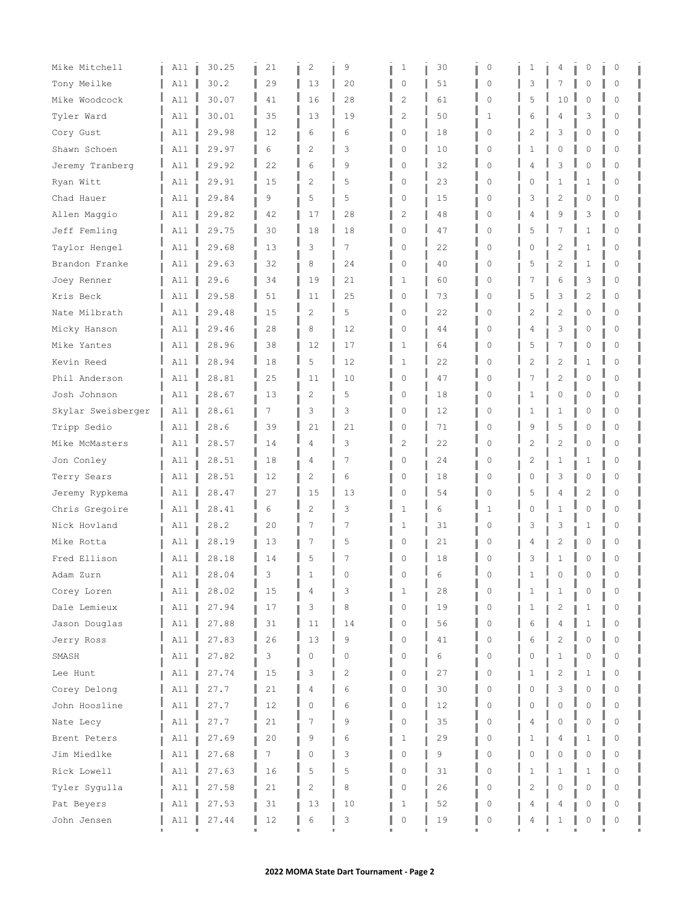| Mike Mitchell      | All | 30.25 | 21 | $\mathbf{2}$   | 9  | 1                   | 30 | $\circ$     | 1              | 4              | 0              | 0        |
|--------------------|-----|-------|----|----------------|----|---------------------|----|-------------|----------------|----------------|----------------|----------|
| Tony Meilke        | All | 30.2  | 29 | 13             | 20 | 0                   | 51 | 0           | 3              | 7              | 0              | 0        |
| Mike Woodcock      | All | 30.07 | 41 | 16             | 28 | $\overline{c}$      | 61 | $\mathbf 0$ | 5              | 10             | $\mathbf 0$    | $\Omega$ |
| Tyler Ward         | All | 30.01 | 35 | 13             | 19 | 2                   | 50 | 1           | 6              | 4              | 3              | $\Omega$ |
| Cory Gust          | All | 29.98 | 12 | 6              | 6  | 0                   | 18 | $\Omega$    | 2              | 3              | 0              | $\Omega$ |
| Shawn Schoen       | All | 29.97 | 6  | $\overline{c}$ | 3  | 0                   | 10 | 0           | $\mathbf{1}$   | 0              | 0              | $\Omega$ |
| Jeremy Tranberg    | All | 29.92 | 22 | 6              | 9  | 0                   | 32 | $\Omega$    | 4              | 3              | $\Omega$       | $\Omega$ |
| Ryan Witt          | A11 | 29.91 | 15 | $\overline{c}$ | 5  | 0                   | 23 | 0           | 0              | $\mathbf{1}$   | 1              | $\Omega$ |
| Chad Hauer         | All | 29.84 | 9  | 5              | 5  | 0                   | 15 | 0           | 3              | 2              | 0              | 0        |
| Allen Maggio       | All | 29.82 | 42 | 17             | 28 | 2                   | 48 | 0           | 4              | 9              | 3              | 0        |
| Jeff Femling       | All | 29.75 | 30 | 18             | 18 | $\mathsf{O}\xspace$ | 47 | $\Omega$    | 5              | $\overline{7}$ | $\mathbf{1}$   | $\circ$  |
| Taylor Hengel      | All | 29.68 | 13 | 3              | 7  | 0                   | 22 | $\Omega$    | 0              | $\overline{2}$ | 1              | $\Omega$ |
| Brandon Franke     | All | 29.63 | 32 | 8              | 24 | 0                   | 40 | 0           | 5              | $\overline{c}$ | 1              | 0        |
| Joey Renner        | All | 29.6  | 34 | 19             | 21 | 1                   | 60 | 0           | 7              | 6              | 3              | $\Omega$ |
| Kris Beck          | A11 | 29.58 | 51 | 11             | 25 | $\mathsf{O}\xspace$ | 73 | $\Omega$    | 5              | 3              | $\overline{c}$ | $\Omega$ |
| Nate Milbrath      | All | 29.48 | 15 | $\overline{c}$ | 5  | 0                   | 22 | $\Omega$    | $\overline{c}$ | $\overline{2}$ | $\circ$        | $\Omega$ |
| Micky Hanson       | All | 29.46 | 28 | 8              | 12 | 0                   | 44 | $\Omega$    | 4              | 3              | 0              | $\Omega$ |
| Mike Yantes        | All | 28.96 | 38 | 12             | 17 | 1                   | 64 | 0           | 5              | 7              | 0              | 0        |
| Kevin Reed         | A11 | 28.94 | 18 | 5              | 12 | $\mathbf{1}$        | 22 | $\mathbf 0$ | 2              | $\overline{2}$ | 1              | $\Omega$ |
| Phil Anderson      | A11 | 28.81 | 25 | 11             | 10 | 0                   | 47 | $\Omega$    | 7              | $\overline{c}$ | $\Omega$       | $\Omega$ |
| Josh Johnson       | All | 28.67 | 13 | 2              | 5  | 0                   | 18 | 0           | 1              | 0              | 0              | 0        |
| Skylar Sweisberger | All | 28.61 | 7  | 3              | 3  | 0                   | 12 | 0           | 1              | 1              | 0              | 0        |
| Tripp Sedio        | A11 | 28.6  | 39 | 21             | 21 | $\mathsf{O}\xspace$ | 71 | $\Omega$    | 9              | 5              | $\mathbf 0$    | $\Omega$ |
| Mike McMasters     | A11 | 28.57 | 14 | 4              | 3  | $\overline{c}$      | 22 | $\Omega$    | 2              | $\overline{c}$ | $\mathbf 0$    | 0        |
| Jon Conley         | All | 28.51 | 18 | 4              | 7  | 0                   | 24 | $\Omega$    | 2              | 1              | 1              | $\Omega$ |
| Terry Sears        | All | 28.51 | 12 | $\overline{c}$ | 6  | 0                   | 18 | $\mathbf 0$ | 0              | 3              | 0              | 0        |
| Jeremy Rypkema     | All | 28.47 | 27 | 15             | 13 | 0                   | 54 | $\Omega$    | 5              | 4              | $\overline{2}$ | $\Omega$ |
| Chris Gregoire     | All | 28.41 | 6  | $\overline{2}$ | 3  | 1                   | 6  | 1           | 0              | $\mathbf{1}$   | 0              | $\Omega$ |
| Nick Hovland       | All | 28.2  | 20 | 7              | 7  | 1                   | 31 | 0           | 3              | 3              | 1              | 0        |
| Mike Rotta         | All | 28.19 | 13 | 7              | 5  | 0                   | 21 | 0           | 4              | 2              | 0              | $\Omega$ |
| Fred Ellison       | All | 28.18 | 14 | 5              | 7  | 0                   | 18 | 0           | 3              | $\mathbf{1}$   | $\mathbf 0$    | $\Omega$ |
| Adam Zurn          | A11 | 28.04 | 3  |                | 0  |                     | 6  | 0           | 1              | 0              | 0              | 0        |
| Corey Loren        | All | 28.02 | 15 | 4              | 3  | 1                   | 28 | $\Omega$    | 1              | $\mathbf{1}$   | 0              | $\Omega$ |
| Dale Lemieux       | All | 27.94 | 17 | 3              | 8  | 0                   | 19 | 0           | 1              | 2              | 1              | 0        |
| Jason Douglas      | All | 27.88 | 31 | 11             | 14 | 0                   | 56 | 0           | 6              | 4              | 1              | $\Omega$ |
| Jerry Ross         | All | 27.83 | 26 | 13             | 9  | 0                   | 41 | 0           | 6              | $\overline{2}$ | $\circ$        | $\Omega$ |
| SMASH              | All | 27.82 | 3  | 0              | 0  | 0                   | 6  | 0           | 0              | $\mathbf{1}$   | 0              | 0        |
| Lee Hunt           | All | 27.74 | 15 | 3              | 2  | 0                   | 27 | 0           | $\mathbf{1}$   | 2              | 1              | 0        |
| Corey Delong       | All | 27.7  | 21 | 4              | 6  | 0                   | 30 | $\mathbf 0$ | 0              | 3              | $\mathbf 0$    | $\Omega$ |
| John Hoosline      | All | 27.7  | 12 | 0              | 6  | 0                   | 12 | $\Omega$    | 0              | $\Omega$       | $\Omega$       | $\Omega$ |
| Nate Lecy          | All | 27.7  | 21 | 7              | 9  | 0                   | 35 | 0           | 4              | 0              | $\mathbf 0$    | $\Omega$ |
| Brent Peters       | All | 27.69 | 20 | 9              | 6  | 1                   | 29 | 0           | 1              | 4              | 1              | 0        |
| Jim Miedlke        | All | 27.68 | 7  | 0              | 3  | 0                   | 9  | 0           | 0              | 0              | $\mathbf 0$    | $\Omega$ |
| Rick Lowell        | All | 27.63 | 16 | 5              | 5  | 0                   | 31 | 0           | 1              | $\mathbf{1}$   | $\mathbf{1}$   | $\Omega$ |
| Tyler Sygulla      | All | 27.58 | 21 | 2              | 8  | 0                   | 26 | 0           | 2              | 0              | $\mathbf 0$    | $\Omega$ |
| Pat Beyers         | All | 27.53 | 31 | 13             | 10 | 1                   | 52 | 0           | 4              | 4              | 0              | 0        |
| John Jensen        | All | 27.44 | 12 | 6              | 3  | 0                   | 19 | 0           | 4              | 1              | 0              | 0        |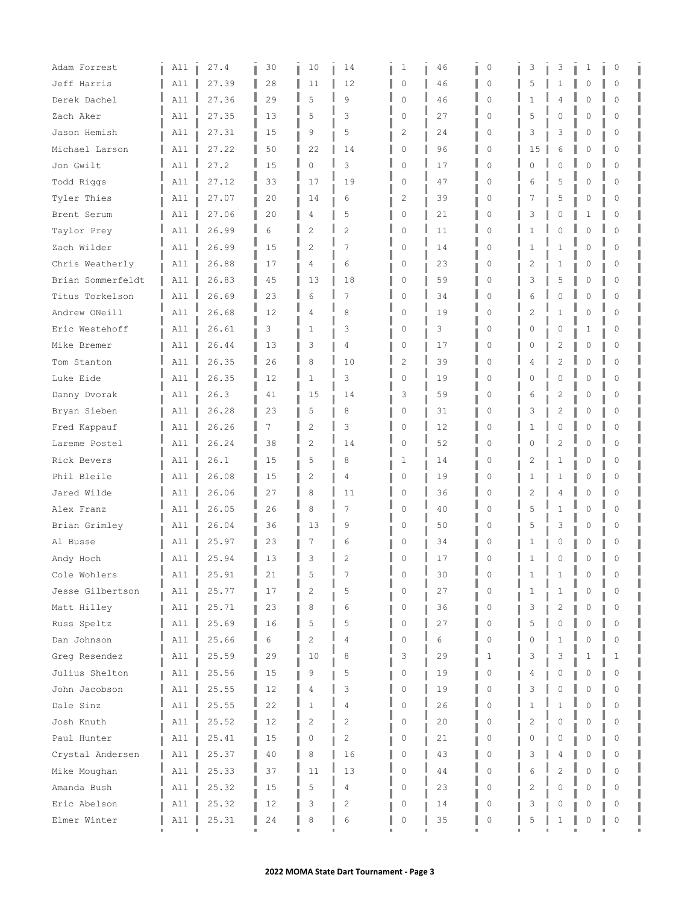| Adam Forrest      | All | 27.4  | 30 | 10             | 14             | 1              | 46 | $\circ$     | 3              | 3              | 1        | 0        |  |
|-------------------|-----|-------|----|----------------|----------------|----------------|----|-------------|----------------|----------------|----------|----------|--|
| Jeff Harris       | All | 27.39 | 28 | 11             | 12             | 0              | 46 | 0           | 5              | $\mathbf{1}$   | 0        | 0        |  |
| Derek Dachel      | All | 27.36 | 29 | 5              | 9              | $\mathbf 0$    | 46 | $\Omega$    | 1              | 4              | O        | $\Omega$ |  |
| Zach Aker         | All | 27.35 | 13 | 5              | 3              | $\circ$        | 27 | $\Omega$    | 5              | 0              | O        | $\Omega$ |  |
| Jason Hemish      | All | 27.31 | 15 | 9              | 5              | 2              | 24 | $\Omega$    | 3              | 3              | 0        | 0        |  |
| Michael Larson    | All | 27.22 | 50 | 22             | 14             | $\mathbf{0}$   | 96 | 0           | 15             | 6              | $\Omega$ | 0        |  |
| Jon Gwilt         | A11 | 27.2  | 15 | $\Omega$       | 3              | $\mathbf 0$    | 17 | $\Omega$    | O.             | $\Omega$       | $\cap$   | $\Omega$ |  |
| Todd Riggs        | A11 | 27.12 | 33 | 17             | 19             | $\mathbf 0$    | 47 | $\Omega$    | 6              | 5              | O        | $\Omega$ |  |
| Tyler Thies       | All | 27.07 | 20 | 14             | 6              | 2              | 39 | 0           | 7              | 5              | 0        | 0        |  |
| Brent Serum       | All | 27.06 | 20 | 4              | 5              | 0              | 21 | 0           | 3              | 0              | 1        | 0        |  |
| Taylor Prey       | All | 26.99 | 6  | $\overline{c}$ | $\overline{c}$ | $\mathbf 0$    | 11 | $\mathbf 0$ | 1              | 0              | $\Omega$ | $\Omega$ |  |
| Zach Wilder       | A11 | 26.99 | 15 | $\overline{c}$ | 7              | $\mathbf 0$    | 14 | $\Omega$    | 1              | $\mathbf{1}$   | O        | $\Omega$ |  |
| Chris Weatherly   | All | 26.88 | 17 | 4              | 6              | 0              | 23 | 0           | 2              | $\mathbf{1}$   | 0        | 0        |  |
| Brian Sommerfeldt | All | 26.83 | 45 | 13             | 18             | 0              | 59 | 0           | 3              | 5              | 0        | 0        |  |
| Titus Torkelson   | All | 26.69 | 23 | 6              | 7              | $\circ$        | 34 | 0           | 6              | 0              | $\Omega$ | $\Omega$ |  |
| Andrew ONeill     | All | 26.68 | 12 | 4              | 8              | $\circ$        | 19 | $\Omega$    | $\overline{c}$ | $\mathbf{1}$   | $\Omega$ | $\Omega$ |  |
| Eric Westehoff    | A11 | 26.61 | 3  | 1              | 3              | $\circ$        | 3  | $\Omega$    | U              | 0              | 1        | 0        |  |
| Mike Bremer       | All | 26.44 | 13 | 3              | 4              | 0              | 17 | 0           | 0              | 2              | 0        | 0        |  |
| Tom Stanton       | All | 26.35 | 26 | 8              | 10             | $\overline{2}$ | 39 | $\Omega$    | 4              | $\overline{c}$ | $\Omega$ | $\Omega$ |  |
| Luke Eide         | A11 | 26.35 | 12 | $\mathbf{1}$   | 3              | 0              | 19 | $\Omega$    | 0              | $\mathbf 0$    | $\Omega$ | $\Omega$ |  |
| Danny Dvorak      | All | 26.3  | 41 | 15             | 14             | 3              | 59 | 0           | 6              | 2              | 0        | 0        |  |
| Bryan Sieben      | All | 26.28 | 23 | 5              | 8              | $\circ$        | 31 | 0           | 3              | 2              | 0        | 0        |  |
| Fred Kappauf      | All | 26.26 | 7  | $\overline{c}$ | 3              | $\circ$        | 12 | $\Omega$    | 1              | 0              | O        | $\Omega$ |  |
| Lareme Postel     | All | 26.24 | 38 | $\overline{2}$ | 14             | $\mathbf 0$    | 52 | $\mathbf 0$ | 0              | $\overline{c}$ | 0        | $\Omega$ |  |
| Rick Bevers       | All | 26.1  | 15 | 5              | 8              | 1              | 14 | $\Omega$    | 2              | $\mathbf{1}$   | Ω        | O        |  |
| Phil Bleile       | All | 26.08 | 15 | $\overline{c}$ | 4              | $\circ$        | 19 | 0           | 1              | 1              | 0        | 0        |  |
| Jared Wilde       | All | 26.06 | 27 | 8              | 11             | $\mathbf 0$    | 36 | $\Omega$    | $\overline{c}$ | 4              | O        | $\Omega$ |  |
| Alex Franz        | A11 | 26.05 | 26 | 8              | 7              | $\mathbf 0$    | 40 | $\Omega$    | 5              | 1              | 0        | 0        |  |
| Brian Grimley     | All | 26.04 | 36 | 13             | 9              | 0              | 50 | 0           | 5              | 3              | 0        | 0        |  |
| Al Busse          | All | 25.97 | 23 | 7              | 6              | 0              | 34 | 0           | 1              | 0              | Ω        | 0        |  |
| Andy Hoch         | All | 25.94 | 13 | 3              | $\overline{c}$ | 0              | 17 | $\Omega$    | 1              | 0              | $\Omega$ | $\Omega$ |  |
| Cole Wohlers      | All | 25.91 | 21 | 5              |                | $\Omega$       | 30 | 0           |                |                | Ω        | C        |  |
| Jesse Gilbertson  | All | 25.77 | 17 | $\overline{2}$ | 5              | $\Omega$       | 27 | 0           | 1.             | $\mathbf{1}$   | O        | 0        |  |
| Matt Hilley       | All | 25.71 | 23 | 8              | 6              | 0              | 36 | 0           | 3              | 2              | 0        | 0        |  |
| Russ Speltz       | All | 25.69 | 16 | 5              | 5              | 0              | 27 | $\Omega$    | 5              | $\Omega$       | Λ        | $\Omega$ |  |
| Dan Johnson       | All | 25.66 | 6  | $\overline{c}$ | 4              | 0              | 6  | 0           | 0              | $\mathbf{1}$   | O        | $\Omega$ |  |
| Greq Resendez     | All | 25.59 | 29 | 10             | 8              | 3              | 29 | 1           | 3              | 3              | 1        | 1        |  |
| Julius Shelton    | All | 25.56 | 15 | 9              | 5              | 0              | 19 | 0           | 4              | 0              | 0        | 0        |  |
| John Jacobson     | All | 25.55 | 12 | 4              | 3              | 0              | 19 | 0           | 3              | 0              | Λ        | $\Omega$ |  |
| Dale Sinz         | All | 25.55 | 22 | 1              | 4              | $\mathbf 0$    | 26 | 0           | 1              | $\mathbf{1}$   | $\cap$   | $\Omega$ |  |
| Josh Knuth        | All | 25.52 | 12 | 2              | 2              | 0              | 20 | 0           | 2              | 0              | Ω        | 0        |  |
| Paul Hunter       | All | 25.41 | 15 | 0              | 2              | 0              | 21 | 0           | 0              | 0              | 0        | 0        |  |
| Crystal Andersen  | All | 25.37 | 40 | 8              | 16             | 0              | 43 | 0           | 3              | 4              | O        | $\Omega$ |  |
| Mike Moughan      | All | 25.33 | 37 | 11             | 13             | 0              | 44 | 0           | 6              | $\overline{c}$ | $\Omega$ | $\Omega$ |  |
| Amanda Bush       | All | 25.32 | 15 | 5              | 4              | 0              | 23 | 0           | 2              | 0              | Ω        | 0        |  |
| Eric Abelson      | All | 25.32 | 12 | 3              | 2              | 0              | 14 | 0           | 3              | 0              |          |          |  |
| Elmer Winter      | All | 25.31 | 24 | 8              | 6              | 0              | 35 | 0           | 5              | 1              | 0        | 0        |  |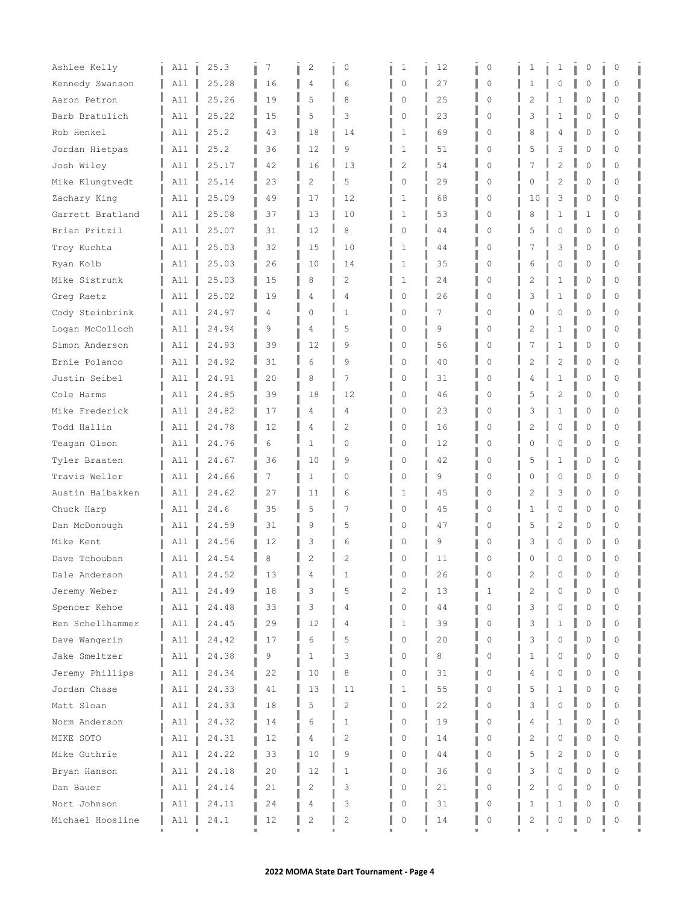| Ashlee Kelly     | All      | 25.3  | 7  | $\mathbf{2}$   | 0              | 1              | 12 | 0           | 1              | 1              | 0        | 0        |
|------------------|----------|-------|----|----------------|----------------|----------------|----|-------------|----------------|----------------|----------|----------|
| Kennedy Swanson  | All      | 25.28 | 16 | 4              | 6              | $\circ$        | 27 | 0           | 1              | 0              | 0        | 0        |
| Aaron Petron     | All      | 25.26 | 19 | 5              | 8              | $\circ$        | 25 | $\mathbf 0$ | 2              | $\mathbf{1}$   | O        | $\Omega$ |
| Barb Bratulich   | All      | 25.22 | 15 | 5              | 3              | $\circ$        | 23 | $\Omega$    | 3              | $\mathbf{1}$   | O        | $\Omega$ |
| Rob Henkel       | All      | 25.2  | 43 | 18             | 14             | 1              | 69 | $\Omega$    | 8              | 4              | 0        | 0        |
| Jordan Hietpas   | All      | 25.2  | 36 | 12             | 9              | 1              | 51 | 0           | 5              | 3              | 0        | 0        |
| Josh Wiley       | A11      | 25.17 | 42 | 16             | 13             | $\overline{c}$ | 54 | $\Omega$    | 7              | $\overline{c}$ | $\cap$   | $\Omega$ |
| Mike Klungtvedt  | All      | 25.14 | 23 | $\overline{c}$ | 5              | $\circ$        | 29 | $\Omega$    | 0              | $\overline{c}$ | $\Omega$ | 0        |
| Zachary King     | All      | 25.09 | 49 | 17             | 12             | 1              | 68 | 0           | 10             | 3              | 0        | 0        |
| Garrett Bratland | All      | 25.08 | 37 | 13             | 10             | 1              | 53 | $\circ$     | 8              | 1              | 1        | 0        |
| Brian Pritzil    | All      | 25.07 | 31 | 12             | 8              | $\circ$        | 44 | 0           | 5              | 0              | $\Omega$ | $\circ$  |
| Troy Kuchta      | A11      | 25.03 | 32 | 15             | 10             | $\mathbf{1}$   | 44 | $\Omega$    |                | 3              | O        | $\Omega$ |
| Ryan Kolb        | All      | 25.03 | 26 | 10             | 14             | 1              | 35 | 0           | 6              | 0              | 0        | 0        |
| Mike Sistrunk    | All      | 25.03 | 15 | 8              | 2              | 1              | 24 | 0           | 2              | 1              | 0        | 0        |
| Greg Raetz       | A11      | 25.02 | 19 | 4              | 4              | $\circ$        | 26 | 0           | 3              | $\mathbf{1}$   | 0        | $\Omega$ |
| Cody Steinbrink  | All      | 24.97 | 4  | $\Omega$       | 1              | $\circ$        | 7  | $\Omega$    | 0              | 0              | $\Omega$ | $\Omega$ |
| Logan McColloch  | All      | 24.94 | 9  | 4              | 5              | 0              | 9  | $\Omega$    | 2              | 1              | 0        | 0        |
| Simon Anderson   | All      | 24.93 | 39 | 12             | 9              | 0              | 56 | 0           | 7              | 1              | 0        | 0        |
| Ernie Polanco    | A11      | 24.92 | 31 | 6              | 9              | $\circ$        | 40 | $\mathbf 0$ | 2              | $\overline{c}$ | $\Omega$ | $\Omega$ |
| Justin Seibel    | A11      | 24.91 | 20 | 8              | 7              | 0              | 31 | 0           | 4              | $\mathbf{1}$   | $\Omega$ | $\Omega$ |
| Cole Harms       | All      | 24.85 | 39 | 18             | 12             | 0              | 46 | 0           | 5              | 2              | 0        | 0        |
| Mike Frederick   | All      | 24.82 | 17 | 4              | 4              | $\circ$        | 23 | 0           | 3              | 1              | 0        | 0        |
| Todd Hallin      | All      | 24.78 | 12 | 4              | $\overline{c}$ | 0              | 16 | $\Omega$    | $\overline{c}$ | 0              | O        | $\Omega$ |
| Teagan Olson     | All      | 24.76 | 6  | $\mathbf{1}$   | $\mathbf{0}$   | $\circ$        | 12 | $\Omega$    | 0              | 0              | 0        | $\Omega$ |
| Tyler Braaten    | All      | 24.67 | 36 | 10             | 9              | 0              | 42 | 0           | 5              | 1              | Ω        | 0        |
| Travis Weller    | All      | 24.66 | 7  | $\mathbf{1}$   | $\circ$        | 0              | 9  | 0           | 0              | 0              | 0        | 0        |
| Austin Halbakken | All      | 24.62 | 27 | 11             | 6              | $\mathbf{1}$   | 45 | $\Omega$    | $\overline{c}$ | 3              | $\cap$   | $\Omega$ |
| Chuck Harp       | A11      | 24.6  | 35 | 5              | 7              | $\circ$        | 45 | 0           | 1              | 0              | 0        | 0        |
| Dan McDonough    | All      | 24.59 | 31 | 9              | 5              | 0              | 47 | 0           | 5              | $\overline{c}$ | 0        | 0        |
| Mike Kent        | All      | 24.56 | 12 | 3              | 6              | 0              | 9  | 0           | 3              | 0              | 0        | 0        |
| Dave Tchouban    | All      | 24.54 | 8  | $\overline{c}$ | $\overline{2}$ | 0              | 11 | $\Omega$    | 0              | 0              | $\Omega$ | $\Omega$ |
| Dale Anderson    | All<br>ц | 24.52 | 13 | 4              | 1              | $\Omega$       | 26 | 0           | 2              | 0              | Ω        | O        |
| Jeremy Weber     | All      | 24.49 | 18 | 3              | 5              | $\overline{c}$ | 13 | 1           | $\mathfrak{D}$ | $\mathbf 0$    | 0        | $\Omega$ |
| Spencer Kehoe    | All      | 24.48 | 33 | 3              | 4              | 0              | 44 | 0           | 3              | 0              | 0        | 0        |
| Ben Schellhammer | All      | 24.45 | 29 | 12             | 4              | 1              | 39 | $\Omega$    | 3              | 1              | Λ        | $\Omega$ |
| Dave Wangerin    | All      | 24.42 | 17 | 6              | 5              | 0              | 20 | 0           | 3              | 0              | O        | $\Omega$ |
| Jake Smeltzer    | All      | 24.38 | 9  | 1              | 3              | 0              | 8  | 0           | 1              | 0              | 0        | 0        |
| Jeremy Phillips  | All      | 24.34 | 22 | 10             | 8              | 0              | 31 | 0           | 4              | 0              | 0        | 0        |
| Jordan Chase     | All      | 24.33 | 41 | 13             | 11             | 1              | 55 | 0           | 5              | 1              | Λ        | $\Omega$ |
| Matt Sloan       | All      | 24.33 | 18 | 5              | $\overline{c}$ | $\mathbf 0$    | 22 | $\Omega$    | 3              | 0              | $\cap$   | $\Omega$ |
| Norm Anderson    | All      | 24.32 | 14 | 6              | 1              | 0              | 19 | 0           | 4              | 1              | 0        | 0        |
| MIKE SOTO        | All      | 24.31 | 12 | 4              | 2              | 0              | 14 | 0           | 2              | 0              | 0        | 0        |
| Mike Guthrie     | All      | 24.22 | 33 | 10             | 9              | 0              | 44 | 0           | 5              | $\overline{c}$ | 0        | $\Omega$ |
| Bryan Hanson     | All      | 24.18 | 20 | 12             | $\mathbf{1}$   | 0              | 36 | 0           | 3              | 0              | $\Omega$ | $\Omega$ |
| Dan Bauer        | All      | 24.14 | 21 | 2              | 3              | 0              | 21 | 0           | 2              | 0              | Ω        | 0        |
| Nort Johnson     | All      | 24.11 | 24 | 4              | 3              | 0              | 31 | 0           | 1              | 1              | Ω        |          |
| Michael Hoosline | All      | 24.1  | 12 | $\mathbf{2}$   | $\overline{2}$ | 0              | 14 | 0           | 2              | 0              | 0        | 0        |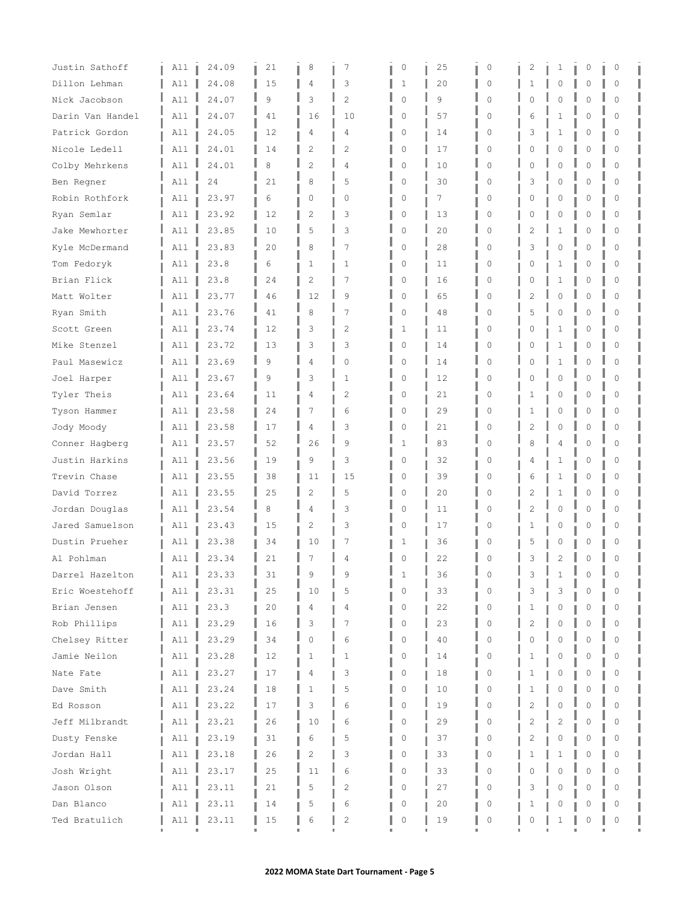| Justin Sathoff   | All | 24.09 | 21 | 8              | 7              | 0           | 25 | $\circ$     | 2              | 1              | 0           | 0        |  |
|------------------|-----|-------|----|----------------|----------------|-------------|----|-------------|----------------|----------------|-------------|----------|--|
| Dillon Lehman    | A11 | 24.08 | 15 | 4              | 3              | 1           | 20 | $\Omega$    | 1              | $\mathbf 0$    | $\Omega$    | $\Omega$ |  |
| Nick Jacobson    | All | 24.07 | 9  | 3              | $\overline{2}$ | $\mathbf 0$ | 9  | $\Omega$    | 0              | 0              | O           | $\Omega$ |  |
| Darin Van Handel | All | 24.07 | 41 | 16             | 10             | 0           | 57 | $\Omega$    | 6              | $\mathbf{1}$   | O           | $\Omega$ |  |
| Patrick Gordon   | All | 24.05 | 12 | 4              | 4              | 0           | 14 | $\Omega$    | 3              | 1              | 0           | 0        |  |
| Nicole Ledell    | All | 24.01 | 14 | $\overline{c}$ | 2              | $\circ$     | 17 | 0           | 0              | 0              | 0           | $\Omega$ |  |
| Colby Mehrkens   | All | 24.01 | 8  | $\overline{2}$ | 4              | $\mathbf 0$ | 10 | $\Omega$    | O              | $\Omega$       | $\cap$      | $\Omega$ |  |
| Ben Regner       | A11 | 24    | 21 | 8              | 5              | $\circ$     | 30 | $\Omega$    | 3              | 0              | 0           | 0        |  |
| Robin Rothfork   | All | 23.97 | 6  | 0              | 0              | 0           | 7  | 0           | 0              | 0              | 0           | 0        |  |
| Ryan Semlar      | All | 23.92 | 12 | $\overline{2}$ | 3              | 0           | 13 | 0           | 0              | 0              | 0           | 0        |  |
| Jake Mewhorter   | A11 | 23.85 | 10 | 5              | 3              | 0           | 20 | $\mathbf 0$ | 2              | $\mathbf{1}$   | $\Omega$    | $\Omega$ |  |
| Kyle McDermand   | A11 | 23.83 | 20 | 8              | 7              | $\mathbf 0$ | 28 | $\Omega$    | 3              | 0              | $\Omega$    | $\Omega$ |  |
| Tom Fedoryk      | All | 23.8  | 6  | $\mathbf{1}$   | 1              | 0           | 11 | $\Omega$    | 0              | $\mathbf{1}$   | 0           | 0        |  |
| Brian Flick      | All | 23.8  | 24 | $\overline{c}$ | 7              | 0           | 16 | 0           | 0              | 1              | 0           | 0        |  |
| Matt Wolter      | A11 | 23.77 | 46 | 12             | 9              | 0           | 65 | 0           | 2              | 0              | $\Omega$    | $\Omega$ |  |
| Ryan Smith       | All | 23.76 | 41 | 8              | 7              | $\mathbf 0$ | 48 | $\Omega$    | 5              | 0              | $\Omega$    | $\Omega$ |  |
| Scott Green      | All | 23.74 | 12 | 3              | $\overline{2}$ | 1           | 11 | $\Omega$    | 0              | 1              | 0           | 0        |  |
| Mike Stenzel     | All | 23.72 | 13 | 3              | 3              | 0           | 14 | 0           | 0              | 1              | 0           | 0        |  |
| Paul Masewicz    | All | 23.69 | 9  | 4              | $\mathbf{0}$   | $\circ$     | 14 | $\mathbf 0$ | 0              | 1              | O           | $\Omega$ |  |
| Joel Harper      | All | 23.67 | 9  | 3              | 1              | 0           | 12 | $\Omega$    | 0              | $\overline{0}$ | $\Omega$    | $\Omega$ |  |
| Tyler Theis      | A11 | 23.64 | 11 | 4              | 2              | 0           | 21 | 0           | 1              | 0              | 0           | 0        |  |
| Tyson Hammer     | All | 23.58 | 24 | 7              | 6              | $\circ$     | 29 | 0           | 1              | 0              | 0           | 0        |  |
| Jody Moody       | All | 23.58 | 17 | 4              | 3              | $\circ$     | 21 | $\Omega$    | 2              | 0              | O           | $\Omega$ |  |
| Conner Hagberg   | All | 23.57 | 52 | 26             | 9              | 1           | 83 | 0           | 8              | 4              | $\mathbb O$ | 0        |  |
| Justin Harkins   | All | 23.56 | 19 | 9              | 3              | 0           | 32 | 0           | 4              | 1              | Ω           | 0        |  |
| Trevin Chase     | All | 23.55 | 38 | 11             | 15             | $\circ$     | 39 | 0           | 6              | 1              | 0           | $\Omega$ |  |
| David Torrez     | All | 23.55 | 25 | $\overline{c}$ | 5              | 0           | 20 | $\Omega$    | 2              | 1              | $\cap$      | $\Omega$ |  |
| Jordan Douglas   | All | 23.54 | 8  | 4              | 3              | 0           | 11 | $\Omega$    | $\overline{c}$ | 0              | O           | $\Omega$ |  |
| Jared Samuelson  | All | 23.43 | 15 | $\overline{c}$ | 3              | 0           | 17 | 0           | 1              | 0              | 0           | 0        |  |
| Dustin Prueher   | All | 23.38 | 34 | 10             | 7              | 1           | 36 | 0           | 5              | 0              | Ω           | 0        |  |
| Al Pohlman       | All | 23.34 | 21 | 7              | 4              | 0           | 22 | $\Omega$    | 3              | 2              | 0           | $\circ$  |  |
| Darrel Hazelton  | All | 23.33 | 31 | 9              | 9              |             | 36 | 0           | 3              | 1              |             |          |  |
| Eric Woestehoff  | All | 23.31 | 25 | 10             | 5              | $\Omega$    | 33 | $\Omega$    | 3              | 3              | 0           | 0        |  |
| Brian Jensen     | All | 23.3  | 20 | 4              | 4              | 0           | 22 | 0           | 1              | 0              | Ω           | 0        |  |
| Rob Phillips     | All | 23.29 | 16 | 3              | 7              | 0           | 23 | 0           | 2              | 0              |             | $\Omega$ |  |
| Chelsey Ritter   | All | 23.29 | 34 | 0              | 6              | 0           | 40 | 0           | 0              | 0              | Λ           | $\Omega$ |  |
| Jamie Neilon     | All | 23.28 | 12 | 1              | 1              | 0           | 14 | 0           | 1              | 0              | 0           | 0        |  |
| Nate Fate        | All | 23.27 | 17 | 4              | 3              | 0           | 18 | 0           | 1              | 0              | 0           | 0        |  |
| Dave Smith       | All | 23.24 | 18 | 1              | 5              | 0           | 10 | 0           | $\mathbf{1}$   | 0              | $\cap$      | 0        |  |
| Ed Rosson        | All | 23.22 | 17 | 3              | 6              | 0           | 19 | $\Omega$    | 2              | 0              | $\cap$      | $\Omega$ |  |
| Jeff Milbrandt   | All | 23.21 | 26 | 10             | 6              | 0           | 29 | 0           | 2              | 2              | Ω           | 0        |  |
| Dusty Fenske     | All | 23.19 | 31 | 6              | 5              | 0           | 37 | 0           | 2              | 0              | 0           | 0        |  |
| Jordan Hall      | All | 23.18 | 26 | 2              | 3              | 0           | 33 | 0           | 1              | 1              | $\cap$      | $\Omega$ |  |
| Josh Wright      | All | 23.17 | 25 | 11             | 6              | 0           | 33 | 0           | O              | 0              | $\Omega$    | $\Omega$ |  |
| Jason Olson      | All | 23.11 | 21 | 5              | 2              | 0           | 27 | 0           | 3              | 0              | Ω           | $\Omega$ |  |
| Dan Blanco       | All | 23.11 | 14 | 5              | 6              | 0           | 20 | 0           | 1              | 0              |             | 0        |  |
| Ted Bratulich    | All | 23.11 | 15 | 6              | $\overline{2}$ | 0           | 19 | 0           | 0              | 1              | 0           | 0        |  |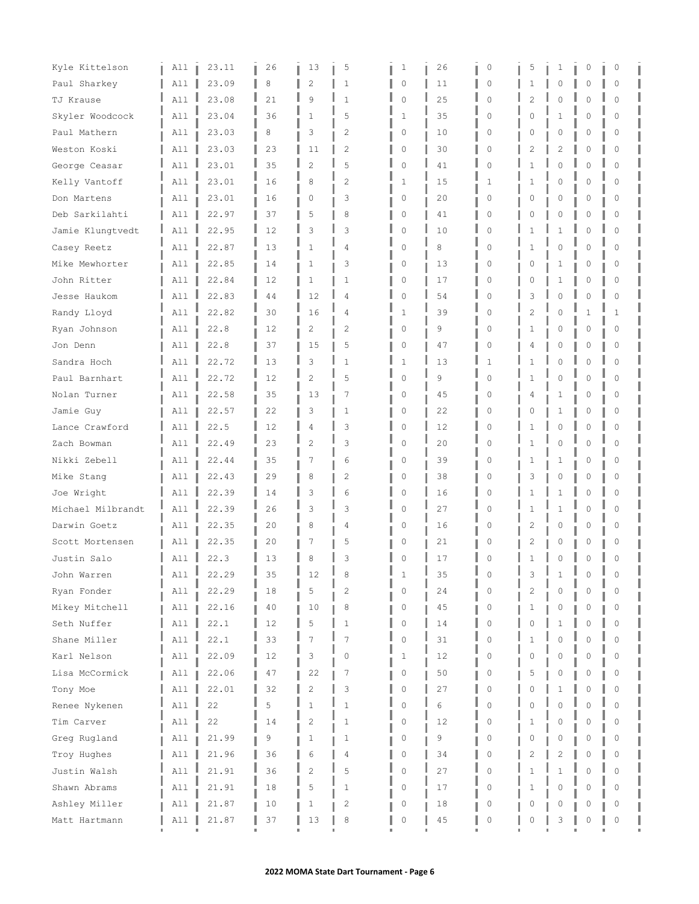| Kyle Kittelson    | All      | 23.11 | 26 | 13             | 5              | 1           | 26 | $\circ$      | 5 | 1              | 0        | 0            |  |
|-------------------|----------|-------|----|----------------|----------------|-------------|----|--------------|---|----------------|----------|--------------|--|
| Paul Sharkey      | All      | 23.09 | 8  | 2              | 1              | $\mathbf 0$ | 11 | $\circ$      | 1 | 0              | 0        | $\circ$      |  |
| TJ Krause         | All      | 23.08 | 21 | 9              | $\mathbf{1}$   | $\mathbf 0$ | 25 | $\Omega$     | 2 | 0              | O        | $\Omega$     |  |
| Skyler Woodcock   | All      | 23.04 | 36 | $\mathbf{1}$   | 5              | 1           | 35 | $\Omega$     | Ω | $\mathbf{1}$   | O        | $\Omega$     |  |
| Paul Mathern      | All      | 23.03 | 8  | 3              | 2              | 0           | 10 | 0            | Ω | 0              | 0        | $\Omega$     |  |
| Weston Koski      | All      | 23.03 | 23 | 11             | $\overline{c}$ | $\circ$     | 30 | 0            | 2 | 2              | 0        | 0            |  |
| George Ceasar     | A11      | 23.01 | 35 | $\overline{c}$ | 5              | 0           | 41 | 0            |   | $\Omega$       | O        | $\Omega$     |  |
| Kelly Vantoff     | All      | 23.01 | 16 | 8              | $\overline{c}$ | 1           | 15 | 1            | 1 | 0              | 0        | $\Omega$     |  |
| Don Martens       | All      | 23.01 | 16 | 0              | 3              | 0           | 20 | $\circ$      | 0 | 0              | 0        | 0            |  |
| Deb Sarkilahti    | All      | 22.97 | 37 | 5              | 8              | 0           | 41 | 0            | Ω | 0              | 0        | 0            |  |
| Jamie Klungtvedt  | All      | 22.95 | 12 | 3              | 3              | $\mathbf 0$ | 10 | $\mathbf 0$  |   | 1              | 0        | $\Omega$     |  |
| Casey Reetz       | All      | 22.87 | 13 | 1              | 4              | $\mathbf 0$ | 8  | 0            |   | $\Omega$       | $\Omega$ | $\bigcap$    |  |
| Mike Mewhorter    | All      | 22.85 | 14 | $\mathbf{1}$   | 3              | 0           | 13 | 0            | 0 | 1              | 0        | 0            |  |
| John Ritter       | All      | 22.84 | 12 | $\mathbf{1}$   | 1              | 0           | 17 | 0            | Ω | 1              | 0        | 0            |  |
| Jesse Haukom      | All      | 22.83 | 44 | 12             | 4              | 0           | 54 | $\mathbf 0$  | 3 | $\mathbf 0$    | 0        | $\mathbf 0$  |  |
| Randy Lloyd       | All      | 22.82 | 30 | 16             | 4              | 1           | 39 | $\Omega$     | 2 | $\Omega$       | 1        | $\mathbf{1}$ |  |
| Ryan Johnson      | All      | 22.8  | 12 | $\overline{c}$ | 2              | 0           | 9  | $\Omega$     | 1 | 0              | 0        | $\Omega$     |  |
| Jon Denn          | All      | 22.8  | 37 | 15             | 5              | 0           | 47 | $\circ$      | 4 | 0              | Λ        | 0            |  |
| Sandra Hoch       | All      | 22.72 | 13 | 3              | $\mathbf{1}$   | 1           | 13 | $\mathbf{1}$ |   | $\Omega$       | 0        | $\Omega$     |  |
| Paul Barnhart     | A11      | 22.72 | 12 | 2              | 5              | 0           | 9  | $\mathbf 0$  | 1 | 0              | 0        | $\Omega$     |  |
| Nolan Turner      | All      | 22.58 | 35 | 13             | 7              | 0           | 45 | 0            | 4 | 1              | 0        | 0            |  |
| Jamie Guy         | All      | 22.57 | 22 | 3              | 1              | $\mathbf 0$ | 22 | $\circ$      |   | 1              | 0        | $\circ$      |  |
| Lance Crawford    | A11      | 22.5  | 12 | 4              | 3              | 0           | 12 | $\Omega$     |   | 0              | O        | $\Omega$     |  |
| Zach Bowman       | All      | 22.49 | 23 | $\overline{c}$ | 3              | $\circ$     | 20 | $\mathbf 0$  | 1 | $\circ$        | 0        | $\mathbf 0$  |  |
| Nikki Zebell      | All      | 22.44 | 35 | 7              | 6              | 0           | 39 | $\Omega$     |   | 1              | Λ        | $\Omega$     |  |
| Mike Stang        | All      | 22.43 | 29 | 8              | 2              | 0           | 38 | $\circ$      | 3 | 0              | 0        | $\Omega$     |  |
| Joe Wright        | All      | 22.39 | 14 | 3              | 6              | $\mathbf 0$ | 16 | $\Omega$     | 1 | 1              | Λ        | $\Omega$     |  |
| Michael Milbrandt | All      | 22.39 | 26 | 3              | 3              | 0           | 27 | 0            | 1 | 1              | 0        | $\Omega$     |  |
| Darwin Goetz      | All      | 22.35 | 20 | 8              | 4              | 0           | 16 | $\circ$      | 2 | 0              | 0        | $\circ$      |  |
| Scott Mortensen   | All      | 22.35 | 20 | 7              | 5              | 0           | 21 | 0            | 2 | 0              | 0        | 0            |  |
| Justin Salo       | All      | 22.3  | 13 | 8              | 3              | $\Omega$    | 17 | $\Omega$     | 1 | 0              | 0        | $\Omega$     |  |
| John Warren       | All<br>щ | 22.29 | 35 | 12             | 8              |             | 35 | $\Omega$     | 3 |                | 0        | <sup>0</sup> |  |
| Ryan Fonder       | All      | 22.29 | 18 | 5              | $\overline{c}$ | $\Omega$    | 24 | $\Omega$     | 2 | $\circ$        | 0        | $\Omega$     |  |
| Mikey Mitchell    | All      | 22.16 | 40 | 10             | 8              | 0           | 45 | 0            | 1 | 0              | 0        | 0            |  |
| Seth Nuffer       | All      | 22.1  | 12 | 5              | $\mathbf{1}$   | $\mathbf 0$ | 14 | $\Omega$     | Ω | 1              | $\Omega$ | $\Omega$     |  |
| Shane Miller      | All      | 22.1  | 33 | $\overline{7}$ | 7              | $\mathbf 0$ | 31 | $\mathbf 0$  | 1 | 0              | $\Omega$ | $\Omega$     |  |
| Karl Nelson       | All      | 22.09 | 12 | 3              | 0              | 1           | 12 | 0            | 0 | $\circ$        | 0        | $\Omega$     |  |
| Lisa McCormick    | All      | 22.06 | 47 | 22             | 7              | 0           | 50 | 0            | 5 | 0              | 0        | 0            |  |
| Tony Moe          | All      | 22.01 | 32 | $\overline{c}$ | 3              | 0           | 27 | $\mathbf 0$  | Λ | 1              | Λ        | $\Omega$     |  |
| Renee Nykenen     | All      | 22    | 5  | $\mathbf{1}$   | $\mathbf{1}$   | $\mathbf 0$ | 6  | 0            | n | $\Omega$       | O        | $\Omega$     |  |
| Tim Carver        | All      | 22    | 14 | $\overline{c}$ | 1              | 0           | 12 | 0            | 1 | 0              | 0        | 0            |  |
| Greg Rugland      | All      | 21.99 | 9  | 1              | 1              | 0           | 9  | 0            | 0 | 0              | 0        | 0            |  |
| Troy Hughes       | All      | 21.96 | 36 | 6              | 4              | 0           | 34 | $\mathbf 0$  | 2 | $\overline{c}$ | $\Omega$ | $\mathbf 0$  |  |
| Justin Walsh      | All      | 21.91 | 36 | $\overline{c}$ | 5              | 0           | 27 | $\mathbf 0$  |   | $\mathbf{1}$   | $\Omega$ | $\Omega$     |  |
| Shawn Abrams      | All      | 21.91 | 18 | 5              | 1              | 0           | 17 | 0            | 1 | 0              | O        | $\Omega$     |  |
| Ashley Miller     | All      | 21.87 | 10 | 1              | 2              | 0           | 18 | 0            | 0 | 0              | 0        | 0            |  |
| Matt Hartmann     | All      | 21.87 | 37 | 13             | 8              | 0           | 45 | $\circ$      | 0 | 3              | 0        | $\circ$      |  |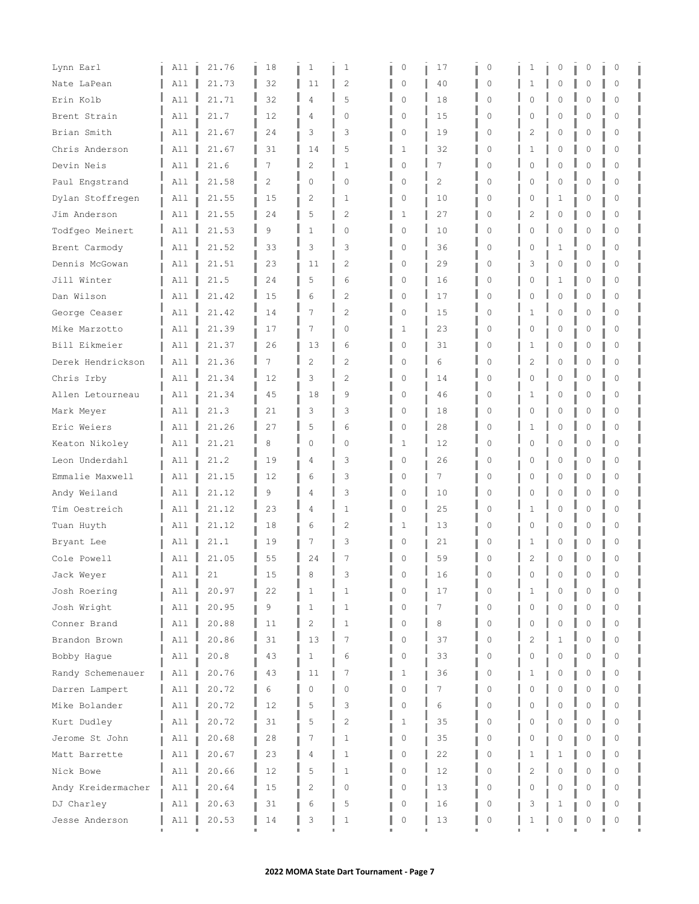| Lynn Earl                    | All        | 21.76         | 18       | 1              | 1              | 0                | 17             | $\circ$          | 1                   | 0                 | 0        | $\circ$              |  |
|------------------------------|------------|---------------|----------|----------------|----------------|------------------|----------------|------------------|---------------------|-------------------|----------|----------------------|--|
| Nate LaPean                  | All        | 21.73         | 32       | 11             | $\overline{c}$ | 0                | 40             | $\mathbf 0$      | 1                   | 0                 | 0        | $\circ$              |  |
| Erin Kolb                    | A11        | 21.71         | 32       | 4              | 5              | 0                | 18             | $\Omega$         |                     | 0                 | O        | $\Omega$             |  |
| Brent Strain                 | All        | 21.7          | 12       | 4              | $\Omega$       | $\mathbf 0$      | 15             | $\Omega$         |                     | 0                 | Λ        | $\Omega$             |  |
| Brian Smith                  | All        | 21.67         | 24       | 3              | 3              | 0                | 19             | $\circ$          | 2                   | 0                 | 0        | 0                    |  |
| Chris Anderson               | All        | 21.67         | 31       | 14             | 5              | 1                | 32             | 0                | 1                   | 0                 | 0        | $\Omega$             |  |
| Devin Neis                   | All        | 21.6          | 7        | 2              | 1              | $\mathbf 0$      | 7              | $\Omega$         | Λ                   | $\Omega$          | Λ        | $\Omega$             |  |
| Paul Engstrand               | All        | 21.58         | 2        | $\Omega$       | $\Omega$       | $\mathbf 0$      | $\overline{c}$ | $\Omega$         | Λ                   | $\Omega$          | $\Omega$ | $\Omega$             |  |
| Dylan Stoffregen             | All        | 21.55         | 15       | $\overline{2}$ | 1              | 0                | 10             | 0                | 0                   | 1                 | 0        | 0                    |  |
| Jim Anderson                 | All        | 21.55         | 24       | 5              | 2              | 1                | 27             | 0                | 2                   | 0                 | 0        | 0                    |  |
| Todfgeo Meinert              | A11        | 21.53         | 9        | 1              | $\mathbf{0}$   | $\mathbf 0$      | 10             | $\mathbf 0$      | C                   | $\Omega$          | $\Omega$ | $\Omega$             |  |
| Brent Carmody                | All        | 21.52         | 33       | 3              | 3              | 0                | 36             | 0                |                     | 1                 | O        | Ω                    |  |
| Dennis McGowan               | All        | 21.51         | 23       | 11             | 2              | 0                | 29             | 0                | 3                   | 0                 | 0        | 0                    |  |
| Jill Winter                  | All        | 21.5          | 24       | 5              | 6              | 0                | 16             | 0                | Ω                   | $\mathbf 1$       | 0        | 0                    |  |
| Dan Wilson                   | All        | 21.42         | 15       | 6              | $\overline{c}$ | 0                | 17             | $\mathbf 0$      |                     | $\circ$           | $\Omega$ | $\Omega$             |  |
| George Ceaser                | All        | 21.42         | 14       | 7              | $\overline{c}$ | $\circ$          | 15             | 0                |                     | $\Omega$          | $\Omega$ | $\Omega$             |  |
| Mike Marzotto                | All        | 21.39         | 17       | 7              | 0              | 1                | 23             | $\Omega$         | Ω                   | 0                 | 0        | $\Omega$             |  |
| Bill Eikmeier                | All        | 21.37         | 26       | 13             | 6              | 0                | 31             | $\circ$          |                     | 0                 | 0        | $\Omega$             |  |
| Derek Hendrickson            | All        | 21.36         | 7        | $\overline{c}$ | $\overline{2}$ | $\mathbf 0$      | 6              | $\Omega$         | 2                   | 0                 | 0        | $\Omega$             |  |
| Chris Irby                   | All        | 21.34         | 12       | 3              | $\overline{c}$ | 0                | 14             | 0                | $\cap$              | $\Omega$          | $\Omega$ | $\Omega$             |  |
| Allen Letourneau             | All        | 21.34         | 45       | 18             | 9              | 0                | 46             | 0                | 1                   | 0                 | 0        | 0                    |  |
| Mark Meyer                   | All        | 21.3          | 21       | 3              | 3              | 0                | 18             | 0                | C                   | 0                 | 0        | $\circ$              |  |
| Eric Weiers                  | A11        | 21.26         | 27       | 5              | 6              | 0                | 28             | $\Omega$         |                     | $\mathbf 0$       | 0        | $\Omega$             |  |
| Keaton Nikoley               | All        | 21.21         | 8        | 0              | $\Omega$       | 1                | 12             | $\Omega$         | 0                   | $\circ$           | 0        | $\Omega$             |  |
| Leon Underdahl               | All        | 21.2          | 19       | 4              | 3              | 0                | 26             | 0                |                     | 0                 | Λ        | $\Omega$             |  |
| Emmalie Maxwell              | All        | 21.15         | 12       | 6              | 3              | 0                | 7              | 0                | Ω                   | 0                 | 0        | 0                    |  |
| Andy Weiland                 | All        | 21.12         | 9        | 4              | 3              | $\mathbf 0$      | 10             | $\Omega$         |                     | $\Omega$          | Λ        | $\Omega$             |  |
| Tim Oestreich                | All        | 21.12         | 23       | 4              | 1              | 0                | 25             | 0                | 1                   | 0                 | O        | $\Omega$             |  |
| Tuan Huyth                   | All        | 21.12         | 18       | 6              | 2              | 1                | 13             | $\circ$          | 0                   | 0                 | 0        | 0                    |  |
| Bryant Lee                   | All        | 21.1          | 19       | 7              | 3              | 0                | 21             | 0                |                     | 0                 | 0        | 0                    |  |
| Cole Powell                  | All        | 21.05         | 55       | 24             | 7              | n                | 59             | $\Omega$         | 2                   | $\Omega$          | 0        | $\Omega$             |  |
| Jack Weyer                   | All<br>ц   | 21            | 15       | 8              | 3              | n                | 16             | 0                |                     | $\Omega$          |          | $\Omega$             |  |
| Josh Roering                 | All        | 20.97         | 22       | 1              | 1              |                  | 17             | $\Omega$         |                     | $\circ$           | Λ        | $\Omega$             |  |
| Josh Wright                  | All        | 20.95         | 9        | 1              | 1              | 0                | 7              | $\circ$          | 0                   | 0                 | 0        | 0                    |  |
| Conner Brand                 | All        | 20.88         | 11       | $\overline{c}$ | $\mathbf{1}$   | 0                | 8              | $\Omega$         | Λ                   | 0                 | Λ        | $\Omega$             |  |
| Brandon Brown<br>Bobby Haque | All<br>All | 20.86<br>20.8 | 31<br>43 | 13<br>1        | 7<br>6         | $\mathbf 0$<br>0 | 37<br>33       | $\mathbf 0$<br>0 | $\overline{c}$<br>0 | $\mathbf{1}$<br>0 | Λ<br>O   | $\Omega$<br>$\Omega$ |  |
| Randy Schemenauer            | All        | 20.76         | 43       | 11             | 7              |                  | 36             | 0                | 1                   | 0                 | 0        | 0                    |  |
| Darren Lampert               | All        | 20.72         | 6        | 0              | $\mathbf{0}$   | 1<br>$\circ$     | 7              | $\mathbf 0$      | Ω                   | $\circ$           | Λ        | $\Omega$             |  |
| Mike Bolander                | All        | 20.72         | 12       | 5              | 3              | $\Omega$         | 6              | 0                |                     | $\Omega$          | O        | $\bigcap$            |  |
| Kurt Dudley                  | All        | 20.72         | 31       | 5              | $\mathbf{2}$   | 1                | 35             | 0                | 0                   | 0                 | 0        | 0                    |  |
| Jerome St John               | All        | 20.68         | 28       | 7              | 1              | 0                | 35             | 0                | 0                   | 0                 | 0        | 0                    |  |
| Matt Barrette                | All        | 20.67         | 23       | 4              | 1              | 0                | 22             | $\mathbf 0$      |                     | 1                 | O        | $\Omega$             |  |
| Nick Bowe                    | All        | 20.66         | 12       | 5              | 1              | 0                | 12             | $\mathbf 0$      | 2                   | $\Omega$          | $\Omega$ | $\Omega$             |  |
| Andy Kreidermacher           | All        | 20.64         | 15       | 2              | 0              | $\circ$          | 13             | $\Omega$         |                     | 0                 | Λ        | $\Omega$             |  |
| DJ Charley                   | All        | 20.63         | 31       | 6              | 5              | 0                | 16             | 0                | 3                   | 1                 | Ω        | 0                    |  |
| Jesse Anderson               | All        | 20.53         | 14       | 3              | 1              | 0                | 13             | 0                | 1                   | 0                 | O        | 0                    |  |
|                              |            |               |          |                |                |                  |                |                  |                     |                   |          |                      |  |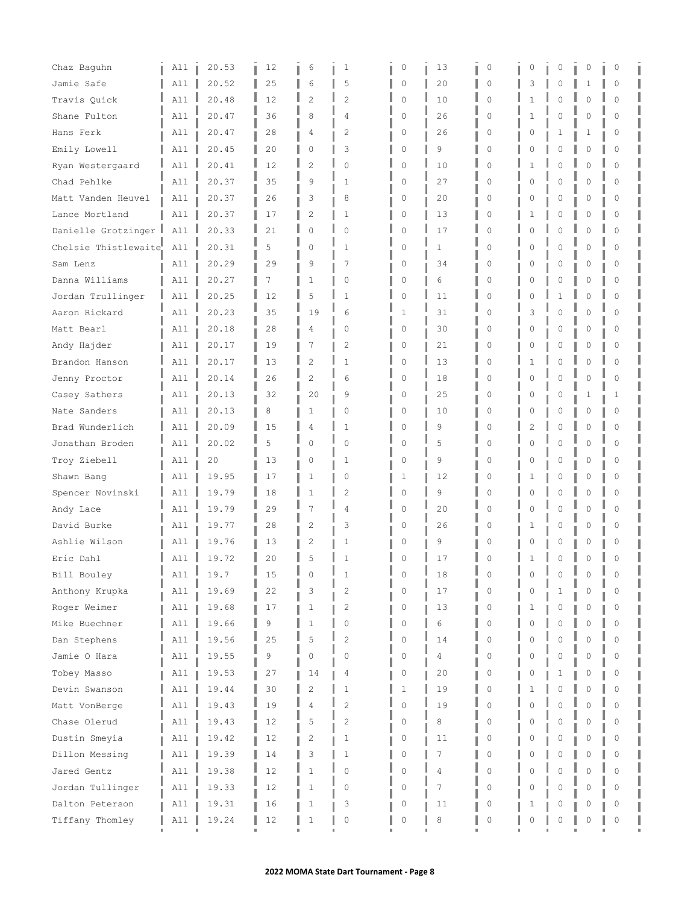| Chaz Baguhn          | All      | 20.53 | 12 | 6              | 1                   | 0            | 13           | $\circ$     | 0       | 0            | 0        | $\circ$     |  |
|----------------------|----------|-------|----|----------------|---------------------|--------------|--------------|-------------|---------|--------------|----------|-------------|--|
| Jamie Safe           | All      | 20.52 | 25 | 6              | 5                   | 0            | 20           | $\circ$     | 3       | 0            | 1        | $\circ$     |  |
| Travis Quick         | All      | 20.48 | 12 | 2              | $\overline{2}$      | $\mathbf 0$  | 10           | $\Omega$    |         | 0            | Λ        | $\Omega$    |  |
| Shane Fulton         | All      | 20.47 | 36 | 8              | 4                   | $\mathbf 0$  | 26           | $\Omega$    |         | 0            | Λ        | $\Omega$    |  |
| Hans Ferk            | All      | 20.47 | 28 | 4              | 2                   | 0            | 26           | $\circ$     | Ω       | 1            | 1        | 0           |  |
| Emily Lowell         | All      | 20.45 | 20 | $\circ$        | 3                   | 0            | 9            | 0           | 0       | 0            | 0        | $\Omega$    |  |
| Ryan Westergaard     | All      | 20.41 | 12 | 2              | $\Omega$            | $\mathbf 0$  | 10           | $\Omega$    |         | $\Omega$     | Λ        | $\Omega$    |  |
| Chad Pehlke          | All      | 20.37 | 35 | 9              | 1                   | $\circ$      | 27           | $\Omega$    | Ω       | $\Omega$     | O        | $\Omega$    |  |
| Matt Vanden Heuvel   | All      | 20.37 | 26 | 3              | 8                   | 0            | 20           | 0           | 0       | 0            | 0        | 0           |  |
| Lance Mortland       | All      | 20.37 | 17 | $\overline{2}$ | 1                   | 0            | 13           | 0           | ٦       | 0            | 0        | 0           |  |
| Danielle Grotzinger  | All      | 20.33 | 21 | 0              | $\Omega$            | $\mathbf 0$  | 17           | $\Omega$    |         | $\Omega$     | 0        | $\Omega$    |  |
| Chelsie Thistlewaite | All      | 20.31 | 5  | 0              | 1                   | 0            | $\mathbf{1}$ | O           |         | $\Omega$     | Λ        | Ω           |  |
| Sam Lenz             | All      | 20.29 | 29 | 9              | 7                   | 0            | 34           | 0           | 0       | 0            | 0        | 0           |  |
| Danna Williams       | All      | 20.27 | 7  | $\mathbf{1}$   | $\circ$             | $\mathbf 0$  | 6            | 0           | Ω       | 0            | 0        | 0           |  |
| Jordan Trullinger    | All      | 20.25 | 12 | 5              | $\mathbf{1}$        | 0            | 11           | $\mathbf 0$ |         | 1            | $\Omega$ | $\Omega$    |  |
| Aaron Rickard        | A11      | 20.23 | 35 | 19             | 6                   | 1            | 31           | 0           | 3       | $\Omega$     | $\Omega$ | $\Omega$    |  |
| Matt Bearl           | All      | 20.18 | 28 | 4              | 0                   | 0            | 30           | $\Omega$    | Ω       | 0            | 0        | $\Omega$    |  |
| Andy Hajder          | All      | 20.17 | 19 | 7              | $\overline{2}$      | 0            | 21           | $\circ$     |         | $\mathbf 0$  | Λ        | 0           |  |
| Brandon Hanson       | All      | 20.17 | 13 | $\overline{c}$ | $\mathbf{1}$        | $\mathbf 0$  | 13           | $\Omega$    |         | $\Omega$     | O        | $\Omega$    |  |
| Jenny Proctor        | All      | 20.14 | 26 | $\overline{c}$ | 6                   | 0            | 18           | $\Omega$    | Ω       | $\Omega$     | $\Omega$ | $\Omega$    |  |
| Casey Sathers        | All      | 20.13 | 32 | 20             | 9                   | 0            | 25           | 0           | 0       | 0            | 1        | 1           |  |
| Nate Sanders         | All      | 20.13 | 8  | 1              | $\Omega$            | 0            | 10           | $\Omega$    | C       | 0            | 0        | 0           |  |
| Brad Wunderlich      | A11      | 20.09 | 15 | 4              | $\mathbf{1}$        | $\mathbf 0$  | 9            | $\Omega$    | 2       | $\mathbf 0$  | 0        | $\Omega$    |  |
| Jonathan Broden      | All      | 20.02 | 5  | 0              | $\Omega$            | $\mathbf 0$  | 5            | $\Omega$    | 0       | $\circ$      | $\Omega$ | $\Omega$    |  |
| Troy Ziebell         | All      | 20    | 13 | 0              | 1                   | 0            | 9            | 0           |         | 0            | Λ        | $\Omega$    |  |
| Shawn Bang           | All      | 19.95 | 17 | 1              | 0                   | 1            | 12           | 0           | 1       | 0            | 0        | 0           |  |
| Spencer Novinski     | All      | 19.79 | 18 | $\mathbf{1}$   | $\mathfrak{D}$      | $\mathbf 0$  | 9            | 0           |         | $\Omega$     | Λ        | $\Omega$    |  |
| Andy Lace            | All      | 19.79 | 29 | 7              | 4                   | 0            | 20           | $\Omega$    | Λ       | 0            | Λ        | $\Omega$    |  |
| David Burke          | All      | 19.77 | 28 | $\overline{2}$ | 3                   | 0            | 26           | 0           | 1       | 0            | 0        | 0           |  |
| Ashlie Wilson        | All      | 19.76 | 13 | 2              | 1                   | 0            | 9            | 0           | $\circ$ | 0            | Λ        | 0           |  |
| Eric Dahl            | All      | 19.72 | 20 | 5              | $\mathbf{1}$        | n            | 17           | $\Omega$    |         | $\Omega$     | 0        | $\Omega$    |  |
| Bill Bouley          | All<br>ц | 19.7  | 15 | 0              |                     | $\cap$       | 18           | 0           |         | 0            | Λ        | $\Omega$    |  |
| Anthony Krupka       | All      | 19.69 | 22 | 3              | 2                   | $\Omega$     | 17           | $\Omega$    |         | $\mathbf{1}$ | 0        | $\Omega$    |  |
| Roger Weimer         | All      | 19.68 | 17 | 1              | $\overline{2}$      | 0            | 13           | 0           | 1       | 0            | 0        | 0           |  |
| Mike Buechner        | All      | 19.66 | 9  | $\mathbf{1}$   | 0                   | 0            | 6            | $\Omega$    | Λ       | $\mathbf{0}$ | 0        | $\Omega$    |  |
| Dan Stephens         | All      | 19.56 | 25 | 5              | $\overline{c}$      | $\mathbf 0$  | 14           | $\mathbf 0$ |         | 0            | $\Omega$ | $\Omega$    |  |
| Jamie O Hara         | All      | 19.55 | 9  | 0              | $\circ$             | 0            | 4            | 0           | 0       | 0            | 0        | $\Omega$    |  |
| Tobey Masso          | All      | 19.53 | 27 | 14             | 4                   | 0            | 20           | 0           | 0       | 1            | 0        | 0           |  |
| Devin Swanson        | All      | 19.44 | 30 | 2              | $\mathbf{1}$        | $\mathbf{1}$ | 19           | 0           | 1       | $\circ$      | $\Omega$ | $\Omega$    |  |
| Matt VonBerge        | All      | 19.43 | 19 | 4              | $\overline{c}$      | $\Omega$     | 19           | 0           |         | $\Omega$     | O        | $\bigcap$   |  |
| Chase Olerud         | All      | 19.43 | 12 | 5              | $\mathbf{2}$        | 0            | 8            | 0           | 0       | 0            | 0        | 0           |  |
| Dustin Smeyia        | All      | 19.42 | 12 | 2              | 1                   | 0            | 11           | 0           | 0       | 0            | 0        | 0           |  |
| Dillon Messing       | All      | 19.39 | 14 | 3              | 1                   | 0            | 7            | $\mathbf 0$ |         | $\circ$      | 0        | $\mathbf 0$ |  |
| Jared Gentz          | All      | 19.38 | 12 | $\mathbf{1}$   | 0                   | 0            | 4            | $\Omega$    | Λ       | $\mathbf 0$  | $\Omega$ | $\Omega$    |  |
| Jordan Tullinger     | A11      | 19.33 | 12 | $\mathbf{1}$   | 0                   | 0            | 7            | 0           |         | $\Omega$     | O        | $\Omega$    |  |
| Dalton Peterson      | All      | 19.31 | 16 | 1              | 3                   | 0            | 11           | 0           | 1       | 0            | Λ        | 0           |  |
| Tiffany Thomley      | All      | 19.24 | 12 | 1              | $\mathsf{O}\xspace$ | 0            | 8            | 0           | 0       | 0            | O        | 0           |  |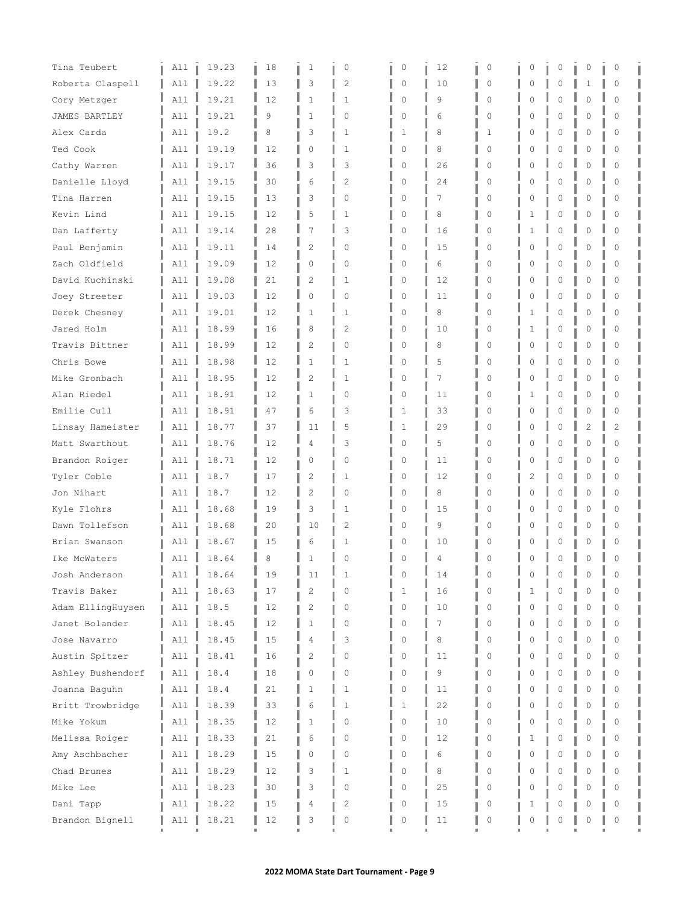| Tina Teubert      | All | 19.23 | 18 | 1              | 0              | 0            | 12 | $\circ$  | 0        | 0           | 0              | 0              |  |
|-------------------|-----|-------|----|----------------|----------------|--------------|----|----------|----------|-------------|----------------|----------------|--|
| Roberta Claspell  | A11 | 19.22 | 13 | 3              | 2              | 0            | 10 | 0        | U        | 0           | 1              | $\circ$        |  |
| Cory Metzger      | All | 19.21 | 12 | $\mathbf{1}$   | $\mathbf{1}$   | 0            | 9  | $\Omega$ |          | $\Omega$    | O              | $\Omega$       |  |
| JAMES BARTLEY     | All | 19.21 | 9  | $\mathbf{1}$   | $\Omega$       | 0            | 6  | $\Omega$ | Λ        | 0           | O              | $\Omega$       |  |
| Alex Carda        | All | 19.2  | 8  | 3              | 1              | 1            | 8  | 1        | U        | 0           | 0              | 0              |  |
| Ted Cook          | All | 19.19 | 12 | 0              | 1              | 0            | 8  | 0        | 0        | 0           | 0              | 0              |  |
| Cathy Warren      | A11 | 19.17 | 36 | 3              | 3              | $\mathbf 0$  | 26 | $\Omega$ |          | $\Omega$    | O              | $\Omega$       |  |
| Danielle Lloyd    | All | 19.15 | 30 | 6              | $\overline{c}$ | 0            | 24 | $\Omega$ | O        | 0           | 0              | $\Omega$       |  |
| Tina Harren       | All | 19.15 | 13 | 3              | 0              | 0            | 7  | 0        | 0        | 0           | 0              | $\circ$        |  |
| Kevin Lind        | All | 19.15 | 12 | 5              | 1              | 0            | 8  | 0        | 1        | 0           | 0              | 0              |  |
| Dan Lafferty      | All | 19.14 | 28 | 7              | 3              | 0            | 16 | 0        |          | 0           | 0              | $\Omega$       |  |
| Paul Benjamin     | All | 19.11 | 14 | $\overline{c}$ | $\Omega$       | $\mathbf 0$  | 15 | $\Omega$ |          | $\Omega$    | O              | $\Omega$       |  |
| Zach Oldfield     | A11 | 19.09 | 12 | 0              | 0              | 0            | 6  | 0        | 0        | 0           | 0              | 0              |  |
| David Kuchinski   | All | 19.08 | 21 | 2              | 1              | 0            | 12 | 0        | 0        | 0           | 0              | 0              |  |
| Joey Streeter     | A11 | 19.03 | 12 | 0              | $\Omega$       | 0            | 11 | 0        |          | $\mathbf 0$ | 0              | 0              |  |
| Derek Chesney     | All | 19.01 | 12 | 1              | 1              | 0            | 8  | $\Omega$ |          | 0           | O              | $\Omega$       |  |
| Jared Holm        | All | 18.99 | 16 | 8              | 2              | 0            | 10 | $\Omega$ | 1        | 0           | 0              | 0              |  |
| Travis Bittner    | All | 18.99 | 12 | 2              | 0              | 0            | 8  | 0        | O        | 0           | Λ              | 0              |  |
| Chris Bowe        | All | 18.98 | 12 | $\mathbf{1}$   | $\mathbf{1}$   | 0            | 5  | $\Omega$ | O        | $\Omega$    | 0              | $\Omega$       |  |
| Mike Gronbach     | All | 18.95 | 12 | 2              | 1              | 0            | 7  | 0        | O        | 0           | 0              | $\Omega$       |  |
| Alan Riedel       | All | 18.91 | 12 | 1              | 0              | 0            | 11 | 0        | 1        | 0           | 0              | 0              |  |
| Emilie Cull       | All | 18.91 | 47 | 6              | 3              | 1            | 33 | 0        | U        | 0           | 0              | $\circ$        |  |
| Linsay Hameister  | All | 18.77 | 37 | 11             | 5              | 1            | 29 | $\Omega$ |          | $\mathbf 0$ | $\overline{2}$ | $\overline{2}$ |  |
| Matt Swarthout    | All | 18.76 | 12 | 4              | 3              | $\mathbf 0$  | 5  | 0        | $\Omega$ | $\circ$     | 0              | 0              |  |
| Brandon Roiger    | All | 18.71 | 12 | 0              | $\Omega$       | 0            | 11 | $\Omega$ | Ω        | $\mathbf 0$ | Λ              | 0              |  |
| Tyler Coble       | All | 18.7  | 17 | 2              | 1              | 0            | 12 | 0        | 2        | 0           | 0              | 0              |  |
| Jon Nihart        | All | 18.7  | 12 | $\overline{c}$ | $\Omega$       | 0            | 8  | $\Omega$ | Λ        | $\Omega$    | Λ              | $\Omega$       |  |
| Kyle Flohrs       | A11 | 18.68 | 19 | 3              | 1              | 0            | 15 | $\Omega$ | O        | $\mathbf 0$ | 0              | $\Omega$       |  |
| Dawn Tollefson    | A11 | 18.68 | 20 | 10             | 2              | 0            | 9  | 0        | 0        | 0           | 0              | $\circ$        |  |
| Brian Swanson     | All | 18.67 | 15 | 6              | 1              | 0            | 10 | 0        | U        | 0           | 0              | 0              |  |
| Ike McWaters      | All | 18.64 | 8  | $\mathbf{1}$   | 0              | 0            | 4  | $\Omega$ | U        | 0           | 0              | $\Omega$       |  |
| Josh Anderson     | All | 18.64 | 19 | 11             | 1              | C            | 14 | 0        | O        | 0           | O              | O              |  |
| Travis Baker      | All | 18.63 | 17 | $\overline{c}$ | $\Omega$       | 1            | 16 | $\Omega$ |          | $\circ$     | 0              | $\Omega$       |  |
| Adam EllingHuysen | All | 18.5  | 12 | 2              | 0              | 0            | 10 | 0        | 0        | 0           | 0              | 0              |  |
| Janet Bolander    | All | 18.45 | 12 | $\mathbf{1}$   | $\Omega$       | 0            | 7  | $\Omega$ | O        | $\Omega$    | 0              | $\Omega$       |  |
| Jose Navarro      | All | 18.45 | 15 | 4              | 3              | 0            | 8  | 0        | Λ        | $\Omega$    | Λ              | $\Omega$       |  |
| Austin Spitzer    | All | 18.41 | 16 | 2              | 0              | 0            | 11 | 0        | $\Omega$ | 0           | 0              | 0              |  |
| Ashley Bushendorf | All | 18.4  | 18 | 0              | 0              | 0            | 9  | 0        | 0        | 0           | 0              | 0              |  |
| Joanna Baguhn     | All | 18.4  | 21 | 1              | 1              | 0            | 11 | 0        | O        | $\mathbf 0$ | Λ              | $\Omega$       |  |
| Britt Trowbridge  | All | 18.39 | 33 | 6              | $\mathbf{1}$   | $\mathbf{1}$ | 22 | 0        |          | $\Omega$    | Λ              | $\Omega$       |  |
| Mike Yokum        | All | 18.35 | 12 | 1              | 0              | 0            | 10 | 0        | 0        | $\mathbf 0$ | 0              | 0              |  |
| Melissa Roiger    | All | 18.33 | 21 | 6              | 0              | 0            | 12 | 0        | 1        | 0           | 0              | 0              |  |
| Amy Aschbacher    | All | 18.29 | 15 | 0              | 0              | 0            | 6  | 0        | O        | $\circ$     | 0              | $\circ$        |  |
| Chad Brunes       | All | 18.29 | 12 | 3              | $\mathbf{1}$   | 0            | 8  | 0        |          | $\Omega$    | $\Omega$       | $\Omega$       |  |
| Mike Lee          | All | 18.23 | 30 | 3              | 0              | 0            | 25 | 0        |          | $\Omega$    | Λ              | $\Omega$       |  |
| Dani Tapp         | All | 18.22 | 15 | 4              | 2              | 0            | 15 | 0        |          | 0           | Λ              | Ω              |  |
| Brandon Bignell   | All | 18.21 | 12 | 3              | 0              | 0            | 11 | 0        | 0        | 0           | Λ              | $\circ$        |  |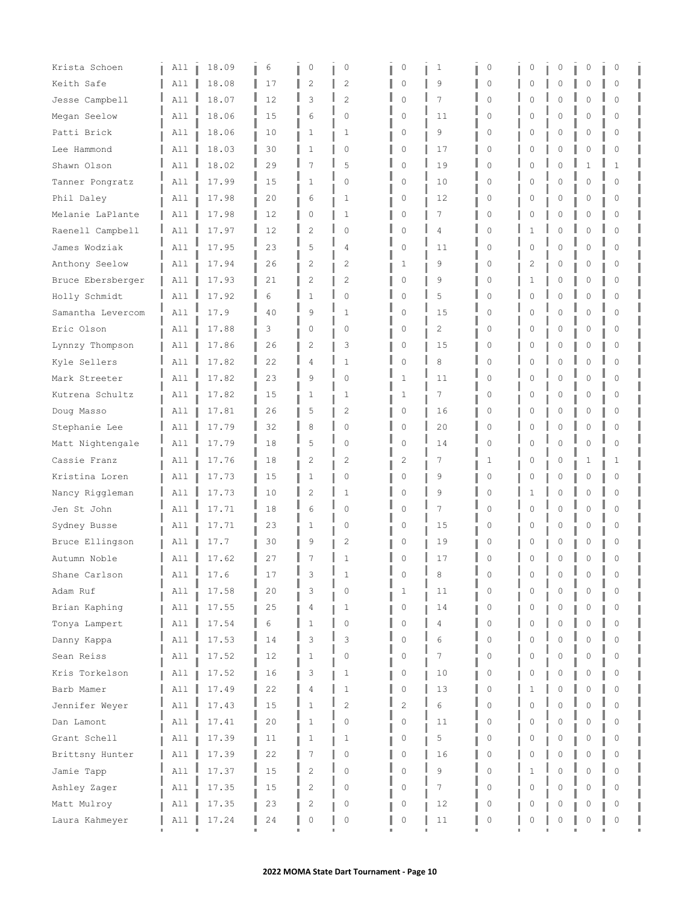| Krista Schoen     | All      | 18.09 | 6  | 0              | 0              | 0              | 1              | $\circ$     | 0        | 0           | 0        | 0           |  |
|-------------------|----------|-------|----|----------------|----------------|----------------|----------------|-------------|----------|-------------|----------|-------------|--|
| Keith Safe        | All      | 18.08 | 17 | 2              | 2              | $\mathbf 0$    | 9              | $\circ$     | Ω        | 0           | 0        | 0           |  |
| Jesse Campbell    | All      | 18.07 | 12 | 3              | $\overline{2}$ | $\mathbf 0$    | 7              | $\Omega$    |          | 0           | 0        | $\Omega$    |  |
| Megan Seelow      | All      | 18.06 | 15 | 6              | $\Omega$       | $\mathbf 0$    | 11             | $\Omega$    | Λ        | 0           | O        | $\Omega$    |  |
| Patti Brick       | All      | 18.06 | 10 | 1              | 1              | 0              | 9              | 0           | Ω        | 0           | 0        | $\Omega$    |  |
| Lee Hammond       | All      | 18.03 | 30 | 1              | $\circ$        | 0              | 17             | $\circ$     | 0        | 0           | 0        | 0           |  |
| Shawn Olson       | A11      | 18.02 | 29 | 7              | 5              | 0              | 19             | 0           |          | $\Omega$    | 1        | 1           |  |
| Tanner Pongratz   | All      | 17.99 | 15 | $\mathbf{1}$   | 0              | 0              | 10             | $\Omega$    | Ω        | 0           | 0        | $\Omega$    |  |
| Phil Daley        | All      | 17.98 | 20 | 6              | 1              | 0              | 12             | $\circ$     | 0        | 0           | 0        | 0           |  |
| Melanie LaPlante  | All      | 17.98 | 12 | 0              | 1              | 0              | 7              | $\circ$     | 0        | 0           | 0        | 0           |  |
| Raenell Campbell  | All      | 17.97 | 12 | 2              | $\mathbf{0}$   | $\mathbf 0$    | $\overline{4}$ | $\mathbf 0$ |          | 0           | $\Omega$ | $\Omega$    |  |
| James Wodziak     | All      | 17.95 | 23 | 5              | 4              | $\mathbf 0$    | 11             | $\Omega$    |          | $\Omega$    | $\Omega$ | $\bigcap$   |  |
| Anthony Seelow    | All      | 17.94 | 26 | $\overline{2}$ | 2              | 1              | 9              | 0           | 2        | 0           | 0        | 0           |  |
| Bruce Ebersberger | All      | 17.93 | 21 | 2              | 2              | 0              | 9              | 0           | 1        | 0           | 0        | 0           |  |
| Holly Schmidt     | All      | 17.92 | 6  | $\mathbf{1}$   | $\mathbf{0}$   | 0              | 5              | $\mathbf 0$ |          | $\mathbf 0$ | $\Omega$ | $\Omega$    |  |
| Samantha Levercom | All      | 17.9  | 40 | 9              | 1              | 0              | 15             | $\Omega$    | Λ        | 0           | $\Omega$ | $\Omega$    |  |
| Eric Olson        | A11      | 17.88 | 3  | 0              | 0              | 0              | 2              | $\Omega$    |          | 0           | 0        | $\Omega$    |  |
| Lynnzy Thompson   | All      | 17.86 | 26 | 2              | 3              | 0              | 15             | $\circ$     | Ω        | 0           | 0        | 0           |  |
| Kyle Sellers      | All      | 17.82 | 22 | 4              | $\mathbf{1}$   | $\mathbf 0$    | 8              | $\mathbf 0$ | Λ        | $\Omega$    | $\Omega$ | $\Omega$    |  |
| Mark Streeter     | A11      | 17.82 | 23 | 9              | 0              | 1              | 11             | 0           | Ω        | 0           | 0        | $\Omega$    |  |
| Kutrena Schultz   | All      | 17.82 | 15 | 1              | 1              | 1              | 7              | 0           | 0        | 0           | 0        | 0           |  |
| Doug Masso        | All      | 17.81 | 26 | 5              | 2              | 0              | 16             | $\circ$     |          | 0           | 0        | $\circ$     |  |
| Stephanie Lee     | All      | 17.79 | 32 | 8              | $\circ$        | 0              | 20             | $\Omega$    |          | $\mathbf 0$ | 0        | $\Omega$    |  |
| Matt Nightengale  | All      | 17.79 | 18 | 5              | $\circ$        | $\circ$        | 14             | $\Omega$    | $\Omega$ | $\circ$     | 0        | $\mathbf 0$ |  |
| Cassie Franz      | All      | 17.76 | 18 | 2              | 2              | 2              | 7              | 1           | Ω        | 0           | 1        | 1           |  |
| Kristina Loren    | All      | 17.73 | 15 | 1              | $\circ$        | 0              | 9              | 0           | Ω        | 0           | 0        | 0           |  |
| Nancy Riggleman   | A11      | 17.73 | 10 | $\overline{c}$ | 1              | $\mathbf 0$    | 9              | 0           | 1        | $\Omega$    | Λ        | $\Omega$    |  |
| Jen St John       | All      | 17.71 | 18 | 6              | $\Omega$       | $\mathbf 0$    | 7              | 0           | O        | $\circ$     | $\Omega$ | $\Omega$    |  |
| Sydney Busse      | All      | 17.71 | 23 | $\mathbf{1}$   | 0              | 0              | 15             | 0           | 0        | 0           | 0        | $\circ$     |  |
| Bruce Ellingson   | All      | 17.7  | 30 | 9              | 2              | 0              | 19             | 0           | Ω        | 0           | 0        | 0           |  |
| Autumn Noble      | A11      | 17.62 | 27 | 7              | $\mathbf{1}$   | 0              | 17             | $\Omega$    |          | 0           | 0        | $\Omega$    |  |
| Shane Carlson     | All<br>ш | 17.6  | 17 | 3              | 1              | n              | 8              | 0           | Ω        | 0           | 0        | $\Omega$    |  |
| Adam Ruf          | All      | 17.58 | 20 | 3              | $\circ$        | 1              | 11             | $\Omega$    |          | $\circ$     | 0        | $\Omega$    |  |
| Brian Kaphing     | All      | 17.55 | 25 | 4              | 1              | 0              | 14             | 0           | 0        | 0           | 0        | 0           |  |
| Tonya Lampert     | All      | 17.54 | 6  | $\mathbf{1}$   | $\Omega$       | $\mathbf 0$    | 4              | $\Omega$    |          | $\Omega$    | $\Omega$ | $\Omega$    |  |
| Danny Kappa       | All      | 17.53 | 14 | 3              | 3              | 0              | 6              | 0           | Λ        | $\Omega$    | 0        | $\Omega$    |  |
| Sean Reiss        | All      | 17.52 | 12 | 1              | $\circ$        | 0              | 7              | 0           | 0        | 0           | 0        | $\Omega$    |  |
| Kris Torkelson    | All      | 17.52 | 16 | 3              | 1              | 0              | 10             | 0           | 0        | 0           | 0        | 0           |  |
| Barb Mamer        | All      | 17.49 | 22 | 4              | 1              | 0              | 13             | $\mathbf 0$ |          | $\mathbf 0$ | Λ        | $\Omega$    |  |
| Jennifer Weyer    | All      | 17.43 | 15 | $\mathbf{1}$   | $\overline{c}$ | $\overline{2}$ | 6              | 0           |          | $\Omega$    | O        | $\Omega$    |  |
| Dan Lamont        | All      | 17.41 | 20 | 1              | 0              | 0              | 11             | 0           | 0        | 0           | 0        | 0           |  |
| Grant Schell      | All      | 17.39 | 11 | 1              | 1              | 0              | 5              | 0           | 0        | 0           | 0        | 0           |  |
| Brittsny Hunter   | All      | 17.39 | 22 | 7              | 0              | 0              | 16             | $\mathbf 0$ | Λ        | $\circ$     | $\Omega$ | $\circ$     |  |
| Jamie Tapp        | All      | 17.37 | 15 | $\overline{c}$ | $\mathbf 0$    | 0              | 9              | $\mathbf 0$ |          | $\Omega$    | $\Omega$ | $\Omega$    |  |
| Ashley Zager      | All      | 17.35 | 15 | 2              | 0              | 0              | 7              | 0           |          | 0           | O        | $\Omega$    |  |
| Matt Mulroy       | All      | 17.35 | 23 | 2              | 0              | 0              | 12             | 0           |          | 0           | Λ        | Ω           |  |
| Laura Kahmeyer    | All      | 17.24 | 24 | 0              | $\mathbb O$    | 0              | 11             | $\circ$     | 0        | $\mathbb O$ | 0        | 0           |  |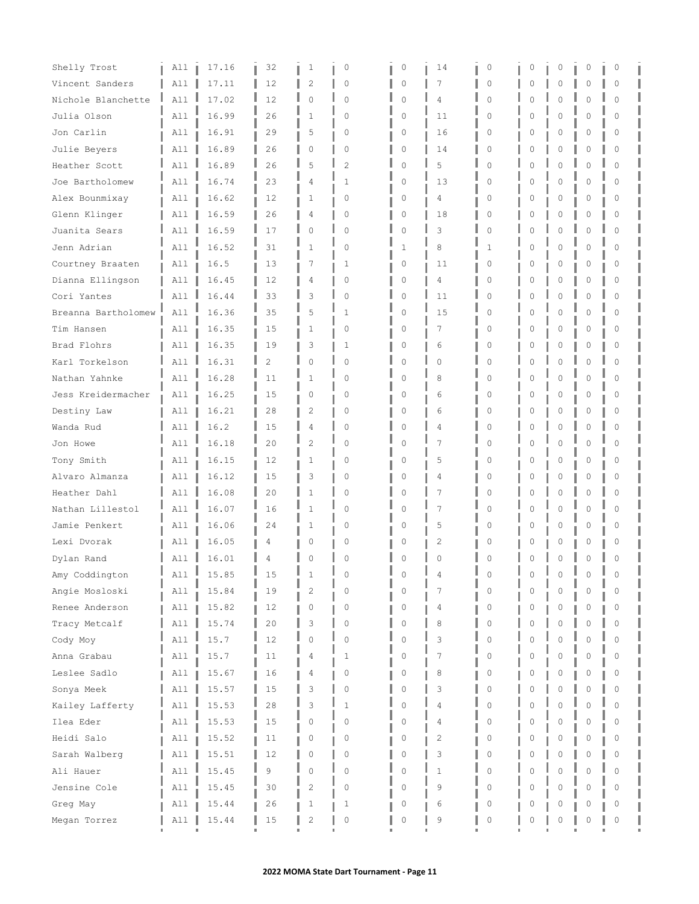| Shelly Trost        | All | 17.16 | 32             | 1              | 0              | 0        | 14          | 0        | 0        | 0           | 0 | 0        |  |
|---------------------|-----|-------|----------------|----------------|----------------|----------|-------------|----------|----------|-------------|---|----------|--|
| Vincent Sanders     | All | 17.11 | 12             | 2              | $\circ$        | 0        | 7           | $\Omega$ | O        | 0           | 0 | $\circ$  |  |
| Nichole Blanchette  | A11 | 17.02 | 12             | $\Omega$       | $\Omega$       | $\Omega$ | 4           | $\Omega$ | O        | $\Omega$    | O | $\Omega$ |  |
| Julia Olson         | A11 | 16.99 | 26             | 1              | $\Omega$       | 0        | 11          | $\cap$   | O        | $\Omega$    | N | $\Omega$ |  |
| Jon Carlin          | All | 16.91 | 29             | 5              | $\Omega$       | 0        | 16          | $\Omega$ | 0        | 0           | 0 | $\Omega$ |  |
| Julie Beyers        | All | 16.89 | 26             | 0              | 0              | 0        | 14          | 0        | 0        | 0           | 0 | $\Omega$ |  |
| Heather Scott       | All | 16.89 | 26             | 5              | $\overline{c}$ | $\Omega$ | 5           | $\cap$   | Λ        | $\Omega$    | N | $\Omega$ |  |
| Joe Bartholomew     | All | 16.74 | 23             | 4              | $\mathbf{1}$   | 0        | 13          | $\Omega$ | O        | 0           | O | $\Omega$ |  |
| Alex Bounmixay      | All | 16.62 | 12             | 1              | $\Omega$       | 0        | 4           | 0        | 0        | 0           | 0 | $\circ$  |  |
| Glenn Klinger       | All | 16.59 | 26             | 4              | $\circ$        | 0        | 18          | 0        | 0        | 0           | 0 | $\circ$  |  |
| Juanita Sears       | All | 16.59 | 17             | 0              | $\mathbf 0$    | 0        | 3           | $\Omega$ | $\Omega$ | 0           | 0 | $\Omega$ |  |
| Jenn Adrian         | A11 | 16.52 | 31             | $\mathbf{1}$   | $\Omega$       | 1        | 8           | 1        | Ω        | $\Omega$    |   | $\Omega$ |  |
| Courtney Braaten    | All | 16.5  | 13             | 7              | 1              | 0        | 11          | 0        | 0        | 0           | 0 | $\Omega$ |  |
| Dianna Ellingson    | All | 16.45 | 12             | 4              | $\Omega$       | 0        | 4           | 0        | 0        | 0           | 0 | $\Omega$ |  |
| Cori Yantes         | A11 | 16.44 | 33             | 3              | $\Omega$       | 0        | 11          | $\Omega$ | Ω        | 0           | 0 | $\Omega$ |  |
| Breanna Bartholomew | All | 16.36 | 35             | 5              | 1              | 0        | 15          | $\Omega$ | O        | $\Omega$    | O | $\Omega$ |  |
| Tim Hansen          | All | 16.35 | 15             | 1              | 0              | 0        | 7           | $\Omega$ | U        | 0           | N | $\Omega$ |  |
| Brad Flohrs         | All | 16.35 | 19             | 3              | 1              | 0        | 6           | 0        | 0        | 0           | 0 | 0        |  |
| Karl Torkelson      | A11 | 16.31 | $\overline{2}$ | $\Omega$       | $\Omega$       | 0        | 0           | $\Omega$ | O        | 0           | 0 | $\Omega$ |  |
| Nathan Yahnke       | A11 | 16.28 | 11             | 1              | 0              | 0        | 8           | $\Omega$ | O        | $\mathbf 0$ | 0 | $\Omega$ |  |
| Jess Kreidermacher  | All | 16.25 | 15             | 0              | 0              | 0        | 6           | 0        | 0        | 0           | 0 | 0        |  |
| Destiny Law         | All | 16.21 | 28             | $\overline{c}$ | $\circ$        | 0        | 6           | $\Omega$ | 0        | 0           | 0 | $\Omega$ |  |
| Wanda Rud           | All | 16.2  | 15             | 4              | $\Omega$       | 0        | 4           | $\cap$   | Ω        | 0           | O | $\Omega$ |  |
| Jon Howe            | All | 16.18 | 20             | $\overline{c}$ | $\Omega$       | 0        | 7           | $\Omega$ | 0        | $\mathbf 0$ | 0 | $\Omega$ |  |
| Tony Smith          | All | 16.15 | 12             | 1              | $\Omega$       | 0        | 5           | $\Omega$ | 0        | 0           | O | $\Omega$ |  |
| Alvaro Almanza      | All | 16.12 | 15             | 3              | 0              | 0        | 4           | $\Omega$ | 0        | 0           | 0 | $\Omega$ |  |
| Heather Dahl        | A11 | 16.08 | 20             | $\mathbf{1}$   | $\Omega$       | 0        | 7           | $\cap$   | Λ        | $\Omega$    | N | $\Omega$ |  |
| Nathan Lillestol    | All | 16.07 | 16             | 1              | $\Omega$       | 0        | 7           | $\Omega$ | O        | 0           | 0 | $\Omega$ |  |
| Jamie Penkert       | All | 16.06 | 24             | $\mathbf{1}$   | 0              | 0        | 5           | 0        | 0        | 0           | 0 | 0        |  |
| Lexi Dvorak         | All | 16.05 | 4              | Ω              | 0              | 0        | 2           | $\Omega$ | 0        | 0           | O | $\Omega$ |  |
| Dylan Rand          | All | 16.01 | 4              | 0              | $\Omega$       | n        | $\Omega$    | 0        | U        | $\Omega$    | 0 | $\Omega$ |  |
| Amy Coddington      | All | 15.85 | 15             |                | $\Omega$       | n        | 4           | 0        | 0        | 0           | 0 | 0        |  |
| Angie Mosloski      | All | 15.84 | 19             | $\overline{c}$ | $\Omega$       | $\Omega$ | 7           | $\Omega$ | O        | $\circ$     | 0 | $\Omega$ |  |
| Renee Anderson      | All | 15.82 | 12             | 0              | 0              | 0        | 4           | 0        | 0        | 0           | 0 | 0        |  |
| Tracy Metcalf       | All | 15.74 | 20             | 3              | $\Omega$       | 0        | 8           | $\Omega$ |          | $\Omega$    | O | $\Omega$ |  |
| Cody Moy            | All | 15.7  | 12             | 0              | 0              | 0        | 3           | $\Omega$ | Λ        | $\Omega$    | 0 | $\Omega$ |  |
| Anna Grabau         | All | 15.7  | 11             | 4              | 1              | 0        | 7           | 0        | O        | 0           | 0 | 0        |  |
| Leslee Sadlo        | All | 15.67 | 16             | 4              | 0              | 0        | 8           | 0        | 0        | 0           | 0 | 0        |  |
| Sonya Meek          | All | 15.57 | 15             | 3              | 0              | 0        | 3           | $\Omega$ | O        | 0           | 0 | $\Omega$ |  |
| Kailey Lafferty     | All | 15.53 | 28             | 3              | $\mathbf{1}$   | $\Omega$ | 4           | $\Omega$ | Λ        | $\Omega$    | O | $\Omega$ |  |
| Ilea Eder           | All | 15.53 | 15             | 0              | 0              | n        | 4           | 0        | 0        | 0           | 0 | 0        |  |
| Heidi Salo          | All | 15.52 | 11             | 0              | 0              | 0        | 2           | 0        | O        | 0           | 0 | 0        |  |
| Sarah Walberg       | All | 15.51 | 12             | 0              | 0              | 0        | 3           | $\Omega$ | Λ        | $\circ$     | 0 | $\circ$  |  |
| Ali Hauer           | All | 15.45 | 9              | 0              | $\mathbf 0$    | 0        | $\mathbf 1$ | $\Omega$ | O        | $\Omega$    | 0 | $\Omega$ |  |
| Jensine Cole        | A11 | 15.45 | 30             | 2              | 0              | 0        | 9           | $\Omega$ | O        | $\Omega$    | N | 0        |  |
| Greg May            | All | 15.44 | 26             | 1              | 1              | 0        | 6           | 0        |          | 0           | N | $\Omega$ |  |
| Megan Torrez        | All | 15.44 | 15             | 2              | 0              | 0        | 9           | 0        | 0        | 0           | 0 | 0        |  |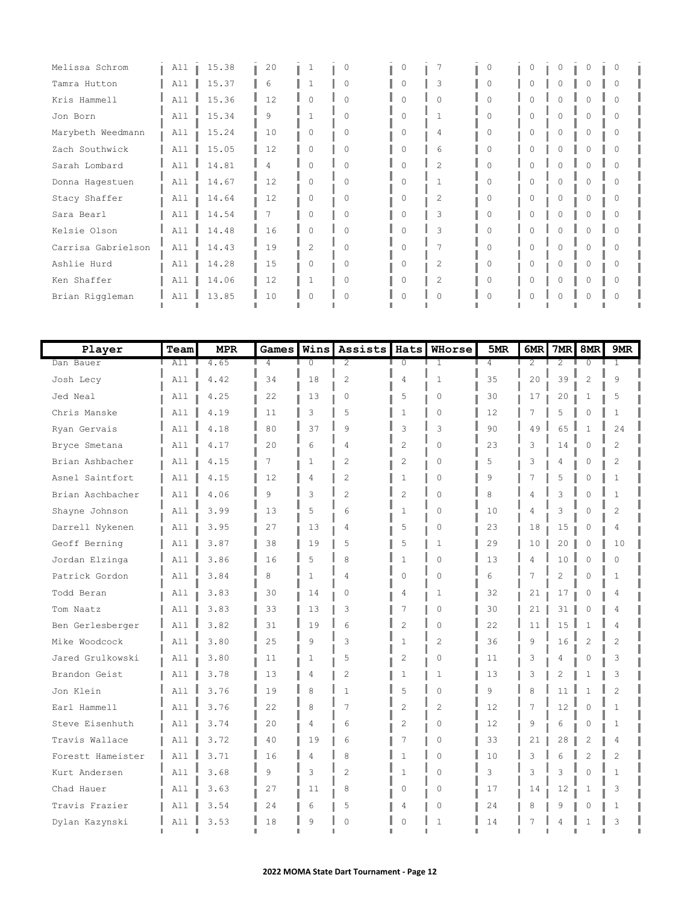| Melissa Schrom     | All | 15.38 | 20 |                | O         |        |                | $\Omega$ | 0            | 0        |          | $\Omega$ |
|--------------------|-----|-------|----|----------------|-----------|--------|----------------|----------|--------------|----------|----------|----------|
| Tamra Hutton       | All | 15.37 | 6  |                | $\Omega$  |        | 3              | 0        |              |          |          | 0        |
| Kris Hammell       | All | 15.36 | 12 | ∩              | $\Omega$  |        |                | 0        |              |          |          | Λ        |
| Jon Born           | A11 | 15.34 | 9  |                | $\Omega$  | 0      | $\mathbf{1}$   | $\Omega$ | $\mathbf{0}$ | $\Omega$ | $\Omega$ | $\Omega$ |
| Marybeth Weedmann  | All | 15.24 | 10 | 0              | 0         |        | 4              | 0        | 0            |          |          | 0        |
| Zach Southwick     | All | 15.05 | 12 | $\Omega$       | $\Omega$  |        | 6              |          |              |          |          | 0        |
| Sarah Lombard      | All | 14.81 | Δ  | ∩              | $\cap$    |        | $\overline{2}$ | $\cap$   |              |          |          | Λ        |
| Donna Hagestuen    | A11 | 14.67 | 12 | $\Omega$       | $\Omega$  | $\cap$ | $\mathbf{1}$   | $\Omega$ | $\mathbf{0}$ | 0        | $\circ$  | $\Omega$ |
| Stacy Shaffer      | All | 14.64 | 12 | 0              | O         |        | 2              | 0        | 0            |          |          | 0        |
| Sara Bearl         | All | 14.54 |    | O              | $\bigcap$ |        | 3              | O.       |              |          |          | 0        |
| Kelsie Olson       | All | 14.48 | 16 | ∩              | $\bigcap$ |        | 3              | $\cap$   |              |          |          | Λ        |
| Carrisa Gabrielson | A11 | 14.43 | 19 | $\overline{c}$ | $\Omega$  | O      | 7              | $\Omega$ | $\mathbf{0}$ | $\Omega$ | 0        | 0        |
| Ashlie Hurd        | A11 | 14.28 | 15 | 0              | O         |        | 2              | $\Omega$ | 0            |          |          | 0        |
| Ken Shaffer        | All | 14.06 | 12 |                | O         |        | 2              |          |              |          |          | 0        |
| Brian Riggleman    | All | 13.85 | 10 |                | $\cap$    |        |                | Λ        |              |          |          | U        |
|                    |     |       |    |                |           |        |                |          |              |          |          |          |

| Player            | Team  | <b>MPR</b> | Games        | Wins         | <b>Assists</b> | Hats           | WHorse         | 5MR            | 6MR | 7MR            | 8MR            | 9MR            |
|-------------------|-------|------------|--------------|--------------|----------------|----------------|----------------|----------------|-----|----------------|----------------|----------------|
| Dan Bauer         | All I | 4.65       | 4            | 0            | 2              | $\Omega$       | 1              | 4              | 2   | 2              | $\Omega$       | 1              |
| Josh Lecy         | A11   | 4.42       | 34           | 18           | $\overline{c}$ | 4              | $\mathbf{1}$   | 35             | 20  | 39             | $\overline{c}$ | 9              |
| Jed Neal          | All   | 4.25       | 22           | 13           | 0              | 5              | $\Omega$       | 30             | 17  | 20             | 1              | 5              |
| Chris Manske      | All   | 4.19       | 11           | 3            | 5              | $\mathbf{1}$   | $\Omega$       | 12             | 7   | 5              | $\mathbf 0$    | $\mathbf{1}$   |
| Ryan Gervais      | A11   | 4.18       | 80           | 37           | 9              | 3              | 3              | 90             | 49  | 65             | $\mathbf{1}$   | 24             |
| Bryce Smetana     | A11   | 4.17       | 20           | 6            | 4              | $\overline{c}$ | $\Omega$       | 23             | 3   | 14             | $\mathbf 0$    | $\overline{c}$ |
| Brian Ashbacher   | All   | 4.15       | 7            | $\mathbf{1}$ | $\overline{c}$ | $\overline{2}$ | $\Omega$       | 5              | 3   | 4              | $\Omega$       | $\overline{c}$ |
| Asnel Saintfort   | All   | 4.15       | 12           | 4            | $\overline{c}$ | $\mathbf{1}$   | $\Omega$       | 9              | 7   | 5              | $\Omega$       | $\mathbf{1}$   |
| Brian Aschbacher  | All   | 4.06       | 9            | 3            | $\overline{c}$ | $\overline{c}$ | $\Omega$       | 8              | 4   | 3              | $\Omega$       | $\mathbf{1}$   |
| Shayne Johnson    | All   | 3.99       | 13           | 5            | 6              | 1              | $\Omega$       | 10             | 4   | 3              | $\Omega$       | $\overline{c}$ |
| Darrell Nykenen   | All   | 3.95       | 27           | 13           | 4              | 5              | $\Omega$       | 23             | 18  | 15             | 0              | 4              |
| Geoff Berning     | All   | 3.87       | 38           | 19           | 5              | 5              | 1              | 29             | 10  | 20             | 0              | 10             |
| Jordan Elzinga    | A11   | 3.86       | 16           | 5            | 8              | 1              | $\Omega$       | 13             | 4   | 10             | $\Omega$       | $\Omega$       |
| Patrick Gordon    | All   | 3.84       | 8            | 1            | 4              | $\Omega$       | $\mathbf{0}$   | 6              | 7   | $\overline{c}$ | $\mathbf 0$    | $\mathbf{1}$   |
| Todd Beran        | All   | 3.83       | 30           | 14           | 0              | 4              | 1              | 32             | 21  | 17             | 0              | 4              |
| Tom Naatz         | All   | 3.83       | 33           | 13           | 3              | 7              | 0              | 30             | 21  | 31             | 0              | 4              |
| Ben Gerlesberger  | A11   | 3.82       | 31           | 19           | 6              | $\mathcal{D}$  | $\cap$         | 22             | 11  | 15             | $\mathbf{1}$   | 4              |
| Mike Woodcock     | A11   | 3.80       | 25           | $\mathsf{Q}$ | 3              | $\mathbf{1}$   | $\overline{c}$ | 36             | 9   | 16             | $\overline{2}$ | $\overline{c}$ |
| Jared Grulkowski  | All   | 3.80       | 11           | 1            | 5              | 2              | $\Omega$       | 11             | 3   | 4              | 0              | 3              |
| Brandon Geist     | All   | 3.78       | 13           | 4            | $\overline{c}$ | $\mathbf{1}$   | $\mathbf{1}$   | 13             | 3   | 2              | $\mathbf{1}$   | 3              |
| Jon Klein         | All   | 3.76       | 19           | 8            | 1              | 5              | $\Omega$       | $\overline{9}$ | 8   | 11             | $\mathbf{1}$   | $\overline{c}$ |
| Earl Hammell      | All   | 3.76       | 22           | 8            | 7              | $\overline{2}$ | $\overline{c}$ | 12             | 7   | 12             | $\mathbf 0$    | $\mathbf{1}$   |
| Steve Eisenhuth   | All   | 3.74       | 20           | 4            | 6              | $\overline{c}$ | $\Omega$       | 12             | 9   | 6              | 0              | 1              |
| Travis Wallace    | All   | 3.72       | 40           | 19           | 6              | 7              | $\Omega$       | 33             | 21  | 28             | 2              | 4              |
| Forestt Hameister | A11   | 3.71       | 16           | 4            | 8              | $\mathbf{1}$   | $\cap$         | 10             | 3   | 6              | $\mathfrak{D}$ | $\overline{2}$ |
| Kurt Andersen     | All   | 3.68       | $\mathsf{Q}$ | 3            | $\overline{c}$ | $\mathbf{1}$   | $\cap$         | 3              | 3   | 3              | $\Omega$       | $\mathbf{1}$   |
| Chad Hauer        | All   | 3.63       | 27           | 11           | 8              | $\Omega$       | 0              | 17             | 14  | 12             | $\mathbf{1}$   | 3              |
| Travis Frazier    | All   | 3.54       | 24           | 6            | 5              | 4              | 0              | 24             | 8   | 9              | 0              | $\mathbf{1}$   |
| Dylan Kazynski    | All   | 3.53       | 18           | 9            | $\Omega$       | 0              | $\mathbf{1}$   | 14             | 7   | 4              | 1              | 3              |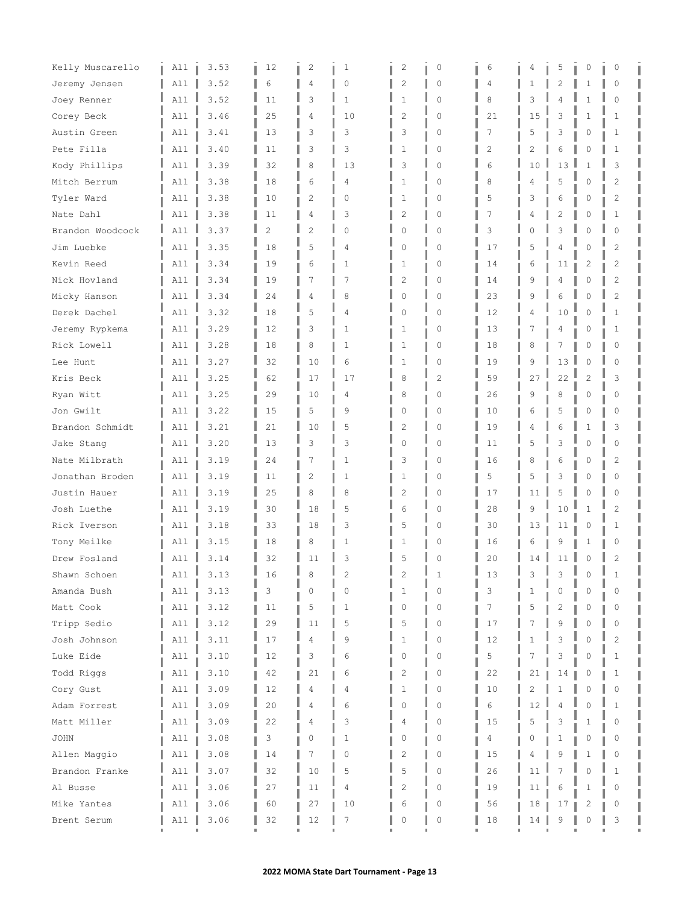| Kelly Muscarello | All      | 3.53 | 12             | 2              | 1              | 2        | 0              | 6  | 4  | 5              | 0              | $\circ$        |
|------------------|----------|------|----------------|----------------|----------------|----------|----------------|----|----|----------------|----------------|----------------|
| Jeremy Jensen    | All      | 3.52 | 6              | 4              | 0              | 2        | 0              | 4  | 1  | 2              | 1              | $\Omega$       |
| Joey Renner      | A11      | 3.52 | 11             | 3              | $\mathbf{1}$   | 1        | $\mathbf 0$    | 8  | 3  | 4              | 1              | $\Omega$       |
| Corey Beck       | All      | 3.46 | 25             | 4              | 10             | 2        | $\Omega$       | 21 | 15 | 3              | $\mathbf{1}$   | 1              |
| Austin Green     | All      | 3.41 | 13             | 3              | 3              | 3        | 0              | 7  | 5  | 3              | 0              | 1              |
| Pete Filla       | All      | 3.40 | 11             | 3              | 3              | 1        | $\circ$        | 2  | 2  | 6              | 0              | 1              |
| Kody Phillips    | All      | 3.39 | 32             | 8              | 13             | 3        | $\Omega$       | 6  | 10 | 13             | 1              | 3              |
| Mitch Berrum     | All      | 3.38 | 18             | 6              | 4              | 1        | $\Omega$       | 8  | 4  | 5              | 0              | 2              |
| Tyler Ward       | All      | 3.38 | 10             | $\overline{c}$ | 0              | 1        | 0              | 5  | 3  | 6              | 0              | 2              |
| Nate Dahl        | All      | 3.38 | 11             | 4              | 3              | 2        | 0              | 7  | 4  | 2              | 0              | 1              |
| Brandon Woodcock | A11      | 3.37 | $\overline{c}$ | $\overline{c}$ | $\circ$        | $\Omega$ | $\Omega$       | 3  | C  | 3              | $\mathbf 0$    | $\Omega$       |
| Jim Luebke       | A11      | 3.35 | 18             | 5              | 4              | $\Omega$ | $\Omega$       | 17 | 5  | 4              | $\Omega$       | 2              |
| Kevin Reed       | All      | 3.34 | 19             | 6              | 1              | 1        | 0              | 14 | 6  | 11             | 2              | 2              |
| Nick Hovland     | All      | 3.34 | 19             | 7              | 7              | 2        | $\circ$        | 14 | 9  | 4              | 0              | 2              |
| Micky Hanson     | A11      | 3.34 | 24             | 4              | 8              | $\Omega$ | $\Omega$       | 23 | 9  | 6              | $\Omega$       | $\overline{c}$ |
| Derek Dachel     | A11      | 3.32 | 18             | 5              | 4              | $\Omega$ | $\Omega$       | 12 | 4  | 10             | 0              | $\mathbf{1}$   |
| Jeremy Rypkema   | All      | 3.29 | 12             | 3              | 1              | 1        | 0              | 13 | 7  | 4              | 0              | 1              |
| Rick Lowell      | All      | 3.28 | 18             | 8              | 1              | 1        | $\circ$        | 18 | 8  | 7              | 0              | 0              |
| Lee Hunt         | A11      | 3.27 | 32             | 10             | 6              | 1        | $\mathbf 0$    | 19 | 9  | 13             | 0              | 0              |
| Kris Beck        | A11      | 3.25 | 62             | 17             | 17             | 8        | $\overline{c}$ | 59 | 27 | 22             | $\overline{c}$ | 3              |
| Ryan Witt        | A11      | 3.25 | 29             | 10             | 4              | 8        | 0              | 26 | 9  | 8              | 0              | 0              |
| Jon Gwilt        | All      | 3.22 | 15             | 5              | 9              | 0        | 0              | 10 | 6  | 5              | 0              | 0              |
| Brandon Schmidt  | A11      | 3.21 | 21             | 10             | 5              | 2        | $\Omega$       | 19 | 4  | 6              | 1              | 3              |
| Jake Stang       | All      | 3.20 | 13             | 3              | 3              | 0        | 0              | 11 | 5  | 3              | 0              | $\Omega$       |
| Nate Milbrath    | All      | 3.19 | 24             | 7              | 1              | 3        | 0              | 16 | 8  | 6              | 0              | 2              |
| Jonathan Broden  | All      | 3.19 | 11             | $\mathbf{2}$   | 1              | 1        | 0              | 5  | 5  | 3              | 0              | 0              |
| Justin Hauer     | A11      | 3.19 | 25             | 8              | 8              | 2        | $\Omega$       | 17 | 11 | 5              | $\Omega$       | 0              |
| Josh Luethe      | A11      | 3.19 | 30             | 18             | 5              | 6        | 0              | 28 | 9  | 10             | $\mathbf{1}$   | 2              |
| Rick Iverson     | All      | 3.18 | 33             | 18             | 3              | 5        | 0              | 30 | 13 | 11             | $\circ$        | 1              |
| Tony Meilke      | All      | 3.15 | 18             | 8              | 1              | 1        | 0              | 16 | 6  | 9              | 1              | 0              |
| Drew Fosland     | All      | 3.14 | 32             | 11             | 3              | 5        | 0              | 20 | 14 | 11             | 0              | $\overline{c}$ |
| Shawn Schoen     | L<br>A11 | 3.13 | 16             | 8              | $\overline{c}$ |          |                | 13 | 3  | 3              | $\Omega$       |                |
| Amanda Bush      | All      | 3.13 | 3              | 0              | 0              | 1        | $\Omega$       | 3  | 1  | $\mathbf 0$    | 0              | 0              |
| Matt Cook        | All      | 3.12 | 11             | 5              | 1              | 0        | 0              | 7  | 5  | 2              | 0              | 0              |
| Tripp Sedio      | A11      | 3.12 | 29             | 11             | 5              | 5        | $\Omega$       | 17 |    | 9              | O              | $\Omega$       |
| Josh Johnson     | All      | 3.11 | 17             | 4              | 9              | 1        | 0              | 12 | 1  | 3              | $\Omega$       | 2              |
| Luke Eide        | All      | 3.10 | 12             | 3              | 6              | 0        | 0              | 5  | 7  | 3              | 0              | 1              |
| Todd Riggs       | All      | 3.10 | 42             | 21             | 6              | 2        | 0              | 22 | 21 | 14             | 0              | 1              |
| Cory Gust        | All      | 3.09 | 12             | 4              | 4              | 1        | 0              | 10 | 2  |                | 0              | 0              |
| Adam Forrest     | All      | 3.09 | 20             | 4              | 6              | $\Omega$ | $\Omega$       | 6  | 12 | $\overline{4}$ | $\Omega$       | 1              |
| Matt Miller      | All      | 3.09 | 22             | 4              | 3              | 4        | 0              | 15 | 5  | 3              | 1              | 0              |
| <b>JOHN</b>      | All      | 3.08 | 3              | 0              | 1              | 0        | 0              | 4  | 0  | 1              | 0              | 0              |
| Allen Maggio     | All      | 3.08 | 14             | 7              | 0              | 2        | 0              | 15 |    | 9              | 1              | $\Omega$       |
| Brandon Franke   | All      | 3.07 | 32             | 10             | 5              | 5        | 0              | 26 | 11 | 7              | 0              | 1              |
| Al Busse         | All      | 3.06 | 27             | 11             | 4              | 2        | 0              | 19 | 11 | 6              | 1              | 0              |
| Mike Yantes      | All      | 3.06 | 60             | 27             | 10             | 6        | 0              | 56 | 18 | 17             | 2              | 0              |
| Brent Serum      | All      | 3.06 | 32             | 12             | 7              | 0        | 0              | 18 | 14 | 9              | Λ              | 3              |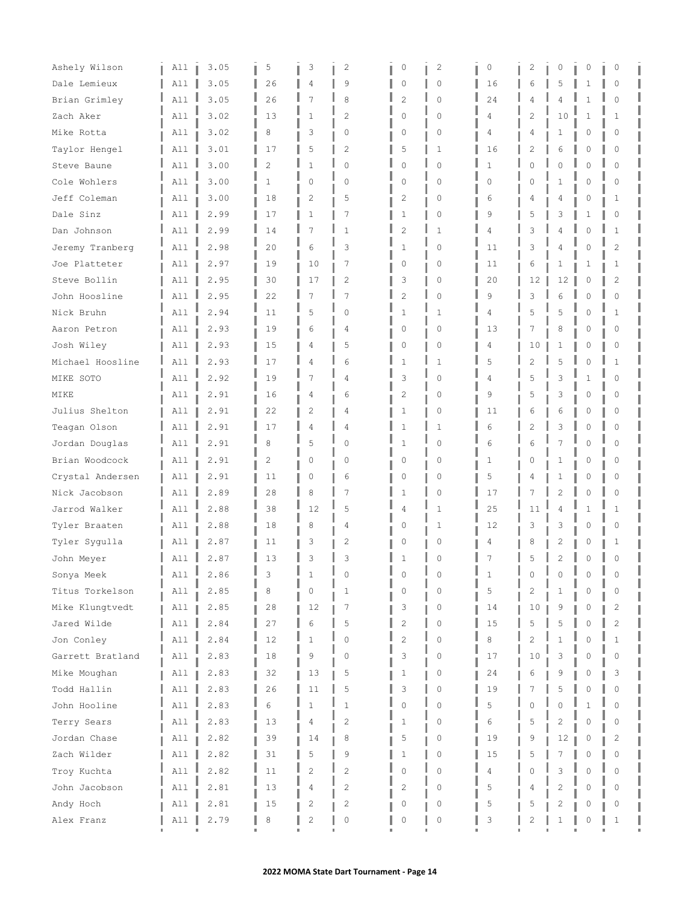| Ashely Wilson               | All        | 3.05         | 5              | 3                  | $\overline{c}$    | 0                | $\overline{c}$              | 0        | 2              | 0              | 0             | 0              |
|-----------------------------|------------|--------------|----------------|--------------------|-------------------|------------------|-----------------------------|----------|----------------|----------------|---------------|----------------|
| Dale Lemieux                | All        | 3.05         | 26             | 4                  | 9                 | 0                | $\mathbf{0}$                | 16       | 6              | 5              | 1             | 0              |
| Brian Grimley               | A11        | 3.05         | 26             | 7                  | 8                 | $\overline{c}$   | $\mathbf{0}$                | 24       | 4              | 4              | 1             | $\circ$        |
| Zach Aker                   | All        | 3.02         | 13             | 1                  | $\overline{2}$    | 0                | $\Omega$                    | 4        | 2              | 10             | 1             | 1              |
| Mike Rotta                  | All        | 3.02         | 8              | 3                  | $\Omega$          | 0                | $\Omega$                    | 4        | 4              | 1              | 0             | $\Omega$       |
| Taylor Hengel               | All        | 3.01         | 17             | 5                  | 2                 | 5                | $\mathbf{1}$                | 16       | 2              | 6              | 0             | $\Omega$       |
| Steve Baune                 | All        | 3.00         | $\overline{c}$ | $\mathbf{1}$       | $\Omega$          | $\mathbf 0$      | $\Omega$                    | 1        | O              | $\Omega$       | $\Omega$      | $\Omega$       |
| Cole Wohlers                | A11        | 3.00         | $\mathbf{1}$   | 0                  | 0                 | 0                | $\mathbf{0}$                | $\Omega$ | 0              | $\mathbf{1}$   | 0             | 0              |
| Jeff Coleman                | All        | 3.00         | 18             | $\overline{2}$     | 5                 | 2                | $\circ$                     | 6        | 4              | 4              | 0             | 1              |
| Dale Sinz                   | All        | 2.99         | 17             | 1                  | 7                 | 1                | $\mathbf{0}$                | 9        | 5              | 3              | 1             | 0              |
| Dan Johnson                 | All        | 2.99         | 14             | 7                  | $\mathbf{1}$      | $\overline{c}$   | $\mathbf{1}$                | 4        | 3              | 4              | $\mathbf 0$   | $\mathbf{1}$   |
| Jeremy Tranberg             | A11        | 2.98         | 20             | 6                  | 3                 | $\mathbf{1}$     | $\Omega$                    | 11       | 3              | 4              | $\Omega$      | $\overline{c}$ |
| Joe Platteter               | A11        | 2.97         | 19             | 10                 | 7                 | 0                | $\circ$                     | 11       | 6              | 1              | 1             | 1              |
| Steve Bollin                | All        | 2.95         | 30             | 17                 | 2                 | 3                | $\circ$                     | 20       | 12             | 12             | 0             | 2              |
| John Hoosline               | A11        | 2.95         | 22             | 7                  | 7                 | 2                | $\Omega$                    | 9        | 3              | 6              | 0             | $\Omega$       |
| Nick Bruhn                  | A11        | 2.94         | 11             | 5                  | $\Omega$          | $\mathbf{1}$     | $\mathbf{1}$                | 4        | 5              | 5              | $\circ$       | $\mathbf 1$    |
| Aaron Petron                | A11        | 2.93         | 19             | 6                  | 4                 | $\circ$          | $\circ$                     | 13       | 7              | 8              | 0             | $\Omega$       |
| Josh Wiley                  | All        | 2.93         | 15             | 4                  | 5                 | 0                | $\circ$                     | 4        | 10             | 1              | 0             | $\Omega$       |
| Michael Hoosline            | All        | 2.93         | 17             | 4                  | 6                 | $\mathbf 1$      | $\mathbf{1}$                | 5        | 2              | 5              | $\Omega$      | $\mathbf{1}$   |
| MIKE SOTO                   | All        | 2.92         | 19             | 7                  | 4                 | 3                | $\Omega$                    | 4        | 5              | 3              | 1             | $\Omega$       |
| MIKE                        | All        | 2.91         | 16             | 4                  | 6                 | 2                | $\circ$                     | 9        | 5              | 3              | 0             | 0              |
| Julius Shelton              | All        | 2.91         | 22             | 2                  | 4                 | $\mathbf 1$      | $\circ$                     | 11       | 6              | 6              | 0             | $\Omega$       |
| Teagan Olson                | All        | 2.91         | 17             | 4                  | 4                 | $\mathbf 1$      | $\mathbf{1}$                | 6        | 2              | 3              | $\Omega$      | $\Omega$       |
| Jordan Douglas              | A11        | 2.91         | 8              | 5                  | 0                 | $\mathbf{1}$     | $\mathbf{0}$                | 6        | 6              | 7              | $\mathbf 0$   | 0              |
| Brian Woodcock              | A11        | 2.91         | $\overline{c}$ | 0                  | $\Omega$          | 0                | $\Omega$                    | 1        | 0              | 1              | 0             | $\Omega$       |
| Crystal Andersen            | All        | 2.91         | 11             | $\circ$            | 6                 | 0                | $\mathbf{0}$                | 5        | 4              | 1              | 0             | $\Omega$       |
| Nick Jacobson               | A11        | 2.89         | 28             | 8                  | 7                 | 1                | $\Omega$                    | 17       | 7              | $\overline{c}$ | $\Omega$      | $\Omega$       |
| Jarrod Walker               | A11        | 2.88         | 38             | 12                 | 5                 | 4                | $\mathbf{1}$                | 25       | 11             | 4              | 1             | 1              |
| Tyler Braaten               | All        | 2.88         | 18             | 8                  | 4                 | 0                | $\mathbf{1}$                | 12       | 3              | 3              | $\circ$       | 0              |
| Tyler Sygulla               | All        | 2.87         | 11             | 3                  | 2                 | 0                | $\circ$                     | 4        | 8              | 2              | 0             | 1              |
| John Meyer                  | All        | 2.87         | 13             | 3                  | 3                 | 1                | $\Omega$                    | 7        | 5              | $\overline{c}$ | $\mathbf 0$   | $\Omega$       |
| Sonya Meek                  | All        | 2.86         | З              |                    | 0                 |                  | 0                           | 1        | 0              | 0              | 0             | 0              |
| Titus Torkelson             | All        | 2.85         | 8              | 0                  | 1                 | $\Omega$         | $\Omega$                    | 5        | 2              | 1              | 0             | $\Omega$       |
| Mike Klungtvedt             | All        | 2.85         | 28             | 12                 | 7                 | 3                | $\circ$                     | 14       | 10             | 9              | 0             | 2              |
| Jared Wilde                 | All        | 2.84         | 27             | 6                  | 5                 | $\overline{c}$   | $\Omega$                    | 15       | 5              | 5              | $\Omega$      | $\overline{c}$ |
| Jon Conley                  | All        | 2.84         | 12             | $\mathbf{1}$<br>9  | 0                 | $\overline{c}$   | $\mathbf{0}$                | 8        | $\overline{2}$ | 1              | $\Omega$      | $\mathbf{1}$   |
| Garrett Bratland            | All        | 2.83         | 18             |                    | 0                 | 3                | $\mathbb O$                 | 17       | 10             | 3              | 0             | 0              |
| Mike Moughan                | All        | 2.83<br>2.83 | 32             | 13                 | 5                 | 1                | 0<br>$\mathbf{0}$           | 24       | 6<br>7         | 9<br>5         | 0<br>$\circ$  | 3<br>$\Omega$  |
| Todd Hallin                 | All        | 2.83         | 26<br>6        | 11<br>$\mathbf{1}$ | 5<br>$\mathbf{1}$ | 3<br>$\mathbf 0$ | $\Omega$                    | 19<br>5  | 0              | $\Omega$       | 1             | $\Omega$       |
| John Hooline                | All        |              |                |                    |                   |                  |                             |          | 5              |                |               |                |
| Terry Sears                 | All        | 2.83         | 13             | 4                  | 2                 | 1                | 0                           | 6        |                | $\overline{c}$ | 0             | $\Omega$       |
| Jordan Chase<br>Zach Wilder | All        | 2.82<br>2.82 | 39             | 14<br>5            | 8<br>9            | 5<br>1           | $\mathbb O$<br>$\mathbf{0}$ | 19       | 9<br>5         | 12             | 0<br>$\Omega$ | 2<br>$\Omega$  |
| Troy Kuchta                 | All<br>All | 2.82         | 31<br>11       | $\overline{c}$     | $\overline{c}$    | 0                | $\mathbf{0}$                | 15<br>4  | 0              | 3              | $\circ$       | $\Omega$       |
| John Jacobson               | All        | 2.81         | 13             | 4                  | $\mathbf{2}$      | 2                | 0                           | 5        | 4              | $\overline{c}$ | $\Omega$      | $\Omega$       |
| Andy Hoch                   | All        | 2.81         | 15             | 2                  | 2                 | 0                | 0                           | 5        | 5              | 2              | 0             |                |
| Alex Franz                  | All        | 2.79         | 8              | $\mathbf{2}$       | 0                 | 0                | $\mathbb O$                 | 3        | 2              | 1              | 0             | 1              |
|                             |            |              |                |                    |                   |                  |                             |          |                |                |               |                |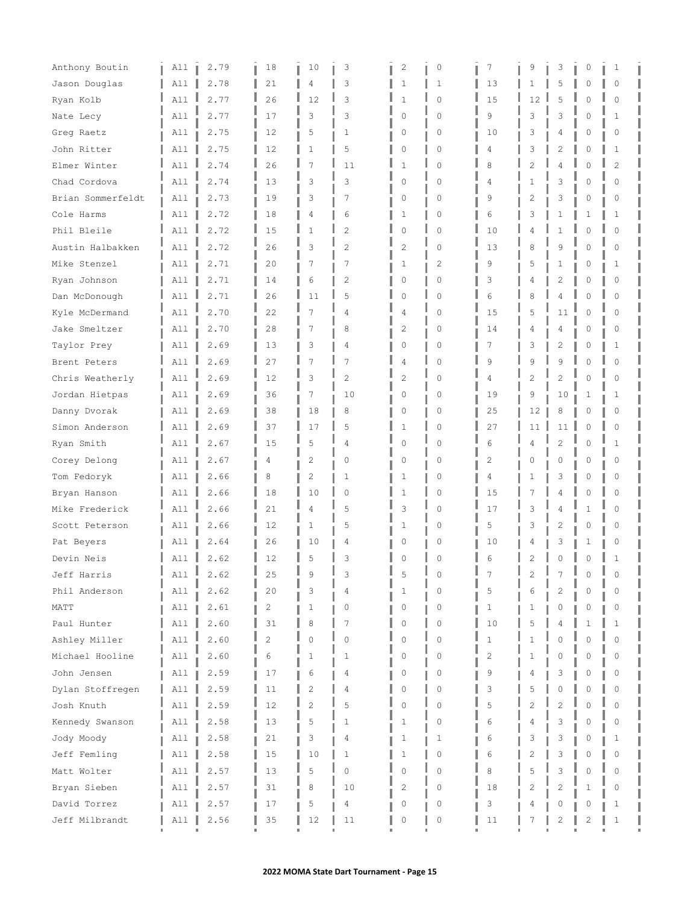| Anthony Boutin    | All | 2.79 | 18             | 10             | 3              | 2              | 0            | 7            | 9  | 3              | 0           | 1              |  |
|-------------------|-----|------|----------------|----------------|----------------|----------------|--------------|--------------|----|----------------|-------------|----------------|--|
| Jason Douglas     | All | 2.78 | 21             | 4              | 3              | 1              | $\mathbf{1}$ | 13           | 1  | 5              | 0           | $\Omega$       |  |
| Ryan Kolb         | A11 | 2.77 | 26             | 12             | 3              | 1              | $\mathbf{0}$ | 15           | 12 | 5              | O           | $\Omega$       |  |
| Nate Lecy         | All | 2.77 | 17             | 3              | 3              | 0              | $\Omega$     | 9            | 3  | 3              | O           | 1              |  |
| Greg Raetz        | All | 2.75 | 12             | 5              | 1              | 0              | $\Omega$     | 10           | 3  | 4              | Ω           | 0              |  |
| John Ritter       | A11 | 2.75 | 12             | $\mathbf{1}$   | 5              | 0              | $\mathbf{0}$ | 4            | 3  | 2              | 0           | $\mathbf{1}$   |  |
| Elmer Winter      | All | 2.74 | 26             | 7              | 11             | 1              | $\Omega$     | 8            | 2  | 4              | $\cap$      | $\overline{2}$ |  |
| Chad Cordova      | All | 2.74 | 13             | 3              | 3              | 0              | $\mathbf{0}$ | 4            | 1  | 3              | 0           | $\Omega$       |  |
| Brian Sommerfeldt | All | 2.73 | 19             | 3              | 7              | 0              | $\circ$      | 9            | 2  | 3              | 0           | 0              |  |
| Cole Harms        | All | 2.72 | 18             | 4              | 6              | 1              | $\mathbf{0}$ | 6            | 3  | 1              | 1           | 1              |  |
| Phil Bleile       | All | 2.72 | 15             | 1              | $\overline{c}$ | 0              | $\mathbf{0}$ | 10           | 4  | 1              | $\Omega$    | $\Omega$       |  |
| Austin Halbakken  | All | 2.72 | 26             | 3              | $\overline{c}$ | $\overline{c}$ | $\Omega$     | 13           | 8  | 9              | $\Omega$    | $\Omega$       |  |
| Mike Stenzel      | All | 2.71 | 20             | 7              | 7              | 1              | 2            | 9            | 5  | 1              | 0           | 1              |  |
| Ryan Johnson      | All | 2.71 | 14             | 6              | 2              | 0              | $\circ$      | 3            | 4  | 2              | 0           | 0              |  |
| Dan McDonough     | A11 | 2.71 | 26             | 11             | 5              | 0              | $\Omega$     | 6            | 8  | 4              | $\Omega$    | $\Omega$       |  |
| Kyle McDermand    | A11 | 2.70 | 22             | 7              | 4              | 4              | $\Omega$     | 15           | 5  | 11             | $\Omega$    | $\Omega$       |  |
| Jake Smeltzer     | All | 2.70 | 28             | 7              | 8              | $\mathbf{2}$   | $\circ$      | 14           | 4  | 4              | 0           | 0              |  |
| Taylor Prey       | All | 2.69 | 13             | 3              | 4              | 0              | $\circ$      | 7            | 3  | 2              | 0           | 1              |  |
| Brent Peters      | A11 | 2.69 | 27             | 7              | 7              | 4              | $\Omega$     | 9            | 9  | 9              | $\cap$      | $\Omega$       |  |
| Chris Weatherly   | All | 2.69 | 12             | 3              | $\overline{c}$ | $\overline{c}$ | $\Omega$     | 4            | 2  | $\overline{c}$ | $\cap$      | $\Omega$       |  |
| Jordan Hietpas    | All | 2.69 | 36             | 7              | 10             | 0              | $\circ$      | 19           | 9  | 10             | 1           | 1              |  |
| Danny Dvorak      | All | 2.69 | 38             | 18             | 8              | $\circ$        | $\circ$      | 25           | 12 | 8              | 0           | $\Omega$       |  |
| Simon Anderson    | All | 2.69 | 37             | 17             | 5              | 1              | $\mathbf{0}$ | 27           | 11 | 11             | $\mathbf 0$ | $\Omega$       |  |
| Ryan Smith        | All | 2.67 | 15             | 5              | 4              | 0              | $\mathbf{0}$ | 6            | 4  | 2              | 0           | 1              |  |
| Corey Delong      | All | 2.67 | 4              | $\overline{c}$ | $\Omega$       | 0              | $\Omega$     | 2            | 0  | 0              | Ω           | 0              |  |
| Tom Fedoryk       | All | 2.66 | 8              | 2              | 1              | 1              | $\circ$      | 4            | 1  | 3              | 0           | 0              |  |
| Bryan Hanson      | All | 2.66 | 18             | 10             | $\Omega$       | 1              | $\Omega$     | 15           | 7  | 4              | Λ           | $\Omega$       |  |
| Mike Frederick    | All | 2.66 | 21             | 4              | 5              | 3              | $\Omega$     | 17           | 3  | 4              | 1           | $\Omega$       |  |
| Scott Peterson    | All | 2.66 | 12             | 1              | 5              | 1              | $\circ$      | 5            | 3  | 2              | 0           | 0              |  |
| Pat Beyers        | All | 2.64 | 26             | 10             | 4              | 0              | $\Omega$     | 10           | 4  | 3              | 1           | 0              |  |
| Devin Neis        | All | 2.62 | 12             | 5              | 3              | 0              | $\Omega$     | 6            | 2  | 0              | 0           | $\mathbf{1}$   |  |
| Jeff Harris       | All | 2.62 | 25             | 9              | З              |                | 0            |              | 2  |                |             |                |  |
| Phil Anderson     | All | 2.62 | 20             | 3              | 4              | 1              | $\Omega$     | 5            | 6  | 2              | Ω           | 0              |  |
| MATT              | All | 2.61 | 2              | 1              | 0              | 0              | 0            | 1            | 1  | 0              | 0           | 0              |  |
| Paul Hunter       | All | 2.60 | 31             | 8              | 7              | 0              | $\mathbf{0}$ | 10           | 5  | 4              |             | 1              |  |
| Ashley Miller     | All | 2.60 | $\overline{2}$ | 0              | 0              | 0              | 0            | $\mathbf{1}$ | 1  | 0              | $\cap$      | $\Omega$       |  |
| Michael Hooline   | All | 2.60 | 6              | 1              | 1              | 0              | $\mathbf{0}$ | 2            | 1  | 0              | 0           | 0              |  |
| John Jensen       | All | 2.59 | 17             | 6              | 4              | 0              | 0            | 9            | 4  | 3              | 0           | 0              |  |
| Dylan Stoffregen  | All | 2.59 | 11             | 2              | 4              | 0              | $\mathbb O$  | 3            | 5  | 0              | $\cap$      | $\Omega$       |  |
| Josh Knuth        | All | 2.59 | 12             | $\overline{2}$ | 5              | 0              | $\Omega$     | 5            | 2  | $\overline{c}$ | $\cap$      | $\Omega$       |  |
| Kennedy Swanson   | All | 2.58 | 13             | 5              | 1              | 1              | 0            | 6            | 4  | 3              | Ω           | 0              |  |
| Jody Moody        | All | 2.58 | 21             | 3              | 4              | 1              | 1            | 6            | 3  | 3              | 0           | 1              |  |
| Jeff Femling      | All | 2.58 | 15             | 10             | $\mathbf{1}$   | 1              | 0            | 6            | 2  | 3              | 0           | $\Omega$       |  |
| Matt Wolter       | All | 2.57 | 13             | 5              | 0              | 0              | $\mathbf{0}$ | 8            | 5  | 3              | $\Omega$    | $\Omega$       |  |
| Bryan Sieben      | All | 2.57 | 31             | 8              | 10             | 2              | 0            | 18           | 2  | 2              | 1           | 0              |  |
| David Torrez      | All | 2.57 | 17             | 5              | 4              | 0              | 0            | 3            | 4  | 0              | 0           |                |  |
| Jeff Milbrandt    | All | 2.56 | 35             | 12             | 11             | 0              | $\mathbb O$  | 11           |    | 2              | 2           | 1              |  |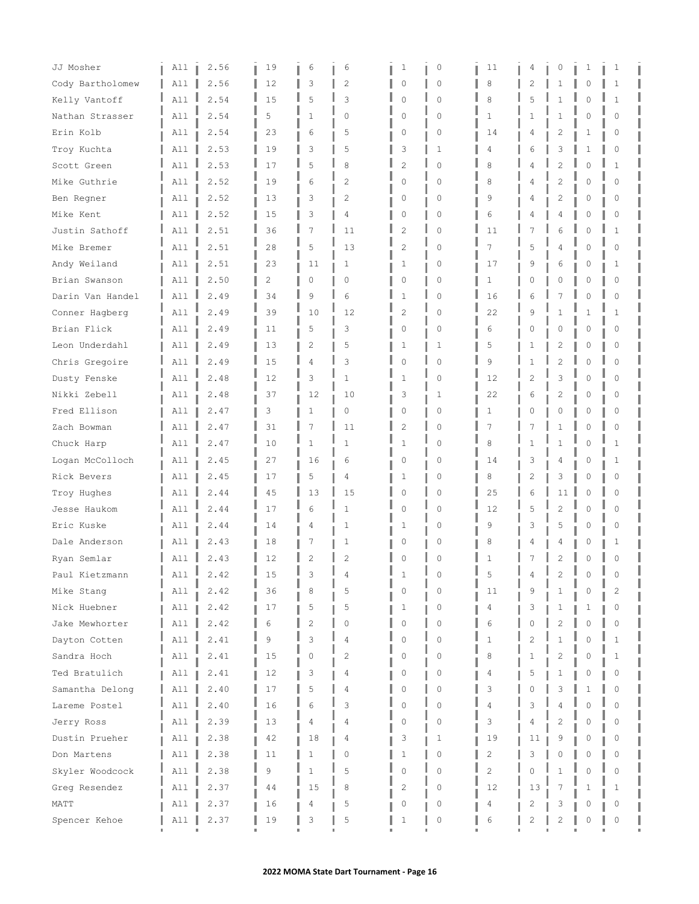| JJ Mosher        | All | 2.56 | 19 | 6              | 6              | 1              | 0                   | 11             | 4              | 0              | 1            | 1            |  |
|------------------|-----|------|----|----------------|----------------|----------------|---------------------|----------------|----------------|----------------|--------------|--------------|--|
| Cody Bartholomew | All | 2.56 | 12 | 3              | 2              | 0              | $\circ$             | 8              | 2              | 1              | 0            | 1            |  |
| Kelly Vantoff    | A11 | 2.54 | 15 | 5              | 3              | $\circ$        | $\mathbf{0}$        | 8              | 5              | $\mathbf{1}$   | 0            | 1            |  |
| Nathan Strasser  | All | 2.54 | 5  | $\mathbf{1}$   | 0              | 0              | $\Omega$            | $\mathbf{1}$   | 1              | 1              | O            | $\Omega$     |  |
| Erin Kolb        | All | 2.54 | 23 | 6              | 5              | 0              | $\Omega$            | 14             | 4              | 2              | 1            | 0            |  |
| Troy Kuchta      | All | 2.53 | 19 | 3              | 5              | 3              | $\mathbf{1}$        | 4              | 6              | 3              | 1            | 0            |  |
| Scott Green      | All | 2.53 | 17 | 5              | 8              | $\overline{c}$ | $\Omega$            | 8              | 4              | $\overline{c}$ | $\Omega$     | 1            |  |
| Mike Guthrie     | All | 2.52 | 19 | 6              | 2              | 0              | $\mathbf{0}$        | 8              | 4              | 2              | 0            | $\Omega$     |  |
| Ben Regner       | All | 2.52 | 13 | 3              | 2              | 0              | $\circ$             | 9              | 4              | 2              | 0            | 0            |  |
| Mike Kent        | All | 2.52 | 15 | 3              | 4              | 0              | $\mathbf{0}$        | 6              | 4              | 4              | 0            | 0            |  |
| Justin Sathoff   | All | 2.51 | 36 | 7              | 11             | $\overline{c}$ | $\Omega$            | 11             | 7              | 6              | $\Omega$     | $\mathbf{1}$ |  |
| Mike Bremer      | All | 2.51 | 28 | 5              | 13             | $\overline{2}$ | $\Omega$            | 7              | 5              | 4              | O            | $\Omega$     |  |
| Andy Weiland     | All | 2.51 | 23 | 11             | 1              | 1              | $\circ$             | 17             | 9              | 6              | 0            | 1            |  |
| Brian Swanson    | All | 2.50 | 2  | 0              | 0              | 0              | $\circ$             | 1              | 0              | 0              | 0            | 0            |  |
| Darin Van Handel | A11 | 2.49 | 34 | 9              | 6              | 1              | $\Omega$            | 16             | 6              | 7              | $\Omega$     | $\Omega$     |  |
| Conner Hagberg   | A11 | 2.49 | 39 | 10             | 12             | $\overline{c}$ | $\Omega$            | 22             | 9              | 1              | $\mathbf{1}$ | $\mathbf{1}$ |  |
| Brian Flick      | All | 2.49 | 11 | 5              | 3              | $\circ$        | $\circ$             | 6              | 0              | 0              | 0            | $\Omega$     |  |
| Leon Underdahl   | All | 2.49 | 13 | 2              | 5              | 1              | 1                   | 5              | 1              | 2              | 0            | 0            |  |
| Chris Gregoire   | All | 2.49 | 15 | 4              | 3              | 0              | $\mathbf{0}$        | 9              | 1              | $\overline{c}$ | $\cap$       | $\Omega$     |  |
| Dusty Fenske     | All | 2.48 | 12 | 3              | 1              | 1              | $\Omega$            | 12             | 2              | 3              | $\Omega$     | $\Omega$     |  |
| Nikki Zebell     | A11 | 2.48 | 37 | 12             | 10             | 3              | 1                   | 22             | 6              | 2              | 0            | 0            |  |
| Fred Ellison     | All | 2.47 | 3  | 1              | 0              | $\circ$        | $\circ$             | 1              | 0              | 0              | 0            | 0            |  |
| Zach Bowman      | All | 2.47 | 31 | 7              | 11             | $\overline{c}$ | $\Omega$            | 7              | 7              | 1              | O            | $\Omega$     |  |
| Chuck Harp       | All | 2.47 | 10 | 1              | 1              | 1              | $\mathbf{0}$        | 8              | 1              | 1              | 0            | 1            |  |
| Logan McColloch  | All | 2.45 | 27 | 16             | 6              | 0              | $\Omega$            | 14             | 3              | 4              | Ω            | 1            |  |
| Rick Bevers      | All | 2.45 | 17 | 5              | 4              | 1              | $\mathbf{0}$        | 8              | 2              | 3              | 0            | 0            |  |
| Troy Hughes      | All | 2.44 | 45 | 13             | 15             | 0              | $\Omega$            | 25             | 6              | 11             | $\Omega$     | $\Omega$     |  |
| Jesse Haukom     | All | 2.44 | 17 | 6              | 1              | 0              | $\Omega$            | 12             | 5              | $\overline{2}$ | $\Omega$     | $\Omega$     |  |
| Eric Kuske       | All | 2.44 | 14 | 4              | 1              | 1              | $\circ$             | 9              | 3              | 5              | 0            | 0            |  |
| Dale Anderson    | All | 2.43 | 18 | 7              | 1              | 0              | 0                   | 8              | 4              | 4              | Ω            | 1            |  |
| Ryan Semlar      | All | 2.43 | 12 | 2              | $\overline{c}$ | 0              | $\Omega$            | 1              | 7              | 2              | 0            | $\circ$      |  |
| Paul Kietzmann   | All | 2.42 | 15 | 3              | 4              |                | 0                   | 5              | 4              |                |              |              |  |
| Mike Stang       | All | 2.42 | 36 | 8              | 5              | 0              | $\Omega$            | 11             | 9              | $\mathbf{1}$   | Ω            | 2            |  |
| Nick Huebner     | All | 2.42 | 17 | 5              | 5              | 1              | 0                   | 4              | 3              | 1              | 1            | 0            |  |
| Jake Mewhorter   | All | 2.42 | 6  | $\overline{c}$ | $\Omega$       | 0              | $\Omega$            | 6              | 0              | $\overline{c}$ | $\cap$       | $\Omega$     |  |
| Dayton Cotten    | All | 2.41 | 9  | 3              | 4              | 0              | 0                   | 1              | $\overline{c}$ | $\mathbf{1}$   | O            | 1            |  |
| Sandra Hoch      | All | 2.41 | 15 | 0              | $\overline{c}$ | 0              | $\mathbf{0}$        | 8              | 1              | 2              | 0            | 1            |  |
| Ted Bratulich    | All | 2.41 | 12 | 3              | 4              | 0              | 0                   | 4              | 5              | 1              | 0            | 0            |  |
| Samantha Delong  | All | 2.40 | 17 | 5              | 4              | 0              | $\mathsf{O}\xspace$ | 3              | O              | 3              |              | $\Omega$     |  |
| Lareme Postel    | All | 2.40 | 16 | 6              | 3              | 0              | $\Omega$            | 4              | 3              | 4              | $\cap$       | $\Omega$     |  |
| Jerry Ross       | All | 2.39 | 13 | 4              | 4              | 0              | 0                   | 3              | 4              | 2              | Ω            | 0            |  |
| Dustin Prueher   | All | 2.38 | 42 | 18             | 4              | 3              | 1                   | 19             | 11             | 9              | 0            | 0            |  |
| Don Martens      | All | 2.38 | 11 | 1              | 0              | 1              | 0                   | 2              | 3              | 0              | 0            | $\Omega$     |  |
| Skyler Woodcock  | All | 2.38 | 9  | $\mathbf{1}$   | 5              | 0              | $\mathbf{0}$        | $\overline{2}$ | 0              | $\mathbf{1}$   | 0            | $\Omega$     |  |
| Greg Resendez    | All | 2.37 | 44 | 15             | 8              | 2              | 0                   | 12             | 13             | 7              | 1            | 1            |  |
| MATT             | All | 2.37 | 16 | 4              | 5              | 0              | 0                   | 4              | 2              | 3              | 0            | 0            |  |
| Spencer Kehoe    | All | 2.37 | 19 | 3              | 5              | 1              | $\mathbb O$         | 6              | 2              | 2              | 0            | 0            |  |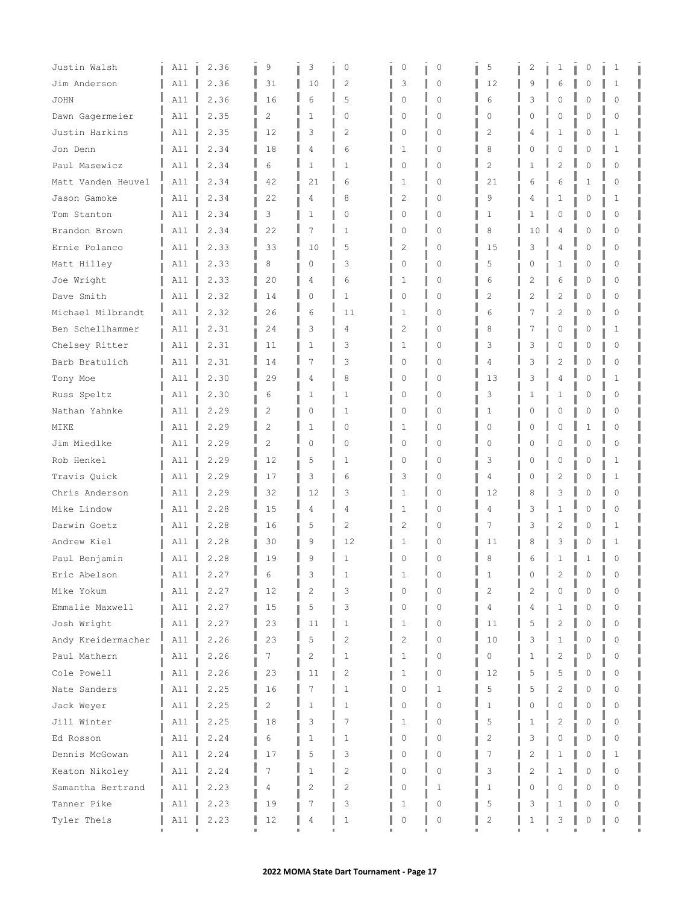| Justin Walsh       | All | 2.36 | 9              | 3              | 0              | 0              | 0            | 5              | 2        | 1              | 0        | 1            |  |
|--------------------|-----|------|----------------|----------------|----------------|----------------|--------------|----------------|----------|----------------|----------|--------------|--|
| Jim Anderson       | All | 2.36 | 31             | 10             | $\overline{c}$ | 3              | 0            | 12             | 9        | 6              | Λ        | 1            |  |
| <b>JOHN</b>        | All | 2.36 | 16             | 6              | 5              | $\mathbf 0$    | $\Omega$     | 6              | 3        | 0              | Λ        | 0            |  |
| Dawn Gagermeier    | All | 2.35 | $\overline{c}$ | 1              | $\Omega$       | $\circ$        | $\Omega$     | $\Omega$       | 0        | $\circ$        | 0        | $\Omega$     |  |
| Justin Harkins     | All | 2.35 | 12             | 3              | 2              | 0              | 0            | 2              | 4        | 1              | 0        | 1            |  |
| Jon Denn           | All | 2.34 | 18             | 4              | 6              | 1              | 0            | 8              | Ω        | 0              | Λ        | 1            |  |
| Paul Masewicz      | A11 | 2.34 | 6              | $\mathbf{1}$   | $\mathbf{1}$   | $\mathbf 0$    | $\Omega$     | $\overline{c}$ |          | $\overline{c}$ | Λ        | $\Omega$     |  |
| Matt Vanden Heuvel | All | 2.34 | 42             | 21             | 6              | 1              | $\Omega$     | 21             | 6        | 6              | 1        | $\Omega$     |  |
| Jason Gamoke       | All | 2.34 | 22             | 4              | 8              | 2              | 0            | 9              | 4        | 1              | 0        | 1            |  |
| Tom Stanton        | All | 2.34 | 3              | 1              | $\circ$        | 0              | 0            | 1              | 1        | 0              | 0        | 0            |  |
| Brandon Brown      | A11 | 2.34 | 22             | 7              | $\mathbf{1}$   | $\mathbf 0$    | $\Omega$     | 8              | 10       | 4              | $\Omega$ | $\Omega$     |  |
| Ernie Polanco      | All | 2.33 | 33             | 10             | 5              | $\overline{2}$ | $\cap$       | 15             | 3        | 4              | Λ        | $\Omega$     |  |
| Matt Hilley        | All | 2.33 | 8              | 0              | 3              | 0              | $\Omega$     | 5              | $\left($ | 1              | 0        | $\Omega$     |  |
| Joe Wright         | All | 2.33 | 20             | 4              | 6              | 1              | 0            | 6              | 2        | 6              | 0        | 0            |  |
| Dave Smith         | All | 2.32 | 14             | 0              | $\mathbf{1}$   | 0              | $\Omega$     | $\overline{c}$ | 2        | 2              | $\Omega$ | $\Omega$     |  |
| Michael Milbrandt  | All | 2.32 | 26             | 6              | 11             | 1              | $\Omega$     | 6              | 7        | $\overline{c}$ | $\Omega$ | $\Omega$     |  |
| Ben Schellhammer   | All | 2.31 | 24             | 3              | 4              | $\overline{2}$ | 0            | 8              | 7        | 0              | 0        | $\mathbf{1}$ |  |
| Chelsey Ritter     | All | 2.31 | 11             | $\mathbf{1}$   | 3              | 1              | 0            | 3              | 3        | 0              | 0        | 0            |  |
| Barb Bratulich     | All | 2.31 | 14             | 7              | 3              | 0              | 0            | 4              | 3        | $\overline{c}$ | Λ        | $\Omega$     |  |
| Tony Moe           | All | 2.30 | 29             | 4              | 8              | $\mathbf 0$    | $\Omega$     | 13             | 3        | 4              | 0        | $\mathbf{1}$ |  |
| Russ Speltz        | All | 2.30 | 6              | 1              | 1              | 0              | $\Omega$     | 3              | 1        | 1              | 0        | 0            |  |
| Nathan Yahnke      | All | 2.29 | 2              | 0              | 1              | 0              | 0            | 1              | Ω        | 0              | 0        | 0            |  |
| MIKE               | All | 2.29 | $\mathfrak{D}$ | $\mathbf{1}$   | $\circ$        | $\mathbf 1$    | $\Omega$     | $\Omega$       |          | 0              |          | $\Omega$     |  |
| Jim Miedlke        | All | 2.29 | $\overline{2}$ | 0              | 0              | $\circ$        | $\Omega$     | $\Omega$       | Ω        | 0              | $\Omega$ | 0            |  |
| Rob Henkel         | All | 2.29 | 12             | 5              | 1              | 0              | 0            | 3              | Ω        | $\mathbf 0$    | Λ        | 1            |  |
| Travis Quick       | All | 2.29 | 17             | 3              | 6              | 3              | 0            | 4              | Ω        | 2              | 0        | 1            |  |
| Chris Anderson     | All | 2.29 | 32             | 12             | 3              | 1              | $\Omega$     | 12             | 8        | 3              | 0        | $\Omega$     |  |
| Mike Lindow        | All | 2.28 | 15             | 4              | 4              | $\mathbf{1}$   | $\cap$       | 4              | 3        | 1              | Λ        | $\Omega$     |  |
| Darwin Goetz       | All | 2.28 | 16             | 5              | 2              | 2              | $\Omega$     | 7              | 3        | 2              | 0        | 1            |  |
| Andrew Kiel        | All | 2.28 | 30             | 9              | 12             | 1              | 0            | 11             | 8        | 3              | 0        | 1            |  |
| Paul Benjamin      | All | 2.28 | 19             | 9              | 1              | 0              | $\Omega$     | 8              | 6        | 1              | 1        | 0            |  |
| Eric Abelson       | A11 | 2.27 | 6              | З              | l              |                | $\Box$       | ı              |          | 2              |          |              |  |
| Mike Yokum         | All | 2.27 | 12             | $\overline{c}$ | 3              | n              | O.           | $\overline{c}$ |          | $\Omega$       |          | $\Omega$     |  |
| Emmalie Maxwell    | All | 2.27 | 15             | 5              | 3              | 0              | 0            | 4              | 4        | 1              | 0        | 0            |  |
| Josh Wright        | All | 2.27 | 23             | 11             | $\mathbf{1}$   | 1              | $\Omega$     | 11             | 5        | $\overline{c}$ | Λ        | $\Omega$     |  |
| Andy Kreidermacher | All | 2.26 | 23             | 5              | $\overline{c}$ | $\overline{c}$ | $\Omega$     | 10             | 3        | 1              | 0        | $\Omega$     |  |
| Paul Mathern       | All | 2.26 | 7              | 2              | 1              | 1              | 0            | 0              | 1        | 2              | 0        | 0            |  |
| Cole Powell        | All | 2.26 | 23             | 11             | 2              | 1              | 0            | 12             | 5        | 5              | 0        | 0            |  |
| Nate Sanders       | All | 2.25 | 16             | 7              | $\mathbf{1}$   | 0              | $\mathbf 1$  | 5              | 5        | $\overline{c}$ |          | $\Omega$     |  |
| Jack Weyer         | All | 2.25 | $\overline{c}$ | 1              | $\mathbf{1}$   | $\Omega$       | $\Omega$     | $\mathbf{1}$   | $\cap$   | $\Omega$       | Λ        | $\Omega$     |  |
| Jill Winter        | All | 2.25 | 18             | 3              | 7              | 1              | $\Omega$     | 5              |          | $\overline{c}$ | O        | $\Omega$     |  |
| Ed Rosson          | All | 2.24 | 6              | 1              | 1              | 0              | 0            | 2              | 3        | 0              | 0        | 0            |  |
| Dennis McGowan     | All | 2.24 | 17             | 5              | 3              | 0              | $\Omega$     | 7              | 2        | 1              | 0        | 1            |  |
| Keaton Nikoley     | All | 2.24 | 7              | $\mathbf{1}$   | $\overline{2}$ | $\Omega$       | $\Omega$     | 3              | 2        | 1              | 0        | $\Omega$     |  |
| Samantha Bertrand  | All | 2.23 | 4              | 2              | $\overline{2}$ | 0              | $\mathbf{1}$ | 1              | 0        | 0              | $\Omega$ | $\Omega$     |  |
| Tanner Pike        | All | 2.23 | 19             | 7              | 3              | 1              | 0            | 5              | 3        | 1              | Ω        | 0            |  |
| Tyler Theis        | All | 2.23 | 12             | 4              | 1              | 0              | 0            | $\overline{c}$ | 1        | 3              | Λ        | 0            |  |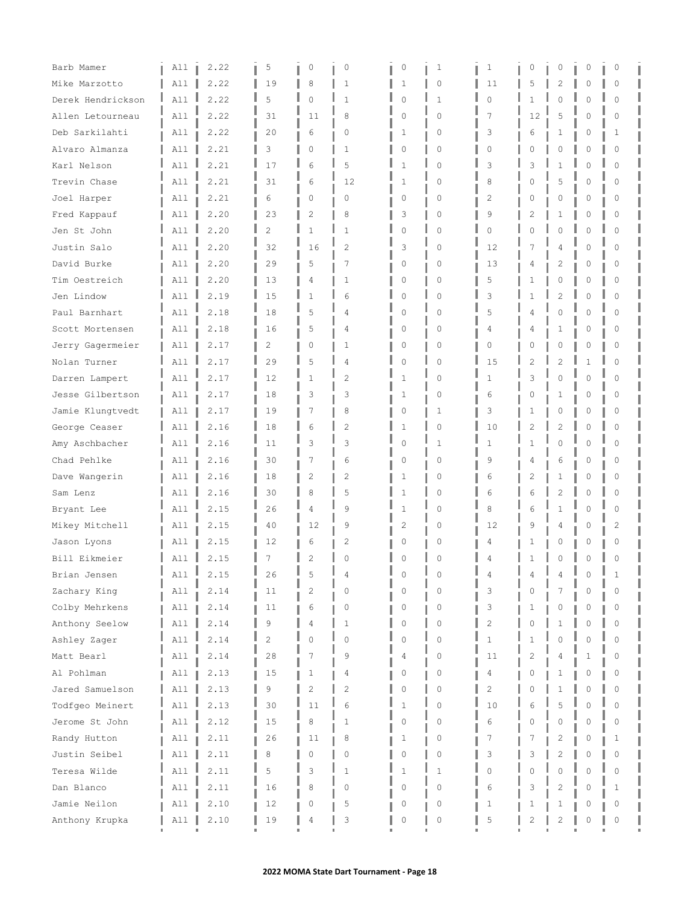| Barb Mamer        | All | 2.22 | 5              | 0            | 0              | 0        | 1            | 1              | 0  | 0              | 0        | 0        |  |
|-------------------|-----|------|----------------|--------------|----------------|----------|--------------|----------------|----|----------------|----------|----------|--|
| Mike Marzotto     | A11 | 2.22 | 19             | 8            | 1              | 1        | 0            | 11             | 5  | 2              | N        | $\Omega$ |  |
| Derek Hendrickson | All | 2.22 | 5              | 0            | $\mathbf{1}$   | 0        | $\mathbf{1}$ | $\Omega$       | 1  | 0              | O        | $\Omega$ |  |
| Allen Letourneau  | All | 2.22 | 31             | 11           | 8              | 0        | $\Omega$     | 7              | 12 | 5              | 0        | $\Omega$ |  |
| Deb Sarkilahti    | All | 2.22 | 20             | 6            | 0              | 1        | 0            | 3              | 6  | 1              | 0        | 1        |  |
| Alvaro Almanza    | All | 2.21 | 3              | 0            | 1              | 0        | 0            | $\Omega$       | 0  | 0              | 0        | $\Omega$ |  |
| Karl Nelson       | A11 | 2.21 | 17             | 6            | 5              | 1        | $\Omega$     | 3              | 3  | 1              | n        | $\Omega$ |  |
| Trevin Chase      | All | 2.21 | 31             | 6            | 12             | 1        | $\Omega$     | 8              | O  | 5              | 0        | 0        |  |
| Joel Harper       | All | 2.21 | 6              | 0            | 0              | 0        | 0            | 2              | 0  | 0              | 0        | 0        |  |
| Fred Kappauf      | All | 2.20 | 23             | 2            | 8              | 3        | 0            | 9              | 2  | 1              | 0        | $\circ$  |  |
| Jen St John       | All | 2.20 | $\overline{2}$ | $\mathbf{1}$ | $\mathbf{1}$   | 0        | $\Omega$     | $\cap$         | O  | $\mathbf 0$    | 0        | $\Omega$ |  |
| Justin Salo       | A11 | 2.20 | 32             | 16           | $\overline{c}$ | 3        | $\Omega$     | 12             |    | 4              | N        | $\Omega$ |  |
| David Burke       | All | 2.20 | 29             | 5            | 7              | 0        | 0            | 13             | 4  | 2              | 0        | $\Omega$ |  |
| Tim Oestreich     | All | 2.20 | 13             | 4            | 1              | 0        | 0            | 5              | 1  | 0              | 0        | 0        |  |
| Jen Lindow        | A11 | 2.19 | 15             | 1            | 6              | 0        | $\Omega$     | 3              |    | $\overline{2}$ | 0        | $\Omega$ |  |
| Paul Barnhart     | A11 | 2.18 | 18             | 5            | 4              | 0        | $\Omega$     | 5              | 4  | $\Omega$       | 0        | $\Omega$ |  |
| Scott Mortensen   | All | 2.18 | 16             | 5            | 4              | 0        | 0            | 4              | 4  | 1              | 0        | 0        |  |
| Jerry Gagermeier  | All | 2.17 | $\overline{2}$ | 0            | 1              | 0        | 0            | $\Omega$       | O  | 0              | 0        | 0        |  |
| Nolan Turner      | All | 2.17 | 29             | 5            | 4              | 0        | 0            | 15             | 2  | 2              | 1        | $\Omega$ |  |
| Darren Lampert    | A11 | 2.17 | 12             | $\mathbf{1}$ | $\overline{c}$ | 1        | $\Omega$     | $\mathbf{1}$   | 3  | $\Omega$       | 0        | $\Omega$ |  |
| Jesse Gilbertson  | A11 | 2.17 | 18             | 3            | 3              | 1        | $\Omega$     | 6              | 0  | 1              | 0        | 0        |  |
| Jamie Klungtvedt  | All | 2.17 | 19             | 7            | 8              | 0        | 1            | 3              | 1  | 0              | 0        | 0        |  |
| George Ceaser     | All | 2.16 | 18             | 6            | $\overline{c}$ | 1        | $\Omega$     | 10             | 2  | $\overline{2}$ | 0        | $\Omega$ |  |
| Amy Aschbacher    | All | 2.16 | 11             | 3            | 3              | 0        | 1            | 1              | 1  | 0              | 0        | $\Omega$ |  |
| Chad Pehlke       | All | 2.16 | 30             | 7            | 6              | 0        | $\Omega$     | 9              | 4  | 6              | N        | $\Omega$ |  |
| Dave Wangerin     | All | 2.16 | 18             | 2            | 2              | 1        | 0            | 6              | 2  | 1              | 0        | 0        |  |
| Sam Lenz          | All | 2.16 | 30             | 8            | 5              | 1        | $\Omega$     | 6              | 6  | $\overline{c}$ | $\Omega$ | $\Omega$ |  |
| Bryant Lee        | All | 2.15 | 26             | 4            | 9              | 1        | $\Omega$     | 8              | 6  | 1              | N        | $\Omega$ |  |
| Mikey Mitchell    | All | 2.15 | 40             | 12           | 9              | 2        | 0            | 12             | 9  | 4              | 0        | 2        |  |
| Jason Lyons       | All | 2.15 | 12             | 6            | 2              | 0        | O            | 4              | ı  | 0              | N        | $\Omega$ |  |
| Bill Eikmeier     | All | 2.15 | 7              | 2            | 0              | n        | $\Omega$     | 4              | 1  | 0              | 0        | $\Omega$ |  |
| Brian Jensen      | A11 | 2.15 | 26             | 5            | 4              |          | O            | 4              |    |                |          |          |  |
| Zachary King      | All | 2.14 | 11             | 2            | $\Omega$       | n        | $\Omega$     | 3              | Λ  |                | N        | $\Omega$ |  |
| Colby Mehrkens    | All | 2.14 | 11             | 6            | 0              | 0        | 0            | 3              | 1  | 0              | 0        | 0        |  |
| Anthony Seelow    | All | 2.14 | 9              | 4            | $\mathbf{1}$   | 0        | $\Omega$     | $\overline{c}$ | Λ  | 1              | O        | $\Omega$ |  |
| Ashley Zager      | All | 2.14 | 2              | $\Omega$     | $\Omega$       | 0        | $\Omega$     | $\mathbf{1}$   |    | $\Omega$       | 0        | $\Omega$ |  |
| Matt Bearl        | All | 2.14 | 28             | 7            | 9              | 4        | 0            | 11             | 2  | 4              | 1        | 0        |  |
| Al Pohlman        | All | 2.13 | 15             | 1            | 4              | 0        | 0            | 4              | 0  | 1              | 0        | 0        |  |
| Jared Samuelson   | All | 2.13 | 9              | 2            | 2              | $\Omega$ | 0            | $\overline{c}$ | O  | $\mathbf{1}$   | 0        | $\Omega$ |  |
| Todfgeo Meinert   | All | 2.13 | 30             | 11           | 6              | 1        | 0            | 10             | 6  | 5              | 0        | $\Omega$ |  |
| Jerome St John    | All | 2.12 | 15             | 8            | $\mathbf{1}$   | 0        | 0            | 6              | 0  | 0              | 0        | 0        |  |
| Randy Hutton      | All | 2.11 | 26             | 11           | 8              | 1        | 0            | 7              |    | 2              | 0        | 1        |  |
| Justin Seibel     | All | 2.11 | 8              | $\Omega$     | $\Omega$       | 0        | 0            | 3              | 3  | $\overline{c}$ | 0        | $\Omega$ |  |
| Teresa Wilde      | All | 2.11 | 5              | 3            | 1              | 1        | $\mathbf 1$  | $\Omega$       | Λ  | $\mathbf 0$    | 0        | $\Omega$ |  |
| Dan Blanco        | All | 2.11 | 16             | 8            | 0              | 0        | 0            | 6              | 3  | 2              | 0        | 1        |  |
| Jamie Neilon      | All | 2.10 | 12             | 0            | 5              | 0        | 0            | 1              | ı  | 1              | 0        | 0        |  |
| Anthony Krupka    | All | 2.10 | 19             | 4            | 3              | 0        | 0            | 5              | 2  | $\overline{c}$ | 0        | 0        |  |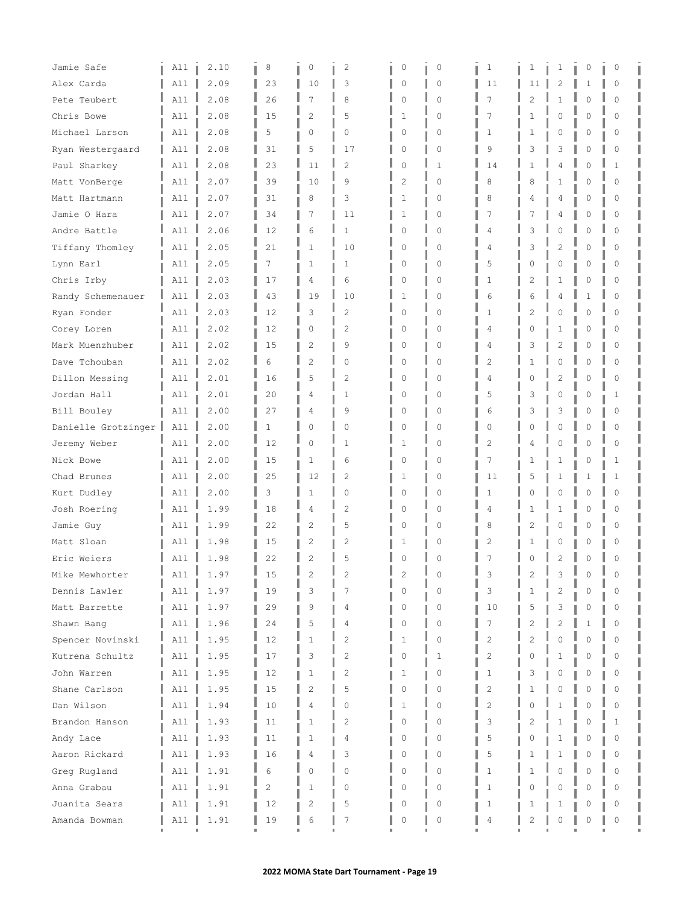| Jamie Safe          | All            | 2.10 | 8  | 0              | 2              | 0           | 0            | 1              | ı              | 1              | 0        | 0        |  |
|---------------------|----------------|------|----|----------------|----------------|-------------|--------------|----------------|----------------|----------------|----------|----------|--|
| Alex Carda          | All            | 2.09 | 23 | 10             | 3              | 0           | $\circ$      | 11             | 11             | 2              | 1        | 0        |  |
| Pete Teubert        | All            | 2.08 | 26 | 7              | 8              | 0           | $\Omega$     | 7              | 2              | 1              | Ω        | $\Omega$ |  |
| Chris Bowe          | All            | 2.08 | 15 | $\overline{2}$ | 5              | 1           | $\Omega$     | 7              | 1              | 0              | O        | 0        |  |
| Michael Larson      | All            | 2.08 | 5  | 0              | 0              | 0           | 0            | 1              | 1              | 0              | 0        | 0        |  |
| Ryan Westergaard    | All            | 2.08 | 31 | 5              | 17             | 0           | $\mathbf{0}$ | 9              | 3              | 3              | Ω        | $\Omega$ |  |
| Paul Sharkey        | All            | 2.08 | 23 | 11             | $\overline{c}$ | 0           | $\mathbf{1}$ | 14             | 1              | 4              | $\cap$   | 1        |  |
| Matt VonBerge       | All            | 2.07 | 39 | 10             | 9              | 2           | $\Omega$     | 8              | 8              | 1              | O        | 0        |  |
| Matt Hartmann       | All            | 2.07 | 31 | 8              | 3              | 1           | $\circ$      | 8              | 4              | 4              | 0        | 0        |  |
| Jamie O Hara        | All            | 2.07 | 34 | 7              | 11             | 1           | $\circ$      | 7              | 7              | 4              | 0        | 0        |  |
| Andre Battle        | A11            | 2.06 | 12 | 6              | 1              | $\mathbf 0$ | $\mathbf{0}$ | 4              | 3              | 0              | $\Omega$ | $\Omega$ |  |
| Tiffany Thomley     | All            | 2.05 | 21 | 1              | 10             | $\circ$     | $\Omega$     | 4              | 3              | 2              | O        | $\Omega$ |  |
| Lynn Earl           | All            | 2.05 | 7  | 1              | 1              | 0           | $\Omega$     | 5              | 0              | 0              | 0        | 0        |  |
| Chris Irby          | All            | 2.03 | 17 | 4              | 6              | 0           | $\circ$      | 1              | 2              | 1              | 0        | 0        |  |
| Randy Schemenauer   | All            | 2.03 | 43 | 19             | 10             | 1           | $\Omega$     | 6              | 6              | 4              | 1        | $\Omega$ |  |
| Ryan Fonder         | A11            | 2.03 | 12 | 3              | $\overline{c}$ | 0           | $\Omega$     | 1              | $\overline{c}$ | 0              | $\Omega$ | $\Omega$ |  |
| Corey Loren         | All            | 2.02 | 12 | 0              | 2              | 0           | $\circ$      | 4              | 0              | 1              | 0        | $\Omega$ |  |
| Mark Muenzhuber     | All            | 2.02 | 15 | 2              | 9              | 0           | $\circ$      | 4              | 3              | 2              | 0        | 0        |  |
| Dave Tchouban       | All            | 2.02 | 6  | $\overline{2}$ | 0              | 0           | $\mathbf{0}$ | 2              |                | O              |          | $\Omega$ |  |
| Dillon Messing      | All            | 2.01 | 16 | 5              | $\overline{c}$ | $\mathbf 0$ | $\Omega$     | 4              | O              | $\overline{c}$ | $\Omega$ | $\Omega$ |  |
| Jordan Hall         | All            | 2.01 | 20 | 4              | 1              | 0           | $\Omega$     | 5              | 3              | 0              | Ω        | 1        |  |
| Bill Bouley         | All            | 2.00 | 27 | 4              | 9              | 0           | $\circ$      | 6              | 3              | 3              | 0        | 0        |  |
| Danielle Grotzinger | A11            | 2.00 | 1  | 0              | $\Omega$       | 0           | $\Omega$     | $\Omega$       | Λ              | O              | Λ        | $\Omega$ |  |
| Jeremy Weber        | All            | 2.00 | 12 | 0              | 1              | 1           | $\Omega$     | 2              | 4              | 0              | $\Omega$ | $\Omega$ |  |
| Nick Bowe           | All            | 2.00 | 15 | $\mathbf{1}$   | 6              | 0           | $\circ$      | 7              | 1              | 1              | O        | 1        |  |
| Chad Brunes         | All            | 2.00 | 25 | 12             | 2              | 1           | $\circ$      | 11             | 5              | 1              | 1        | 1        |  |
| Kurt Dudley         | All            | 2.00 | 3  | 1              | 0              | 0           | $\Omega$     | $\mathbf{1}$   | 0              | $\Omega$       | $\cap$   | $\Omega$ |  |
| Josh Roering        | All            | 1.99 | 18 | 4              | 2              | 0           | $\Omega$     | 4              | 1              | 1              | $\cap$   | $\Omega$ |  |
| Jamie Guy           | All            | 1.99 | 22 | 2              | 5              | 0           | $\circ$      | 8              | 2              | 0              | Ω        | 0        |  |
| Matt Sloan          | All            | 1.98 | 15 | 2              | 2              | 1           | 0            | 2              | ı              | 0              | Ω        | 0        |  |
| Eric Weiers         | All            | 1.98 | 22 | $\overline{c}$ | 5              | 0           | $\Omega$     | 7              | Λ              | $\overline{c}$ | 0        | 0        |  |
| Mike Mewhorter      | $\mathbf{A11}$ | 1.97 | 15 |                | 2              |             |              | З              |                | 3              | $\sim$   |          |  |
| Dennis Lawler       | All            | 1.97 | 19 | 3              | 7              |             | $\Omega$     | 3              | 1              | 2              |          | 0        |  |
| Matt Barrette       | All            | 1.97 | 29 | 9              | 4              | 0           | $\circ$      | 10             | 5              | 3              | Ω        | 0        |  |
| Shawn Bang          | All            | 1.96 | 24 | 5              | 4              | 0           | $\Omega$     | 7              | 2              | 2              |          | O        |  |
| Spencer Novinski    | All            | 1.95 | 12 | 1              | 2              | 1           | $\Omega$     | $\overline{c}$ | 2              | $\Omega$       | n        | $\Omega$ |  |
| Kutrena Schultz     | All            | 1.95 | 17 | 3              | 2              | 0           | 1            | 2              | 0              | 1              | 0        | 0        |  |
| John Warren         | All            | 1.95 | 12 | 1              | 2              | 1           | 0            | 1              | 3              | 0              | 0        | 0        |  |
| Shane Carlson       | All            | 1.95 | 15 | 2              | 5              | 0           | 0            | $\overline{c}$ | 1              | 0              | Ω        | $\Omega$ |  |
| Dan Wilson          | All            | 1.94 | 10 | 4              | 0              | 1           | 0            | $\overline{c}$ | 0              | $\mathbf{1}$   | $\Omega$ | $\Omega$ |  |
| Brandon Hanson      | All            | 1.93 | 11 | 1              | 2              | 0           | $\Omega$     | 3              | 2              | 1              | Ω        | 1        |  |
| Andy Lace           | All            | 1.93 | 11 | 1              | 4              | 0           | 0            | 5              | 0              | 1              | 0        | 0        |  |
| Aaron Rickard       | All            | 1.93 | 16 | 4              | 3              | $\Omega$    | $\mathbf{0}$ | 5              |                | 1              | Λ        | $\Omega$ |  |
| Greg Rugland        | All            | 1.91 | 6  | 0              | 0              | 0           | 0            | 1              |                | $\Omega$       | O        | $\Omega$ |  |
| Anna Grabau         | All            | 1.91 | 2  | 1              | 0              | 0           | 0            | $\mathbf{1}$   | 0              | 0              | 0        | 0        |  |
| Juanita Sears       | All            | 1.91 | 12 | 2              | 5              | 0           | 0            | 1              | 1              | 1              |          | 0        |  |
| Amanda Bowman       | All            | 1.91 | 19 | 6              | 7              | 0           | $\mathbb O$  | 4              | 2              | 0              | Ω        | 0        |  |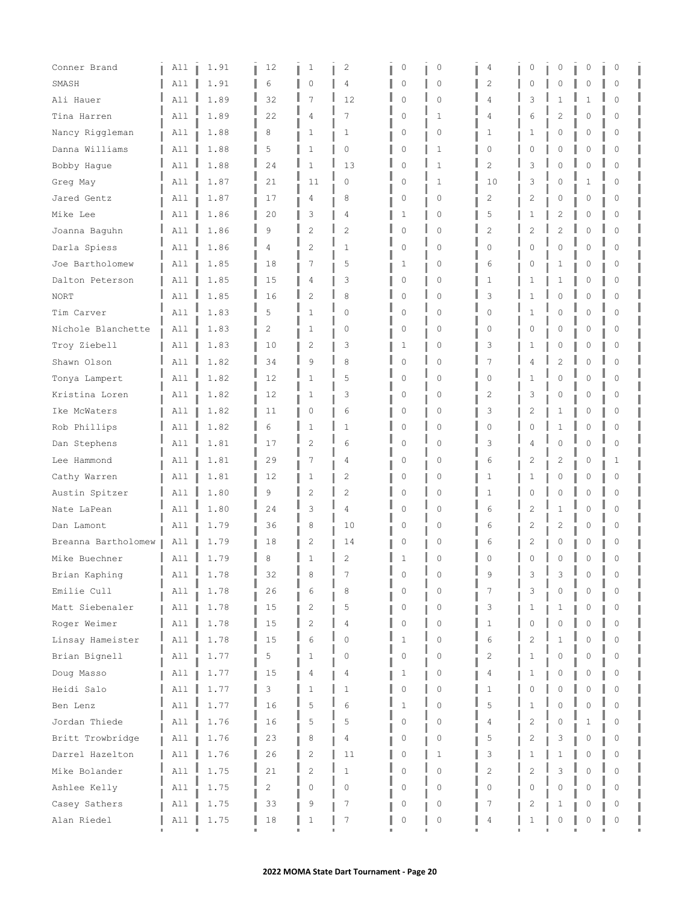| Conner Brand        | All      | 1.91 | 12 | 1              | 2              | 0           | 0            | 4              | 0 | 0              | 0        | 0        |  |
|---------------------|----------|------|----|----------------|----------------|-------------|--------------|----------------|---|----------------|----------|----------|--|
| SMASH               | All      | 1.91 | 6  | 0              | 4              | 0           | $\circ$      | $\overline{c}$ | Ω | 0              | 0        | 0        |  |
| Ali Hauer           | A11      | 1.89 | 32 | 7              | 12             | 0           | $\mathbf{0}$ | 4              | 3 | 1              | 1        | 0        |  |
| Tina Harren         | All      | 1.89 | 22 | 4              | 7              | 0           | $\mathbf{1}$ | 4              | 6 | 2              | 0        | $\Omega$ |  |
| Nancy Riggleman     | All      | 1.88 | 8  | 1              | 1              | 0           | $\circ$      | 1              | 1 | 0              | 0        | 0        |  |
| Danna Williams      | All      | 1.88 | 5  | 1              | 0              | 0           | $\mathbf{1}$ | 0              | 0 | 0              | 0        | 0        |  |
| Bobby Hague         | All      | 1.88 | 24 | $\mathbf{1}$   | 13             | $\mathbf 0$ | $\mathbf{1}$ | $\overline{c}$ | 3 | $\Omega$       | Λ        | $\Omega$ |  |
| Greg May            | All      | 1.87 | 21 | 11             | 0              | 0           | 1            | 10             | 3 | 0              | 1        | $\Omega$ |  |
| Jared Gentz         | All      | 1.87 | 17 | 4              | 8              | 0           | $\circ$      | 2              | 2 | 0              | 0        | 0        |  |
| Mike Lee            | All      | 1.86 | 20 | 3              | 4              | 1           | $\circ$      | 5              |   | 2              | 0        | 0        |  |
| Joanna Baguhn       | A11      | 1.86 | 9  | $\overline{2}$ | $\overline{c}$ | 0           | $\mathbf{0}$ | $\overline{c}$ |   | $\overline{2}$ | $\Omega$ | $\Omega$ |  |
| Darla Spiess        | A11      | 1.86 | 4  | $\overline{2}$ | $\mathbf{1}$   | $\circ$     | $\Omega$     | $\Omega$       | Λ | 0              | 0        | $\Omega$ |  |
| Joe Bartholomew     | All      | 1.85 | 18 | 7              | 5              | 1           | 0            | 6              | Λ | 1              | 0        | $\Omega$ |  |
| Dalton Peterson     | All      | 1.85 | 15 | 4              | 3              | 0           | $\circ$      | 1              |   | 1              | 0        | 0        |  |
| <b>NORT</b>         | A11      | 1.85 | 16 | $\overline{c}$ | 8              | 0           | $\Omega$     | 3              |   | $\Omega$       | 0        | $\Omega$ |  |
| Tim Carver          | A11      | 1.83 | 5  | $\mathbf{1}$   | 0              | $\circ$     | $\Omega$     | $\Omega$       | 1 | 0              | 0        | $\Omega$ |  |
| Nichole Blanchette  | All      | 1.83 | 2  | 1              | $\circ$        | 0           | $\circ$      | 0              | 0 | 0              | 0        | 0        |  |
| Troy Ziebell        | All      | 1.83 | 10 | 2              | 3              | 1           | $\circ$      | 3              | 1 | 0              | 0        | 0        |  |
| Shawn Olson         | A11      | 1.82 | 34 | 9              | 8              | 0           | $\mathbf{0}$ | 7              |   | $\overline{2}$ | Λ        | $\Omega$ |  |
| Tonya Lampert       | A11      | 1.82 | 12 | $\mathbf{1}$   | 5              | 0           | $\Omega$     | $\Omega$       |   | $\mathbf 0$    | $\Omega$ | $\Omega$ |  |
| Kristina Loren      | A11      | 1.82 | 12 | 1              | 3              | 0           | $\circ$      | 2              | 3 | 0              | 0        | 0        |  |
| Ike McWaters        | All      | 1.82 | 11 | 0              | 6              | 0           | $\circ$      | 3              | 2 | 1              | 0        | 0        |  |
| Rob Phillips        | All      | 1.82 | 6  | $\mathbf{1}$   | 1              | $\circ$     | $\mathbf{0}$ | $\Omega$       |   | 1              | O        | $\Omega$ |  |
| Dan Stephens        | All      | 1.81 | 17 | 2              | 6              | 0           | $\mathbf{0}$ | 3              | 4 | 0              | O        | 0        |  |
| Lee Hammond         | All      | 1.81 | 29 | 7              | 4              | 0           | $\circ$      | 6              | 2 | $\overline{c}$ | O        | 1        |  |
| Cathy Warren        | All      | 1.81 | 12 | $\mathbf{1}$   | 2              | 0           | $\circ$      | 1              | 1 | 0              | 0        | 0        |  |
| Austin Spitzer      | All      | 1.80 | 9  | $\overline{2}$ | $\overline{c}$ | 0           | $\Omega$     | $\mathbf{1}$   | Λ | 0              | 0        | $\Omega$ |  |
| Nate LaPean         | All      | 1.80 | 24 | 3              | 4              | 0           | $\circ$      | 6              | 2 | 1              | Λ        | $\Omega$ |  |
| Dan Lamont          | All      | 1.79 | 36 | 8              | 10             | 0           | $\circ$      | 6              | 2 | 2              | 0        | 0        |  |
| Breanna Bartholomew | All      | 1.79 | 18 | 2              | 14             | 0           | 0            | 6              | 2 | 0              | 0        | 0        |  |
| Mike Buechner       | All      | 1.79 | 8  | 1              | 2              | 1           | $\Omega$     | 0              | Λ | $\circ$        | 0        | 0        |  |
| Brian Kaphing       | L<br>A11 | 1.78 | 32 | 8              |                |             | $\left($     | 9              | 3 | 3              | $\Omega$ |          |  |
| Emilie Cull         | All      | 1.78 | 26 | 6              | 8              | $\Omega$    | $\Omega$     | 7              | 3 | 0              | Λ        | $\Omega$ |  |
| Matt Siebenaler     | All      | 1.78 | 15 | 2              | 5              | 0           | $\circ$      | 3              | 1 | 1              | 0        | 0        |  |
| Roger Weimer        | A11      | 1.78 | 15 | $\overline{c}$ | 4              | 0           | $\Omega$     | 1              | Λ | $\Omega$       | Λ        | $\Omega$ |  |
| Linsay Hameister    | All      | 1.78 | 15 | 6              | $\Omega$       | 1           | $\mathbf{0}$ | 6              | 2 | 1              | 0        | $\Omega$ |  |
| Brian Bignell       | All      | 1.77 | 5  | 1              | 0              | 0           | 0            | 2              | 1 | 0              | 0        | 0        |  |
| Doug Masso          | All      | 1.77 | 15 | 4              | 4              | 1           | 0            | 4              | 1 | 0              | 0        | 0        |  |
| Heidi Salo          | All      | 1.77 | 3  | 1              | 1              | 0           | $\mathbb O$  | $\mathbf{1}$   |   | $\mathbf 0$    | Λ        | $\circ$  |  |
| Ben Lenz            | All      | 1.77 | 16 | 5              | 6              | 1           | 0            | 5              | 1 | $\Omega$       | 0        | $\Omega$ |  |
| Jordan Thiede       | All      | 1.76 | 16 | 5              | 5              | 0           | 0            | 4              | 2 | $\circ$        | 1        | 0        |  |
| Britt Trowbridge    | All      | 1.76 | 23 | 8              | 4              | 0           | 0            | 5              | 2 | 3              | 0        | 0        |  |
| Darrel Hazelton     | A11      | 1.76 | 26 | $\overline{c}$ | 11             | 0           | $\mathbf{1}$ | 3              |   | 1              | O        | $\Omega$ |  |
| Mike Bolander       | All      | 1.75 | 21 | $\overline{c}$ | 1              | 0           | $\Omega$     | $\overline{c}$ | 2 | 3              | 0        | $\Omega$ |  |
| Ashlee Kelly        | All      | 1.75 | 2  | 0              | 0              | 0           | 0            | 0              | 0 | 0              | 0        | 0        |  |
| Casey Sathers       | All      | 1.75 | 33 | 9              | 7              | 0           | 0            | 7              | 2 | 1              | Ω        | 0        |  |
| Alan Riedel         | All      | 1.75 | 18 | 1              | 7              | 0           | $\mathbb O$  | 4              | 1 | 0              | Λ        | 0        |  |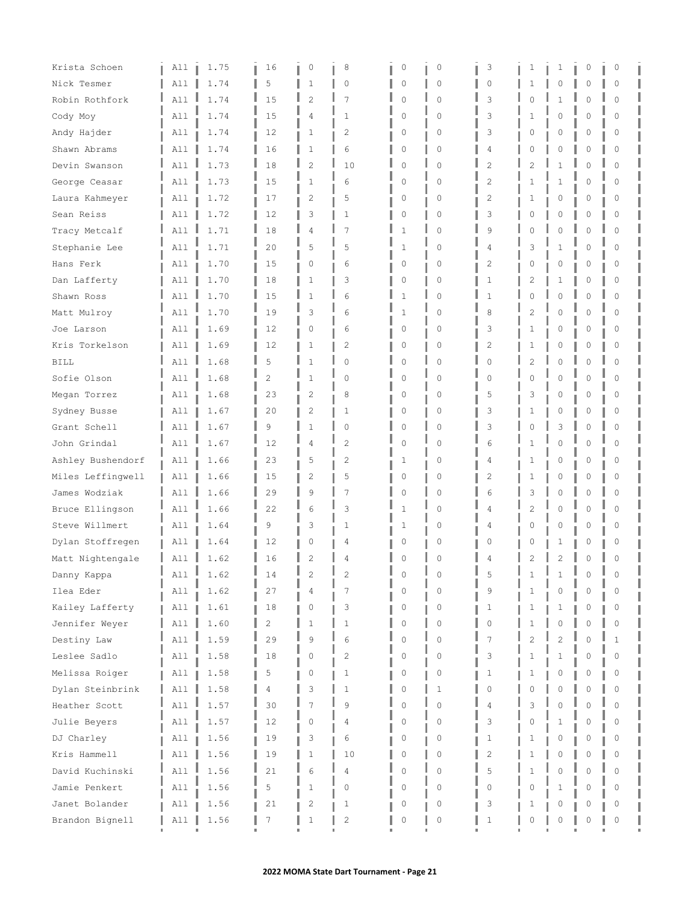| Krista Schoen     | All | 1.75 | 16             | 0              | 8              | 0        | $\circ$     | 3              | 1      | 1              | 0           | 0                |  |
|-------------------|-----|------|----------------|----------------|----------------|----------|-------------|----------------|--------|----------------|-------------|------------------|--|
| Nick Tesmer       | A11 | 1.74 | 5              | 1              | $\Omega$       | 0        | 0           | $\Omega$       |        | 0              | 0           | $\Omega$         |  |
| Robin Rothfork    | A11 | 1.74 | 15             | 2              | 7              | 0        | $\Omega$    | 3              | Ω      | $\mathbf{1}$   | 0           | $\Omega$         |  |
| Cody Moy          | All | 1.74 | 15             | 4              | 1              | 0        | $\Omega$    | 3              | 1      | $\mathbf{0}$   | 0           | $\Omega$         |  |
| Andy Hajder       | All | 1.74 | 12             | 1              | 2              | 0        | 0           | 3              | 0      | 0              | 0           | 0                |  |
| Shawn Abrams      | All | 1.74 | 16             | 1              | 6              | 0        | $\mathbf 0$ | 4              | 0      | 0              | 0           | $\Omega$         |  |
| Devin Swanson     | A11 | 1.73 | 18             | $\overline{c}$ | 10             | $\Omega$ | $\Omega$    | $\overline{c}$ | 2      | 1              | 0           | $\Omega$         |  |
| George Ceasar     | All | 1.73 | 15             | 1              | 6              | $\Omega$ | $\Omega$    | 2              | 1      | 1              | 0           | $\Omega$         |  |
| Laura Kahmeyer    | All | 1.72 | 17             | $\mathbf{2}$   | 5              | 0        | 0           | 2              | 1      | 0              | $\mathbb O$ | 0                |  |
| Sean Reiss        | All | 1.72 | 12             | 3              | 1              | 0        | 0           | 3              | 0      | 0              | 0           | 0                |  |
| Tracy Metcalf     | A11 | 1.71 | 18             | 4              | 7              | 1        | $\mathbf 0$ | 9              |        | $\mathbf 0$    | 0           | $\Omega$         |  |
| Stephanie Lee     | A11 | 1.71 | 20             | 5              | 5              | 1        | $\Omega$    | 4              | 3      | 1              | 0           | $\Omega$         |  |
| Hans Ferk         | All | 1.70 | 15             | 0              | 6              | 0        | $\Omega$    | 2              | 0      | 0              | 0           | $\Omega$         |  |
| Dan Lafferty      | All | 1.70 | 18             | $\mathbf{1}$   | 3              | 0        | 0           | 1              | 2      | 1              | 0           | 0                |  |
| Shawn Ross        | All | 1.70 | 15             | 1              | 6              | 1        | $\Omega$    | 1              |        | $\Omega$       | 0           | $\Omega$         |  |
| Matt Mulroy       | A11 | 1.70 | 19             | 3              | 6              | 1        | $\Omega$    | 8              | 2      | $\mathbf 0$    | 0           | $\Omega$         |  |
| Joe Larson        | All | 1.69 | 12             | 0              | 6              | 0        | 0           | 3              | 1      | 0              | 0           | 0                |  |
| Kris Torkelson    | All | 1.69 | 12             | 1              | 2              | 0        | 0           | 2              | 1      | 0              | 0           | 0                |  |
| <b>BILL</b>       | A11 | 1.68 | 5              | 1              | 0              | 0        | $\mathbf 0$ | 0              | 2      | 0              | 0           | $\Omega$         |  |
| Sofie Olson       | A11 | 1.68 | $\overline{2}$ | $\mathbf{1}$   | $\Omega$       | 0        | $\Omega$    | $\Omega$       | $\cap$ | $\mathbf 0$    | $\mathbf 0$ | $\Omega$         |  |
| Megan Torrez      | A11 | 1.68 | 23             | 2              | 8              | 0        | $\Omega$    | 5              | 3      | $\mathbf{0}$   | 0           | 0                |  |
| Sydney Busse      | All | 1.67 | 20             | 2              | 1              | 0        | 0           | 3              |        | 0              | 0           | 0                |  |
| Grant Schell      | A11 | 1.67 | 9              | $\mathbf{1}$   | $\Omega$       | 0        | $\Omega$    | 3              | Λ      | 3              | 0           | $\Omega$         |  |
| John Grindal      | All | 1.67 | 12             | 4              | 2              | 0        | $\Omega$    | 6              | 1      | $\mathbf 0$    | 0           | $\Omega$         |  |
| Ashley Bushendorf | All | 1.66 | 23             | 5              | $\overline{c}$ | 1        | 0           | 4              | 1      | 0              | 0           | 0                |  |
| Miles Leffingwell | All | 1.66 | 15             | 2              | 5              | 0        | 0           | 2              | 1      | 0              | 0           | 0                |  |
| James Wodziak     | A11 | 1.66 | 29             | 9              | 7              | 0        | $\mathbf 0$ | 6              | 3      | 0              | 0           | $\Omega$         |  |
| Bruce Ellingson   | All | 1.66 | 22             | 6              | 3              | 1        | $\Omega$    | 4              | 2      | 0              | 0           | $\Omega$         |  |
| Steve Willmert    | All | 1.64 | 9              | 3              | 1              | 1        | 0           | 4              | 0      | 0              | 0           | 0                |  |
| Dylan Stoffregen  | All | 1.64 | 12             | 0              | 4              | C        | n           | 0              | Ω      | 1              | 0           | 0                |  |
| Matt Nightengale  | All | 1.62 | 16             | 2              | 4              | C        | $\Omega$    | 4              | 2      | $\overline{c}$ | 0           | 0                |  |
| Danny Kappa       | A11 | 1.62 | 14             |                | 2              |          |             | 5              |        |                | $\circ$     | $\left( \right)$ |  |
| Ilea Eder         | All | 1.62 | 27             |                | 7              |          | $\cap$      | 9              |        | $\Omega$       | O           | O                |  |
| Kailey Lafferty   | All | 1.61 | 18             | 0              | 3              | 0        | 0           | 1              | 1      | 1              | 0           | 0                |  |
| Jennifer Weyer    | All | 1.60 | 2              | 1              | $\mathbf{1}$   | $\Omega$ | $\Omega$    | $\Omega$       |        | $\Omega$       | 0           | $\Omega$         |  |
| Destiny Law       | All | 1.59 | 29             | 9              | 6              | $\Omega$ | $\Omega$    | 7              | 2      | $\overline{2}$ | 0           | 1                |  |
| Leslee Sadlo      | All | 1.58 | 18             | 0              | 2              | 0        | 0           | 3              | 1      | 1              | 0           | 0                |  |
| Melissa Roiger    | All | 1.58 | 5              | 0              | 1              | 0        | 0           | 1              | 1      | 0              | 0           | 0                |  |
| Dylan Steinbrink  | All | 1.58 | 4              | 3              | $\mathbf{1}$   | 0        | $\mathbf 1$ | 0              | Λ      | $\mathbf 0$    | 0           | $\Omega$         |  |
| Heather Scott     | All | 1.57 | 30             | 7              | 9              | $\Omega$ | $\Omega$    | 4              | 3      | $\Omega$       | 0           | $\Omega$         |  |
| Julie Beyers      | All | 1.57 | 12             | 0              | 4              | C        | 0           | 3              | 0      | $\mathbf{1}$   | 0           | $\Omega$         |  |
| DJ Charley        | All | 1.56 | 19             | 3              | 6              | 0        | 0           | 1              | ı      | 0              | 0           | 0                |  |
| Kris Hammell      | All | 1.56 | 19             | $\mathbf{1}$   | 10             | $\Omega$ | $\Omega$    | $\overline{2}$ |        | $\mathbf{0}$   | 0           | $\Omega$         |  |
| David Kuchinski   | All | 1.56 | 21             | 6              | 4              | $\Omega$ | $\Omega$    | 5              | 1      | $\Omega$       | 0           | $\Omega$         |  |
| Jamie Penkert     | All | 1.56 | 5              | 1              | 0              | $\Omega$ | $\Omega$    | 0              | 0      | $\mathbf{1}$   | 0           | $\Omega$         |  |
| Janet Bolander    | All | 1.56 | 21             | 2              | 1              | 0        | 0           | 3              |        | $\mathbf{0}$   | 0           | 0                |  |
| Brandon Bignell   | All | 1.56 | 7              | 1              | 2              | 0        | $\circ$     | 1              | 0      | 0              | 0           | 0                |  |